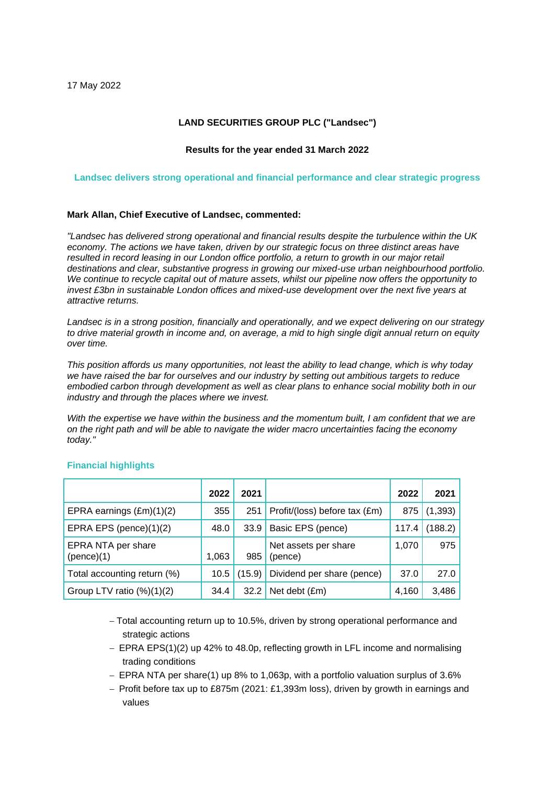### **LAND SECURITIES GROUP PLC ("Landsec")**

### **Results for the year ended 31 March 2022**

### **Landsec delivers strong operational and financial performance and clear strategic progress**

### **Mark Allan, Chief Executive of Landsec, commented:**

*"Landsec has delivered strong operational and financial results despite the turbulence within the UK economy. The actions we have taken, driven by our strategic focus on three distinct areas have resulted in record leasing in our London office portfolio, a return to growth in our major retail destinations and clear, substantive progress in growing our mixed-use urban neighbourhood portfolio. We continue to recycle capital out of mature assets, whilst our pipeline now offers the opportunity to invest £3bn in sustainable London offices and mixed-use development over the next five years at attractive returns.*

*Landsec is in a strong position, financially and operationally, and we expect delivering on our strategy to drive material growth in income and, on average, a mid to high single digit annual return on equity over time.*

*This position affords us many opportunities, not least the ability to lead change, which is why today we have raised the bar for ourselves and our industry by setting out ambitious targets to reduce embodied carbon through development as well as clear plans to enhance social mobility both in our industry and through the places where we invest.*

*With the expertise we have within the business and the momentum built, I am confident that we are on the right path and will be able to navigate the wider macro uncertainties facing the economy today."*

|                                  | 2022  | 2021   |                                 | 2022  | 2021     |
|----------------------------------|-------|--------|---------------------------------|-------|----------|
| EPRA earnings (£m)(1)(2)         | 355   | 251    | Profit/(loss) before tax (£m)   | 875   | (1, 393) |
| EPRA EPS (pence)(1)(2)           | 48.0  | 33.9   | Basic EPS (pence)               | 117.4 | (188.2)  |
| EPRA NTA per share<br>(pence)(1) | 1,063 | 985    | Net assets per share<br>(pence) | 1,070 | 975      |
| Total accounting return (%)      | 10.5  | (15.9) | Dividend per share (pence)      | 37.0  | 27.0     |
| Group LTV ratio $(\%)(1)(2)$     | 34.4  | 32.2   | Net debt (£m)                   | 4,160 | 3,486    |

### **Financial highlights**

− Total accounting return up to 10.5%, driven by strong operational performance and strategic actions

- − EPRA EPS(1)(2) up 42% to 48.0p, reflecting growth in LFL income and normalising trading conditions
- − EPRA NTA per share(1) up 8% to 1,063p, with a portfolio valuation surplus of 3.6%
- − Profit before tax up to £875m (2021: £1,393m loss), driven by growth in earnings and values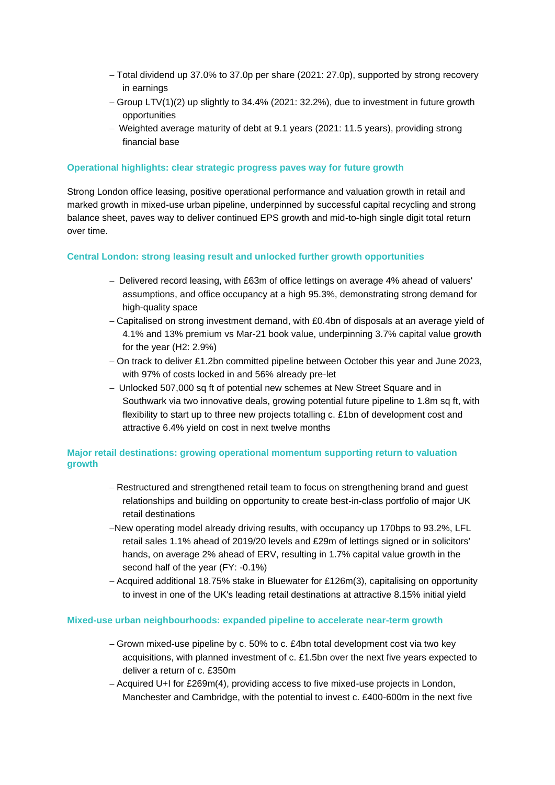- − Total dividend up 37.0% to 37.0p per share (2021: 27.0p), supported by strong recovery in earnings
- − Group LTV(1)(2) up slightly to 34.4% (2021: 32.2%), due to investment in future growth opportunities
- − Weighted average maturity of debt at 9.1 years (2021: 11.5 years), providing strong financial base

### **Operational highlights: clear strategic progress paves way for future growth**

Strong London office leasing, positive operational performance and valuation growth in retail and marked growth in mixed-use urban pipeline, underpinned by successful capital recycling and strong balance sheet, paves way to deliver continued EPS growth and mid-to-high single digit total return over time.

### **Central London: strong leasing result and unlocked further growth opportunities**

- − Delivered record leasing, with £63m of office lettings on average 4% ahead of valuers' assumptions, and office occupancy at a high 95.3%, demonstrating strong demand for high-quality space
- − Capitalised on strong investment demand, with £0.4bn of disposals at an average yield of 4.1% and 13% premium vs Mar-21 book value, underpinning 3.7% capital value growth for the year (H2: 2.9%)
- − On track to deliver £1.2bn committed pipeline between October this year and June 2023, with 97% of costs locked in and 56% already pre-let
- − Unlocked 507,000 sq ft of potential new schemes at New Street Square and in Southwark via two innovative deals, growing potential future pipeline to 1.8m sq ft, with flexibility to start up to three new projects totalling c. £1bn of development cost and attractive 6.4% yield on cost in next twelve months

## **Major retail destinations: growing operational momentum supporting return to valuation growth**

- − Restructured and strengthened retail team to focus on strengthening brand and guest relationships and building on opportunity to create best-in-class portfolio of major UK retail destinations
- −New operating model already driving results, with occupancy up 170bps to 93.2%, LFL retail sales 1.1% ahead of 2019/20 levels and £29m of lettings signed or in solicitors' hands, on average 2% ahead of ERV, resulting in 1.7% capital value growth in the second half of the year (FY: -0.1%)
- − Acquired additional 18.75% stake in Bluewater for £126m(3), capitalising on opportunity to invest in one of the UK's leading retail destinations at attractive 8.15% initial yield

### **Mixed-use urban neighbourhoods: expanded pipeline to accelerate near-term growth**

- − Grown mixed-use pipeline by c. 50% to c. £4bn total development cost via two key acquisitions, with planned investment of c. £1.5bn over the next five years expected to deliver a return of c. £350m
- − Acquired U+I for £269m(4), providing access to five mixed-use projects in London, Manchester and Cambridge, with the potential to invest c. £400-600m in the next five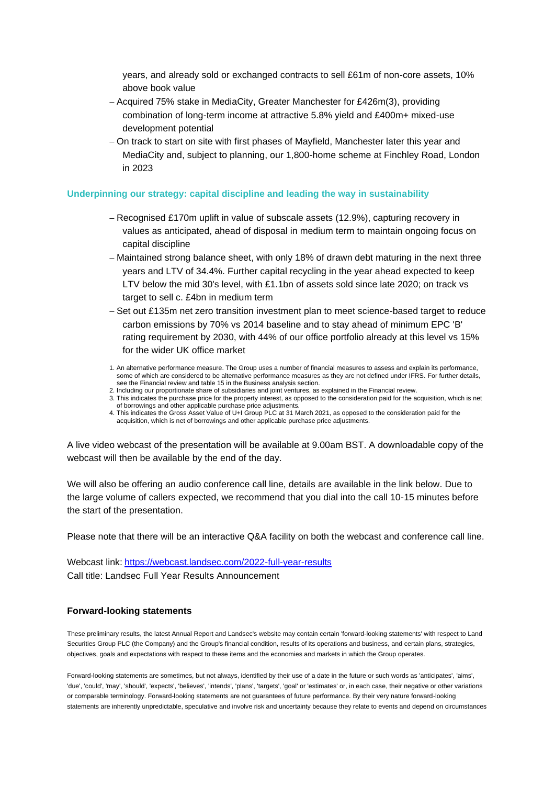years, and already sold or exchanged contracts to sell £61m of non-core assets, 10% above book value

- − Acquired 75% stake in MediaCity, Greater Manchester for £426m(3), providing combination of long-term income at attractive 5.8% yield and £400m+ mixed-use development potential
- − On track to start on site with first phases of Mayfield, Manchester later this year and MediaCity and, subject to planning, our 1,800-home scheme at Finchley Road, London in 2023

### **Underpinning our strategy: capital discipline and leading the way in sustainability**

- − Recognised £170m uplift in value of subscale assets (12.9%), capturing recovery in values as anticipated, ahead of disposal in medium term to maintain ongoing focus on capital discipline
- − Maintained strong balance sheet, with only 18% of drawn debt maturing in the next three years and LTV of 34.4%. Further capital recycling in the year ahead expected to keep LTV below the mid 30's level, with £1.1bn of assets sold since late 2020; on track vs target to sell c. £4bn in medium term
- − Set out £135m net zero transition investment plan to meet science-based target to reduce carbon emissions by 70% vs 2014 baseline and to stay ahead of minimum EPC 'B' rating requirement by 2030, with 44% of our office portfolio already at this level vs 15% for the wider UK office market
- 1. An alternative performance measure. The Group uses a number of financial measures to assess and explain its performance, some of which are considered to be alternative performance measures as they are not defined under IFRS. For further details, see the Financial review and table 15 in the Business analysis section.
- 2. Including our proportionate share of subsidiaries and joint ventures, as explained in the Financial review. 3. This indicates the purchase price for the property interest, as opposed to the consideration paid for the acquisition, which is net of borrowings and other applicable purchase price adjustments.
- 4. This indicates the Gross Asset Value of U+I Group PLC at 31 March 2021, as opposed to the consideration paid for the acquisition, which is net of borrowings and other applicable purchase price adjustments.

A live video webcast of the presentation will be available at 9.00am BST. A downloadable copy of the webcast will then be available by the end of the day.

We will also be offering an audio conference call line, details are available in the link below. Due to the large volume of callers expected, we recommend that you dial into the call 10-15 minutes before the start of the presentation.

Please note that there will be an interactive Q&A facility on both the webcast and conference call line.

Webcast link: <https://webcast.landsec.com/2022-full-year-results> Call title: Landsec Full Year Results Announcement

### **Forward-looking statements**

These preliminary results, the latest Annual Report and Landsec's website may contain certain 'forward-looking statements' with respect to Land Securities Group PLC (the Company) and the Group's financial condition, results of its operations and business, and certain plans, strategies, objectives, goals and expectations with respect to these items and the economies and markets in which the Group operates.

Forward-looking statements are sometimes, but not always, identified by their use of a date in the future or such words as 'anticipates', 'aims', 'due', 'could', 'may', 'should', 'expects', 'believes', 'intends', 'plans', 'targets', 'goal' or 'estimates' or, in each case, their negative or other variations or comparable terminology. Forward-looking statements are not guarantees of future performance. By their very nature forward-looking statements are inherently unpredictable, speculative and involve risk and uncertainty because they relate to events and depend on circumstances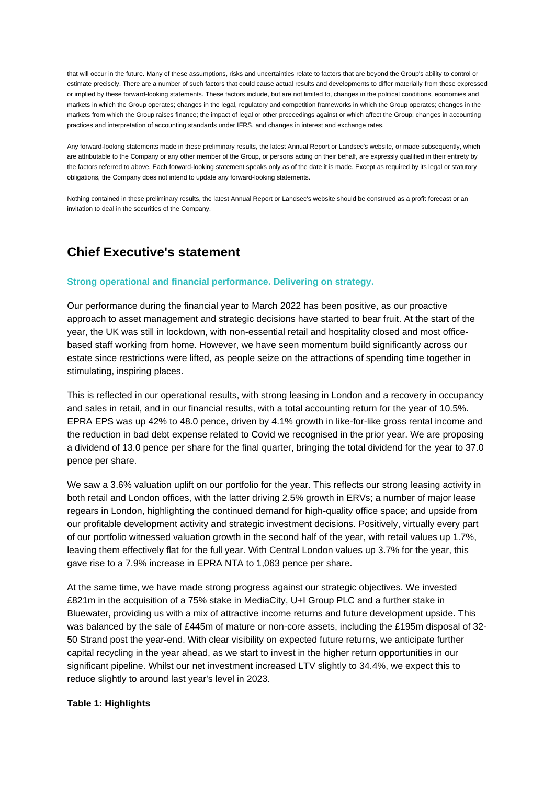that will occur in the future. Many of these assumptions, risks and uncertainties relate to factors that are beyond the Group's ability to control or estimate precisely. There are a number of such factors that could cause actual results and developments to differ materially from those expressed or implied by these forward-looking statements. These factors include, but are not limited to, changes in the political conditions, economies and markets in which the Group operates; changes in the legal, regulatory and competition frameworks in which the Group operates; changes in the markets from which the Group raises finance; the impact of legal or other proceedings against or which affect the Group; changes in accounting practices and interpretation of accounting standards under IFRS, and changes in interest and exchange rates.

Any forward-looking statements made in these preliminary results, the latest Annual Report or Landsec's website, or made subsequently, which are attributable to the Company or any other member of the Group, or persons acting on their behalf, are expressly qualified in their entirety by the factors referred to above. Each forward-looking statement speaks only as of the date it is made. Except as required by its legal or statutory obligations, the Company does not intend to update any forward-looking statements.

Nothing contained in these preliminary results, the latest Annual Report or Landsec's website should be construed as a profit forecast or an invitation to deal in the securities of the Company.

# **Chief Executive's statement**

### **Strong operational and financial performance. Delivering on strategy.**

Our performance during the financial year to March 2022 has been positive, as our proactive approach to asset management and strategic decisions have started to bear fruit. At the start of the year, the UK was still in lockdown, with non-essential retail and hospitality closed and most officebased staff working from home. However, we have seen momentum build significantly across our estate since restrictions were lifted, as people seize on the attractions of spending time together in stimulating, inspiring places.

This is reflected in our operational results, with strong leasing in London and a recovery in occupancy and sales in retail, and in our financial results, with a total accounting return for the year of 10.5%. EPRA EPS was up 42% to 48.0 pence, driven by 4.1% growth in like-for-like gross rental income and the reduction in bad debt expense related to Covid we recognised in the prior year. We are proposing a dividend of 13.0 pence per share for the final quarter, bringing the total dividend for the year to 37.0 pence per share.

We saw a 3.6% valuation uplift on our portfolio for the year. This reflects our strong leasing activity in both retail and London offices, with the latter driving 2.5% growth in ERVs; a number of major lease regears in London, highlighting the continued demand for high-quality office space; and upside from our profitable development activity and strategic investment decisions. Positively, virtually every part of our portfolio witnessed valuation growth in the second half of the year, with retail values up 1.7%, leaving them effectively flat for the full year. With Central London values up 3.7% for the year, this gave rise to a 7.9% increase in EPRA NTA to 1,063 pence per share.

At the same time, we have made strong progress against our strategic objectives. We invested £821m in the acquisition of a 75% stake in MediaCity, U+I Group PLC and a further stake in Bluewater, providing us with a mix of attractive income returns and future development upside. This was balanced by the sale of £445m of mature or non-core assets, including the £195m disposal of 32- 50 Strand post the year-end. With clear visibility on expected future returns, we anticipate further capital recycling in the year ahead, as we start to invest in the higher return opportunities in our significant pipeline. Whilst our net investment increased LTV slightly to 34.4%, we expect this to reduce slightly to around last year's level in 2023.

### **Table 1: Highlights**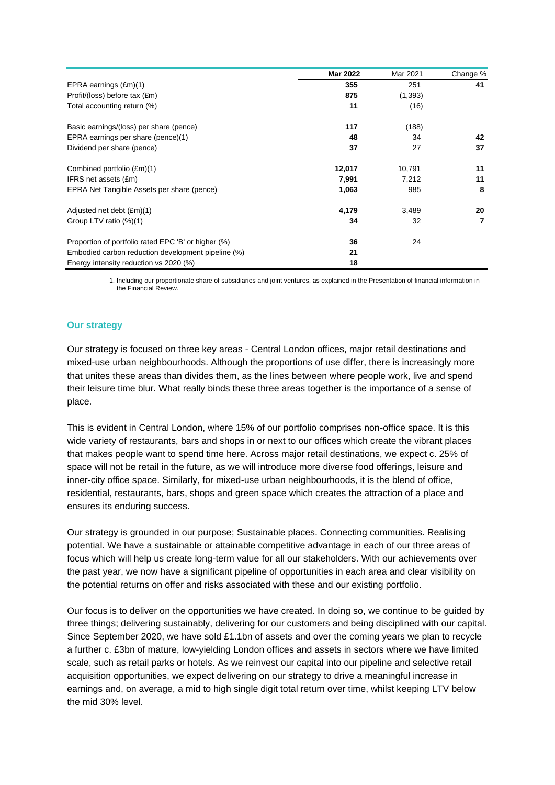|                                                     | <b>Mar 2022</b> | Mar 2021 | Change % |
|-----------------------------------------------------|-----------------|----------|----------|
| EPRA earnings (£m)(1)                               | 355             | 251      | 41       |
| Profit/(loss) before tax (£m)                       | 875             | (1,393)  |          |
| Total accounting return (%)                         | 11              | (16)     |          |
| Basic earnings/(loss) per share (pence)             | 117             | (188)    |          |
| EPRA earnings per share (pence)(1)                  | 48              | 34       | 42       |
| Dividend per share (pence)                          | 37              | 27       | 37       |
| Combined portfolio (£m)(1)                          | 12,017          | 10,791   | 11       |
| IFRS net assets (£m)                                | 7,991           | 7,212    | 11       |
| EPRA Net Tangible Assets per share (pence)          | 1,063           | 985      | 8        |
| Adjusted net debt (£m)(1)                           | 4,179           | 3,489    | 20       |
| Group LTV ratio (%)(1)                              | 34              | 32       | 7        |
| Proportion of portfolio rated EPC 'B' or higher (%) | 36              | 24       |          |
| Embodied carbon reduction development pipeline (%)  | 21              |          |          |
| Energy intensity reduction vs 2020 (%)              | 18              |          |          |

1. Including our proportionate share of subsidiaries and joint ventures, as explained in the Presentation of financial information in the Financial Review.

### **Our strategy**

Our strategy is focused on three key areas - Central London offices, major retail destinations and mixed-use urban neighbourhoods. Although the proportions of use differ, there is increasingly more that unites these areas than divides them, as the lines between where people work, live and spend their leisure time blur. What really binds these three areas together is the importance of a sense of place.

This is evident in Central London, where 15% of our portfolio comprises non-office space. It is this wide variety of restaurants, bars and shops in or next to our offices which create the vibrant places that makes people want to spend time here. Across major retail destinations, we expect c. 25% of space will not be retail in the future, as we will introduce more diverse food offerings, leisure and inner-city office space. Similarly, for mixed-use urban neighbourhoods, it is the blend of office, residential, restaurants, bars, shops and green space which creates the attraction of a place and ensures its enduring success.

Our strategy is grounded in our purpose; Sustainable places. Connecting communities. Realising potential. We have a sustainable or attainable competitive advantage in each of our three areas of focus which will help us create long-term value for all our stakeholders. With our achievements over the past year, we now have a significant pipeline of opportunities in each area and clear visibility on the potential returns on offer and risks associated with these and our existing portfolio.

Our focus is to deliver on the opportunities we have created. In doing so, we continue to be guided by three things; delivering sustainably, delivering for our customers and being disciplined with our capital. Since September 2020, we have sold £1.1bn of assets and over the coming years we plan to recycle a further c. £3bn of mature, low-yielding London offices and assets in sectors where we have limited scale, such as retail parks or hotels. As we reinvest our capital into our pipeline and selective retail acquisition opportunities, we expect delivering on our strategy to drive a meaningful increase in earnings and, on average, a mid to high single digit total return over time, whilst keeping LTV below the mid 30% level.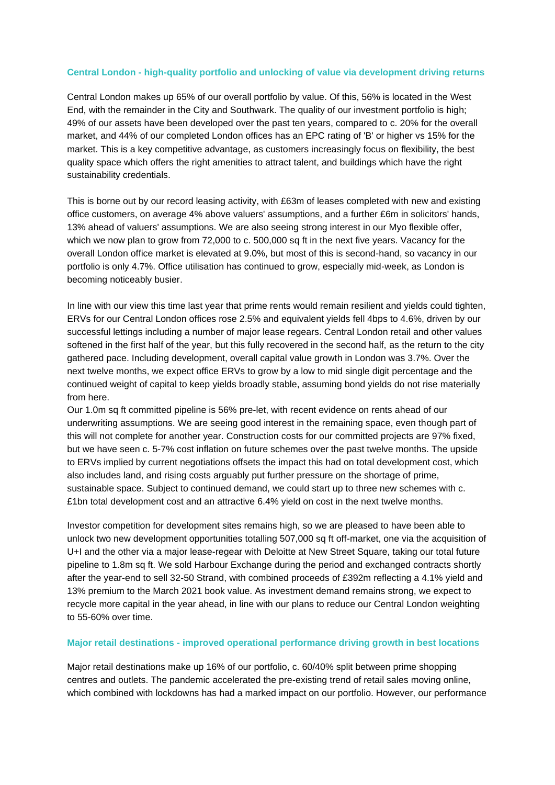### **Central London - high-quality portfolio and unlocking of value via development driving returns**

Central London makes up 65% of our overall portfolio by value. Of this, 56% is located in the West End, with the remainder in the City and Southwark. The quality of our investment portfolio is high; 49% of our assets have been developed over the past ten years, compared to c. 20% for the overall market, and 44% of our completed London offices has an EPC rating of 'B' or higher vs 15% for the market. This is a key competitive advantage, as customers increasingly focus on flexibility, the best quality space which offers the right amenities to attract talent, and buildings which have the right sustainability credentials.

This is borne out by our record leasing activity, with £63m of leases completed with new and existing office customers, on average 4% above valuers' assumptions, and a further £6m in solicitors' hands, 13% ahead of valuers' assumptions. We are also seeing strong interest in our Myo flexible offer, which we now plan to grow from 72,000 to c. 500,000 sq ft in the next five years. Vacancy for the overall London office market is elevated at 9.0%, but most of this is second-hand, so vacancy in our portfolio is only 4.7%. Office utilisation has continued to grow, especially mid-week, as London is becoming noticeably busier.

In line with our view this time last year that prime rents would remain resilient and yields could tighten, ERVs for our Central London offices rose 2.5% and equivalent yields fell 4bps to 4.6%, driven by our successful lettings including a number of major lease regears. Central London retail and other values softened in the first half of the year, but this fully recovered in the second half, as the return to the city gathered pace. Including development, overall capital value growth in London was 3.7%. Over the next twelve months, we expect office ERVs to grow by a low to mid single digit percentage and the continued weight of capital to keep yields broadly stable, assuming bond yields do not rise materially from here.

Our 1.0m sq ft committed pipeline is 56% pre-let, with recent evidence on rents ahead of our underwriting assumptions. We are seeing good interest in the remaining space, even though part of this will not complete for another year. Construction costs for our committed projects are 97% fixed, but we have seen c. 5-7% cost inflation on future schemes over the past twelve months. The upside to ERVs implied by current negotiations offsets the impact this had on total development cost, which also includes land, and rising costs arguably put further pressure on the shortage of prime, sustainable space. Subject to continued demand, we could start up to three new schemes with c. £1bn total development cost and an attractive 6.4% yield on cost in the next twelve months.

Investor competition for development sites remains high, so we are pleased to have been able to unlock two new development opportunities totalling 507,000 sq ft off-market, one via the acquisition of U+I and the other via a major lease-regear with Deloitte at New Street Square, taking our total future pipeline to 1.8m sq ft. We sold Harbour Exchange during the period and exchanged contracts shortly after the year-end to sell 32-50 Strand, with combined proceeds of £392m reflecting a 4.1% yield and 13% premium to the March 2021 book value. As investment demand remains strong, we expect to recycle more capital in the year ahead, in line with our plans to reduce our Central London weighting to 55-60% over time.

### **Major retail destinations - improved operational performance driving growth in best locations**

Major retail destinations make up 16% of our portfolio, c. 60/40% split between prime shopping centres and outlets. The pandemic accelerated the pre-existing trend of retail sales moving online, which combined with lockdowns has had a marked impact on our portfolio. However, our performance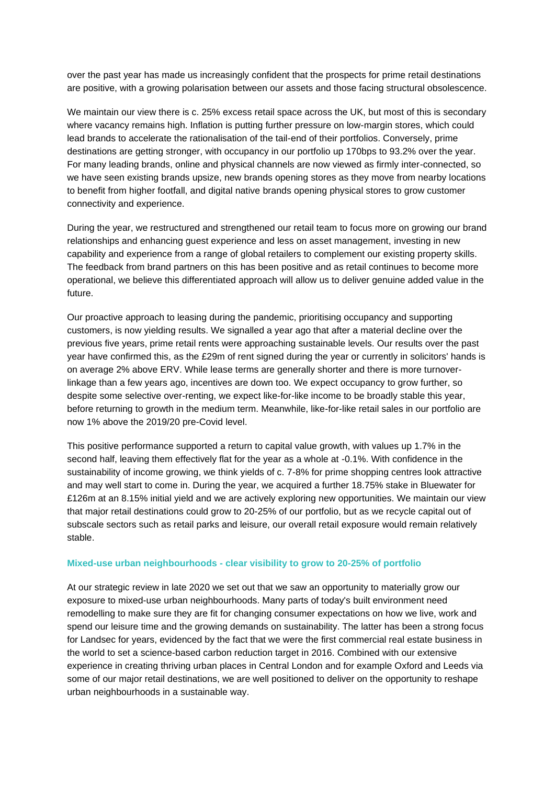over the past year has made us increasingly confident that the prospects for prime retail destinations are positive, with a growing polarisation between our assets and those facing structural obsolescence.

We maintain our view there is c. 25% excess retail space across the UK, but most of this is secondary where vacancy remains high. Inflation is putting further pressure on low-margin stores, which could lead brands to accelerate the rationalisation of the tail-end of their portfolios. Conversely, prime destinations are getting stronger, with occupancy in our portfolio up 170bps to 93.2% over the year. For many leading brands, online and physical channels are now viewed as firmly inter-connected, so we have seen existing brands upsize, new brands opening stores as they move from nearby locations to benefit from higher footfall, and digital native brands opening physical stores to grow customer connectivity and experience.

During the year, we restructured and strengthened our retail team to focus more on growing our brand relationships and enhancing guest experience and less on asset management, investing in new capability and experience from a range of global retailers to complement our existing property skills. The feedback from brand partners on this has been positive and as retail continues to become more operational, we believe this differentiated approach will allow us to deliver genuine added value in the future.

Our proactive approach to leasing during the pandemic, prioritising occupancy and supporting customers, is now yielding results. We signalled a year ago that after a material decline over the previous five years, prime retail rents were approaching sustainable levels. Our results over the past year have confirmed this, as the £29m of rent signed during the year or currently in solicitors' hands is on average 2% above ERV. While lease terms are generally shorter and there is more turnoverlinkage than a few years ago, incentives are down too. We expect occupancy to grow further, so despite some selective over-renting, we expect like-for-like income to be broadly stable this year, before returning to growth in the medium term. Meanwhile, like-for-like retail sales in our portfolio are now 1% above the 2019/20 pre-Covid level.

This positive performance supported a return to capital value growth, with values up 1.7% in the second half, leaving them effectively flat for the year as a whole at -0.1%. With confidence in the sustainability of income growing, we think yields of c. 7-8% for prime shopping centres look attractive and may well start to come in. During the year, we acquired a further 18.75% stake in Bluewater for £126m at an 8.15% initial yield and we are actively exploring new opportunities. We maintain our view that major retail destinations could grow to 20-25% of our portfolio, but as we recycle capital out of subscale sectors such as retail parks and leisure, our overall retail exposure would remain relatively stable.

### **Mixed-use urban neighbourhoods - clear visibility to grow to 20-25% of portfolio**

At our strategic review in late 2020 we set out that we saw an opportunity to materially grow our exposure to mixed-use urban neighbourhoods. Many parts of today's built environment need remodelling to make sure they are fit for changing consumer expectations on how we live, work and spend our leisure time and the growing demands on sustainability. The latter has been a strong focus for Landsec for years, evidenced by the fact that we were the first commercial real estate business in the world to set a science-based carbon reduction target in 2016. Combined with our extensive experience in creating thriving urban places in Central London and for example Oxford and Leeds via some of our major retail destinations, we are well positioned to deliver on the opportunity to reshape urban neighbourhoods in a sustainable way.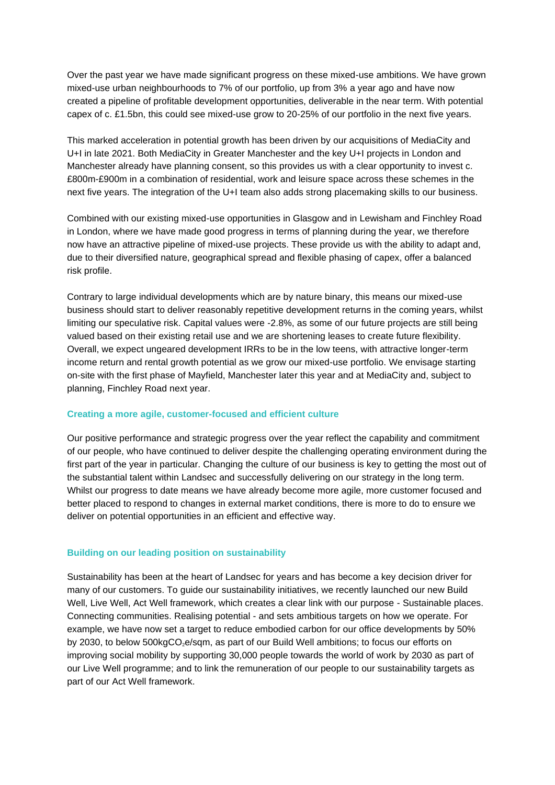Over the past year we have made significant progress on these mixed-use ambitions. We have grown mixed-use urban neighbourhoods to 7% of our portfolio, up from 3% a year ago and have now created a pipeline of profitable development opportunities, deliverable in the near term. With potential capex of c. £1.5bn, this could see mixed-use grow to 20-25% of our portfolio in the next five years.

This marked acceleration in potential growth has been driven by our acquisitions of MediaCity and U+I in late 2021. Both MediaCity in Greater Manchester and the key U+I projects in London and Manchester already have planning consent, so this provides us with a clear opportunity to invest c. £800m-£900m in a combination of residential, work and leisure space across these schemes in the next five years. The integration of the U+I team also adds strong placemaking skills to our business.

Combined with our existing mixed-use opportunities in Glasgow and in Lewisham and Finchley Road in London, where we have made good progress in terms of planning during the year, we therefore now have an attractive pipeline of mixed-use projects. These provide us with the ability to adapt and, due to their diversified nature, geographical spread and flexible phasing of capex, offer a balanced risk profile.

Contrary to large individual developments which are by nature binary, this means our mixed-use business should start to deliver reasonably repetitive development returns in the coming years, whilst limiting our speculative risk. Capital values were -2.8%, as some of our future projects are still being valued based on their existing retail use and we are shortening leases to create future flexibility. Overall, we expect ungeared development IRRs to be in the low teens, with attractive longer-term income return and rental growth potential as we grow our mixed-use portfolio. We envisage starting on-site with the first phase of Mayfield, Manchester later this year and at MediaCity and, subject to planning, Finchley Road next year.

### **Creating a more agile, customer-focused and efficient culture**

Our positive performance and strategic progress over the year reflect the capability and commitment of our people, who have continued to deliver despite the challenging operating environment during the first part of the year in particular. Changing the culture of our business is key to getting the most out of the substantial talent within Landsec and successfully delivering on our strategy in the long term. Whilst our progress to date means we have already become more agile, more customer focused and better placed to respond to changes in external market conditions, there is more to do to ensure we deliver on potential opportunities in an efficient and effective way.

### **Building on our leading position on sustainability**

Sustainability has been at the heart of Landsec for years and has become a key decision driver for many of our customers. To guide our sustainability initiatives, we recently launched our new Build Well, Live Well, Act Well framework, which creates a clear link with our purpose - Sustainable places. Connecting communities. Realising potential - and sets ambitious targets on how we operate. For example, we have now set a target to reduce embodied carbon for our office developments by 50% by 2030, to below 500kgCO<sub>2</sub>e/sqm, as part of our Build Well ambitions; to focus our efforts on improving social mobility by supporting 30,000 people towards the world of work by 2030 as part of our Live Well programme; and to link the remuneration of our people to our sustainability targets as part of our Act Well framework.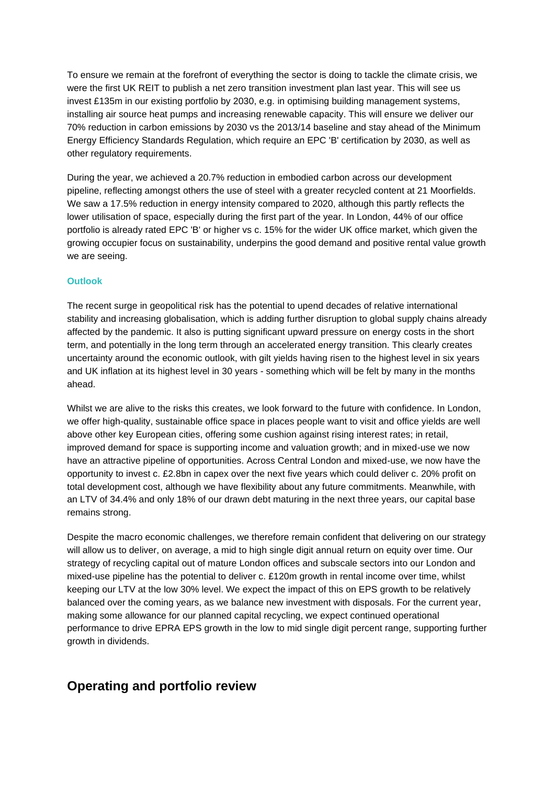To ensure we remain at the forefront of everything the sector is doing to tackle the climate crisis, we were the first UK REIT to publish a net zero transition investment plan last year. This will see us invest £135m in our existing portfolio by 2030, e.g. in optimising building management systems, installing air source heat pumps and increasing renewable capacity. This will ensure we deliver our 70% reduction in carbon emissions by 2030 vs the 2013/14 baseline and stay ahead of the Minimum Energy Efficiency Standards Regulation, which require an EPC 'B' certification by 2030, as well as other regulatory requirements.

During the year, we achieved a 20.7% reduction in embodied carbon across our development pipeline, reflecting amongst others the use of steel with a greater recycled content at 21 Moorfields. We saw a 17.5% reduction in energy intensity compared to 2020, although this partly reflects the lower utilisation of space, especially during the first part of the year. In London, 44% of our office portfolio is already rated EPC 'B' or higher vs c. 15% for the wider UK office market, which given the growing occupier focus on sustainability, underpins the good demand and positive rental value growth we are seeing.

### **Outlook**

The recent surge in geopolitical risk has the potential to upend decades of relative international stability and increasing globalisation, which is adding further disruption to global supply chains already affected by the pandemic. It also is putting significant upward pressure on energy costs in the short term, and potentially in the long term through an accelerated energy transition. This clearly creates uncertainty around the economic outlook, with gilt yields having risen to the highest level in six years and UK inflation at its highest level in 30 years - something which will be felt by many in the months ahead.

Whilst we are alive to the risks this creates, we look forward to the future with confidence. In London, we offer high-quality, sustainable office space in places people want to visit and office yields are well above other key European cities, offering some cushion against rising interest rates; in retail, improved demand for space is supporting income and valuation growth; and in mixed-use we now have an attractive pipeline of opportunities. Across Central London and mixed-use, we now have the opportunity to invest c. £2.8bn in capex over the next five years which could deliver c. 20% profit on total development cost, although we have flexibility about any future commitments. Meanwhile, with an LTV of 34.4% and only 18% of our drawn debt maturing in the next three years, our capital base remains strong.

Despite the macro economic challenges, we therefore remain confident that delivering on our strategy will allow us to deliver, on average, a mid to high single digit annual return on equity over time. Our strategy of recycling capital out of mature London offices and subscale sectors into our London and mixed-use pipeline has the potential to deliver c. £120m growth in rental income over time, whilst keeping our LTV at the low 30% level. We expect the impact of this on EPS growth to be relatively balanced over the coming years, as we balance new investment with disposals. For the current year, making some allowance for our planned capital recycling, we expect continued operational performance to drive EPRA EPS growth in the low to mid single digit percent range, supporting further growth in dividends.

# **Operating and portfolio review**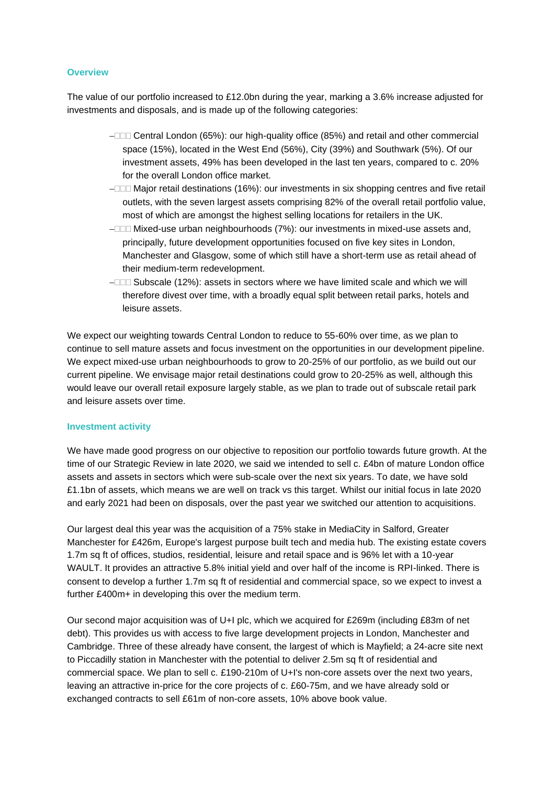### **Overview**

The value of our portfolio increased to £12.0bn during the year, marking a 3.6% increase adjusted for investments and disposals, and is made up of the following categories:

- − Central London (65%): our high-quality office (85%) and retail and other commercial space (15%), located in the West End (56%), City (39%) and Southwark (5%). Of our investment assets, 49% has been developed in the last ten years, compared to c. 20% for the overall London office market.
- − Major retail destinations (16%): our investments in six shopping centres and five retail outlets, with the seven largest assets comprising 82% of the overall retail portfolio value, most of which are amongst the highest selling locations for retailers in the UK.
- − Mixed-use urban neighbourhoods (7%): our investments in mixed-use assets and, principally, future development opportunities focused on five key sites in London, Manchester and Glasgow, some of which still have a short-term use as retail ahead of their medium-term redevelopment.
- − Subscale (12%): assets in sectors where we have limited scale and which we will therefore divest over time, with a broadly equal split between retail parks, hotels and leisure assets.

We expect our weighting towards Central London to reduce to 55-60% over time, as we plan to continue to sell mature assets and focus investment on the opportunities in our development pipeline. We expect mixed-use urban neighbourhoods to grow to 20-25% of our portfolio, as we build out our current pipeline. We envisage major retail destinations could grow to 20-25% as well, although this would leave our overall retail exposure largely stable, as we plan to trade out of subscale retail park and leisure assets over time.

### **Investment activity**

We have made good progress on our objective to reposition our portfolio towards future growth. At the time of our Strategic Review in late 2020, we said we intended to sell c. £4bn of mature London office assets and assets in sectors which were sub-scale over the next six years. To date, we have sold £1.1bn of assets, which means we are well on track vs this target. Whilst our initial focus in late 2020 and early 2021 had been on disposals, over the past year we switched our attention to acquisitions.

Our largest deal this year was the acquisition of a 75% stake in MediaCity in Salford, Greater Manchester for £426m, Europe's largest purpose built tech and media hub. The existing estate covers 1.7m sq ft of offices, studios, residential, leisure and retail space and is 96% let with a 10-year WAULT. It provides an attractive 5.8% initial yield and over half of the income is RPI-linked. There is consent to develop a further 1.7m sq ft of residential and commercial space, so we expect to invest a further £400m+ in developing this over the medium term.

Our second major acquisition was of U+I plc, which we acquired for £269m (including £83m of net debt). This provides us with access to five large development projects in London, Manchester and Cambridge. Three of these already have consent, the largest of which is Mayfield; a 24-acre site next to Piccadilly station in Manchester with the potential to deliver 2.5m sq ft of residential and commercial space. We plan to sell c. £190-210m of U+I's non-core assets over the next two years, leaving an attractive in-price for the core projects of c. £60-75m, and we have already sold or exchanged contracts to sell £61m of non-core assets, 10% above book value.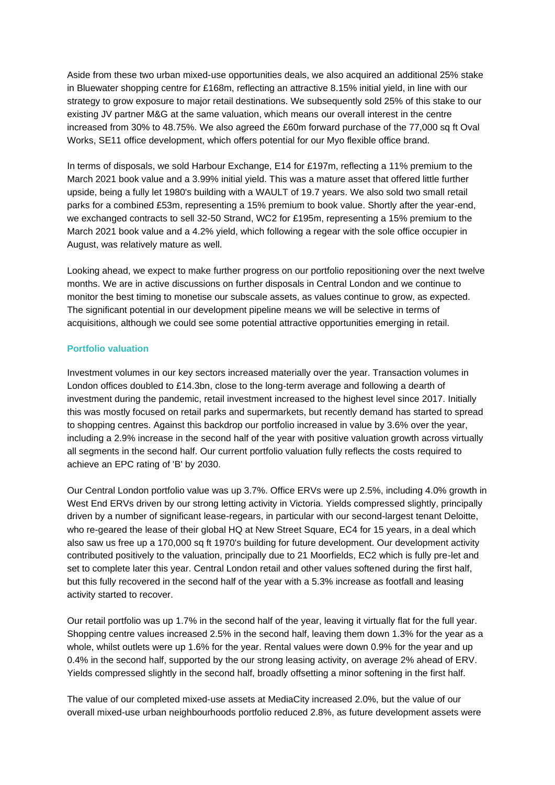Aside from these two urban mixed-use opportunities deals, we also acquired an additional 25% stake in Bluewater shopping centre for £168m, reflecting an attractive 8.15% initial yield, in line with our strategy to grow exposure to major retail destinations. We subsequently sold 25% of this stake to our existing JV partner M&G at the same valuation, which means our overall interest in the centre increased from 30% to 48.75%. We also agreed the £60m forward purchase of the 77,000 sq ft Oval Works, SE11 office development, which offers potential for our Myo flexible office brand.

In terms of disposals, we sold Harbour Exchange, E14 for £197m, reflecting a 11% premium to the March 2021 book value and a 3.99% initial yield. This was a mature asset that offered little further upside, being a fully let 1980's building with a WAULT of 19.7 years. We also sold two small retail parks for a combined £53m, representing a 15% premium to book value. Shortly after the year-end, we exchanged contracts to sell 32-50 Strand, WC2 for £195m, representing a 15% premium to the March 2021 book value and a 4.2% yield, which following a regear with the sole office occupier in August, was relatively mature as well.

Looking ahead, we expect to make further progress on our portfolio repositioning over the next twelve months. We are in active discussions on further disposals in Central London and we continue to monitor the best timing to monetise our subscale assets, as values continue to grow, as expected. The significant potential in our development pipeline means we will be selective in terms of acquisitions, although we could see some potential attractive opportunities emerging in retail.

### **Portfolio valuation**

Investment volumes in our key sectors increased materially over the year. Transaction volumes in London offices doubled to £14.3bn, close to the long-term average and following a dearth of investment during the pandemic, retail investment increased to the highest level since 2017. Initially this was mostly focused on retail parks and supermarkets, but recently demand has started to spread to shopping centres. Against this backdrop our portfolio increased in value by 3.6% over the year, including a 2.9% increase in the second half of the year with positive valuation growth across virtually all segments in the second half. Our current portfolio valuation fully reflects the costs required to achieve an EPC rating of 'B' by 2030.

Our Central London portfolio value was up 3.7%. Office ERVs were up 2.5%, including 4.0% growth in West End ERVs driven by our strong letting activity in Victoria. Yields compressed slightly, principally driven by a number of significant lease-regears, in particular with our second-largest tenant Deloitte, who re-geared the lease of their global HQ at New Street Square, EC4 for 15 years, in a deal which also saw us free up a 170,000 sq ft 1970's building for future development. Our development activity contributed positively to the valuation, principally due to 21 Moorfields, EC2 which is fully pre-let and set to complete later this year. Central London retail and other values softened during the first half, but this fully recovered in the second half of the year with a 5.3% increase as footfall and leasing activity started to recover.

Our retail portfolio was up 1.7% in the second half of the year, leaving it virtually flat for the full year. Shopping centre values increased 2.5% in the second half, leaving them down 1.3% for the year as a whole, whilst outlets were up 1.6% for the year. Rental values were down 0.9% for the year and up 0.4% in the second half, supported by the our strong leasing activity, on average 2% ahead of ERV. Yields compressed slightly in the second half, broadly offsetting a minor softening in the first half.

The value of our completed mixed-use assets at MediaCity increased 2.0%, but the value of our overall mixed-use urban neighbourhoods portfolio reduced 2.8%, as future development assets were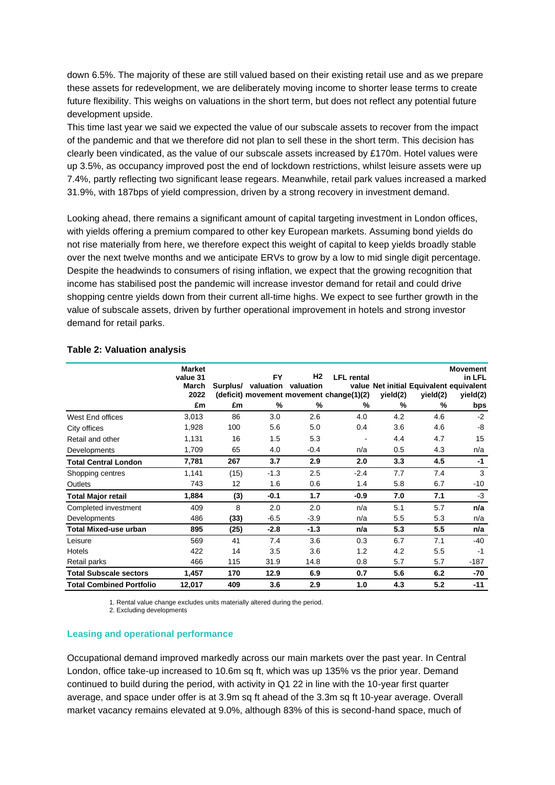down 6.5%. The majority of these are still valued based on their existing retail use and as we prepare these assets for redevelopment, we are deliberately moving income to shorter lease terms to create future flexibility. This weighs on valuations in the short term, but does not reflect any potential future development upside.

This time last year we said we expected the value of our subscale assets to recover from the impact of the pandemic and that we therefore did not plan to sell these in the short term. This decision has clearly been vindicated, as the value of our subscale assets increased by £170m. Hotel values were up 3.5%, as occupancy improved post the end of lockdown restrictions, whilst leisure assets were up 7.4%, partly reflecting two significant lease regears. Meanwhile, retail park values increased a marked 31.9%, with 187bps of yield compression, driven by a strong recovery in investment demand.

Looking ahead, there remains a significant amount of capital targeting investment in London offices, with yields offering a premium compared to other key European markets. Assuming bond yields do not rise materially from here, we therefore expect this weight of capital to keep yields broadly stable over the next twelve months and we anticipate ERVs to grow by a low to mid single digit percentage. Despite the headwinds to consumers of rising inflation, we expect that the growing recognition that income has stabilised post the pandemic will increase investor demand for retail and could drive shopping centre yields down from their current all-time highs. We expect to see further growth in the value of subscale assets, driven by further operational improvement in hotels and strong investor demand for retail parks.

|                                 | <b>Market</b><br>value 31<br><b>March</b><br>2022 | Surplus/ | <b>FY</b><br>valuation | H2<br>valuation | <b>LFL</b> rental<br>(deficit) movement movement change(1)(2) | yield(2) | value Net initial Equivalent equivalent<br>yield(2) | <b>Movement</b><br>in LFL<br>yield(2) |
|---------------------------------|---------------------------------------------------|----------|------------------------|-----------------|---------------------------------------------------------------|----------|-----------------------------------------------------|---------------------------------------|
|                                 | £m                                                | £m       | %                      | %               | %                                                             | %        | %                                                   | bps                                   |
| West End offices                | 3,013                                             | 86       | 3.0                    | 2.6             | 4.0                                                           | 4.2      | 4.6                                                 | $-2$                                  |
| City offices                    | 1,928                                             | 100      | 5.6                    | 5.0             | 0.4                                                           | 3.6      | 4.6                                                 | -8                                    |
| Retail and other                | 1,131                                             | 16       | 1.5                    | 5.3             |                                                               | 4.4      | 4.7                                                 | 15                                    |
| Developments                    | 1,709                                             | 65       | 4.0                    | $-0.4$          | n/a                                                           | 0.5      | 4.3                                                 | n/a                                   |
| <b>Total Central London</b>     | 7,781                                             | 267      | 3.7                    | 2.9             | 2.0                                                           | 3.3      | 4.5                                                 | $-1$                                  |
| Shopping centres                | 1,141                                             | (15)     | $-1.3$                 | 2.5             | $-2.4$                                                        | 7.7      | 7.4                                                 | 3                                     |
| Outlets                         | 743                                               | 12       | 1.6                    | 0.6             | 1.4                                                           | 5.8      | 6.7                                                 | -10                                   |
| <b>Total Major retail</b>       | 1,884                                             | (3)      | $-0.1$                 | 1.7             | $-0.9$                                                        | 7.0      | 7.1                                                 | $-3$                                  |
| Completed investment            | 409                                               | 8        | 2.0                    | 2.0             | n/a                                                           | 5.1      | 5.7                                                 | n/a                                   |
| Developments                    | 486                                               | (33)     | $-6.5$                 | $-3.9$          | n/a                                                           | 5.5      | 5.3                                                 | n/a                                   |
| <b>Total Mixed-use urban</b>    | 895                                               | (25)     | $-2.8$                 | $-1.3$          | n/a                                                           | 5.3      | 5.5                                                 | n/a                                   |
| Leisure                         | 569                                               | 41       | 7.4                    | 3.6             | 0.3                                                           | 6.7      | 7.1                                                 | -40                                   |
| Hotels                          | 422                                               | 14       | 3.5                    | 3.6             | 1.2                                                           | 4.2      | 5.5                                                 | $-1$                                  |
| Retail parks                    | 466                                               | 115      | 31.9                   | 14.8            | 0.8                                                           | 5.7      | 5.7                                                 | $-187$                                |
| <b>Total Subscale sectors</b>   | 1,457                                             | 170      | 12.9                   | 6.9             | 0.7                                                           | 5.6      | 6.2                                                 | -70                                   |
| <b>Total Combined Portfolio</b> | 12,017                                            | 409      | 3.6                    | 2.9             | 1.0                                                           | 4.3      | 5.2                                                 | $-11$                                 |

### **Table 2: Valuation analysis**

1. Rental value change excludes units materially altered during the period.

2. Excluding developments

### **Leasing and operational performance**

Occupational demand improved markedly across our main markets over the past year. In Central London, office take-up increased to 10.6m sq ft, which was up 135% vs the prior year. Demand continued to build during the period, with activity in Q1 22 in line with the 10-year first quarter average, and space under offer is at 3.9m sq ft ahead of the 3.3m sq ft 10-year average. Overall market vacancy remains elevated at 9.0%, although 83% of this is second-hand space, much of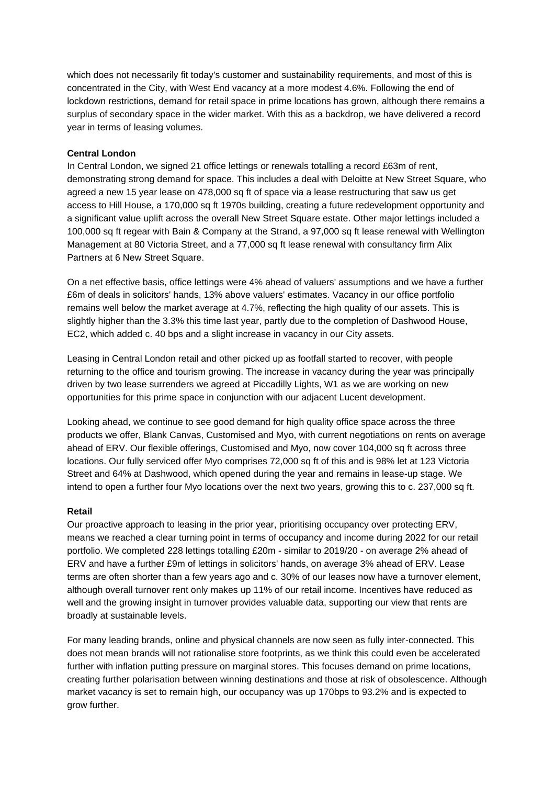which does not necessarily fit today's customer and sustainability requirements, and most of this is concentrated in the City, with West End vacancy at a more modest 4.6%. Following the end of lockdown restrictions, demand for retail space in prime locations has grown, although there remains a surplus of secondary space in the wider market. With this as a backdrop, we have delivered a record year in terms of leasing volumes.

### **Central London**

In Central London, we signed 21 office lettings or renewals totalling a record £63m of rent, demonstrating strong demand for space. This includes a deal with Deloitte at New Street Square, who agreed a new 15 year lease on 478,000 sq ft of space via a lease restructuring that saw us get access to Hill House, a 170,000 sq ft 1970s building, creating a future redevelopment opportunity and a significant value uplift across the overall New Street Square estate. Other major lettings included a 100,000 sq ft regear with Bain & Company at the Strand, a 97,000 sq ft lease renewal with Wellington Management at 80 Victoria Street, and a 77,000 sq ft lease renewal with consultancy firm Alix Partners at 6 New Street Square.

On a net effective basis, office lettings were 4% ahead of valuers' assumptions and we have a further £6m of deals in solicitors' hands, 13% above valuers' estimates. Vacancy in our office portfolio remains well below the market average at 4.7%, reflecting the high quality of our assets. This is slightly higher than the 3.3% this time last year, partly due to the completion of Dashwood House, EC2, which added c. 40 bps and a slight increase in vacancy in our City assets.

Leasing in Central London retail and other picked up as footfall started to recover, with people returning to the office and tourism growing. The increase in vacancy during the year was principally driven by two lease surrenders we agreed at Piccadilly Lights, W1 as we are working on new opportunities for this prime space in conjunction with our adjacent Lucent development.

Looking ahead, we continue to see good demand for high quality office space across the three products we offer, Blank Canvas, Customised and Myo, with current negotiations on rents on average ahead of ERV. Our flexible offerings, Customised and Myo, now cover 104,000 sq ft across three locations. Our fully serviced offer Myo comprises 72,000 sq ft of this and is 98% let at 123 Victoria Street and 64% at Dashwood, which opened during the year and remains in lease-up stage. We intend to open a further four Myo locations over the next two years, growing this to c. 237,000 sq ft.

### **Retail**

Our proactive approach to leasing in the prior year, prioritising occupancy over protecting ERV, means we reached a clear turning point in terms of occupancy and income during 2022 for our retail portfolio. We completed 228 lettings totalling £20m - similar to 2019/20 - on average 2% ahead of ERV and have a further £9m of lettings in solicitors' hands, on average 3% ahead of ERV. Lease terms are often shorter than a few years ago and c. 30% of our leases now have a turnover element, although overall turnover rent only makes up 11% of our retail income. Incentives have reduced as well and the growing insight in turnover provides valuable data, supporting our view that rents are broadly at sustainable levels.

For many leading brands, online and physical channels are now seen as fully inter-connected. This does not mean brands will not rationalise store footprints, as we think this could even be accelerated further with inflation putting pressure on marginal stores. This focuses demand on prime locations, creating further polarisation between winning destinations and those at risk of obsolescence. Although market vacancy is set to remain high, our occupancy was up 170bps to 93.2% and is expected to grow further.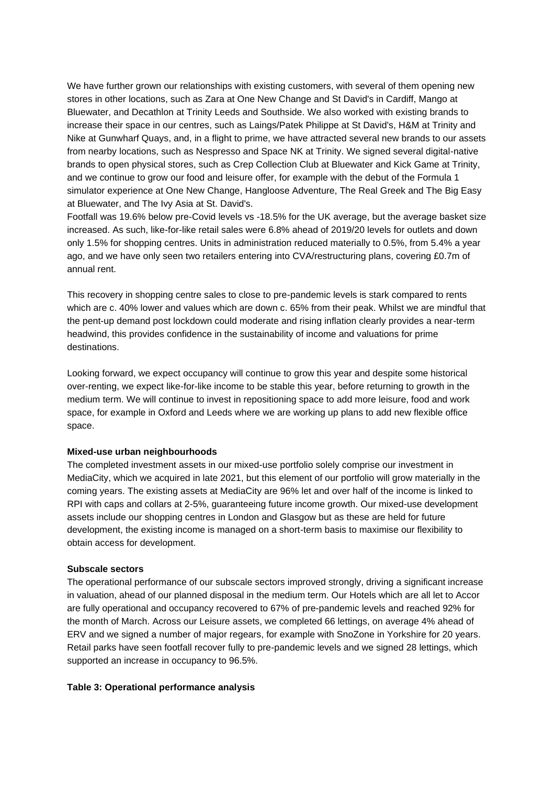We have further grown our relationships with existing customers, with several of them opening new stores in other locations, such as Zara at One New Change and St David's in Cardiff, Mango at Bluewater, and Decathlon at Trinity Leeds and Southside. We also worked with existing brands to increase their space in our centres, such as Laings/Patek Philippe at St David's, H&M at Trinity and Nike at Gunwharf Quays, and, in a flight to prime, we have attracted several new brands to our assets from nearby locations, such as Nespresso and Space NK at Trinity. We signed several digital-native brands to open physical stores, such as Crep Collection Club at Bluewater and Kick Game at Trinity, and we continue to grow our food and leisure offer, for example with the debut of the Formula 1 simulator experience at One New Change, Hangloose Adventure, The Real Greek and The Big Easy at Bluewater, and The Ivy Asia at St. David's.

Footfall was 19.6% below pre-Covid levels vs -18.5% for the UK average, but the average basket size increased. As such, like-for-like retail sales were 6.8% ahead of 2019/20 levels for outlets and down only 1.5% for shopping centres. Units in administration reduced materially to 0.5%, from 5.4% a year ago, and we have only seen two retailers entering into CVA/restructuring plans, covering £0.7m of annual rent.

This recovery in shopping centre sales to close to pre-pandemic levels is stark compared to rents which are c. 40% lower and values which are down c. 65% from their peak. Whilst we are mindful that the pent-up demand post lockdown could moderate and rising inflation clearly provides a near-term headwind, this provides confidence in the sustainability of income and valuations for prime destinations.

Looking forward, we expect occupancy will continue to grow this year and despite some historical over-renting, we expect like-for-like income to be stable this year, before returning to growth in the medium term. We will continue to invest in repositioning space to add more leisure, food and work space, for example in Oxford and Leeds where we are working up plans to add new flexible office space.

### **Mixed-use urban neighbourhoods**

The completed investment assets in our mixed-use portfolio solely comprise our investment in MediaCity, which we acquired in late 2021, but this element of our portfolio will grow materially in the coming years. The existing assets at MediaCity are 96% let and over half of the income is linked to RPI with caps and collars at 2-5%, guaranteeing future income growth. Our mixed-use development assets include our shopping centres in London and Glasgow but as these are held for future development, the existing income is managed on a short-term basis to maximise our flexibility to obtain access for development.

### **Subscale sectors**

The operational performance of our subscale sectors improved strongly, driving a significant increase in valuation, ahead of our planned disposal in the medium term. Our Hotels which are all let to Accor are fully operational and occupancy recovered to 67% of pre-pandemic levels and reached 92% for the month of March. Across our Leisure assets, we completed 66 lettings, on average 4% ahead of ERV and we signed a number of major regears, for example with SnoZone in Yorkshire for 20 years. Retail parks have seen footfall recover fully to pre-pandemic levels and we signed 28 lettings, which supported an increase in occupancy to 96.5%.

### **Table 3: Operational performance analysis**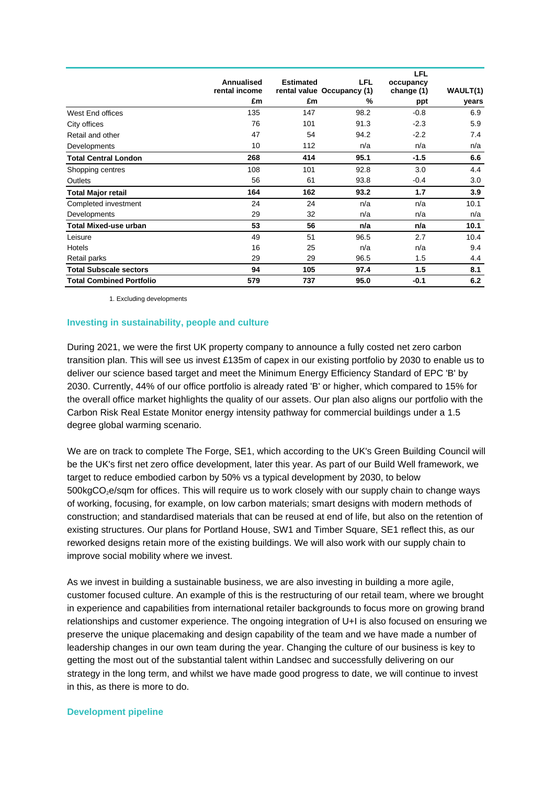|                                 | Annualised<br>rental income | <b>Estimated</b> | LFL<br>rental value Occupancy (1) | <b>LFL</b><br>occupancy<br>change (1) | WAULT(1) |
|---------------------------------|-----------------------------|------------------|-----------------------------------|---------------------------------------|----------|
|                                 | £m                          | £m               | %                                 | ppt                                   | years    |
| West End offices                | 135                         | 147              | 98.2                              | $-0.8$                                | 6.9      |
| City offices                    | 76                          | 101              | 91.3                              | $-2.3$                                | 5.9      |
| Retail and other                | 47                          | 54               | 94.2                              | $-2.2$                                | 7.4      |
| Developments                    | 10                          | 112              | n/a                               | n/a                                   | n/a      |
| <b>Total Central London</b>     | 268                         | 414              | 95.1                              | $-1.5$                                | 6.6      |
| Shopping centres                | 108                         | 101              | 92.8                              | 3.0                                   | 4.4      |
| Outlets                         | 56                          | 61               | 93.8                              | $-0.4$                                | 3.0      |
| <b>Total Major retail</b>       | 164                         | 162              | 93.2                              | 1.7                                   | 3.9      |
| Completed investment            | 24                          | 24               | n/a                               | n/a                                   | 10.1     |
| Developments                    | 29                          | 32               | n/a                               | n/a                                   | n/a      |
| <b>Total Mixed-use urban</b>    | 53                          | 56               | n/a                               | n/a                                   | 10.1     |
| Leisure                         | 49                          | 51               | 96.5                              | 2.7                                   | 10.4     |
| Hotels                          | 16                          | 25               | n/a                               | n/a                                   | 9.4      |
| Retail parks                    | 29                          | 29               | 96.5                              | 1.5                                   | 4.4      |
| <b>Total Subscale sectors</b>   | 94                          | 105              | 97.4                              | 1.5                                   | 8.1      |
| <b>Total Combined Portfolio</b> | 579                         | 737              | 95.0                              | $-0.1$                                | 6.2      |

1. Excluding developments

### **Investing in sustainability, people and culture**

During 2021, we were the first UK property company to announce a fully costed net zero carbon transition plan. This will see us invest £135m of capex in our existing portfolio by 2030 to enable us to deliver our science based target and meet the Minimum Energy Efficiency Standard of EPC 'B' by 2030. Currently, 44% of our office portfolio is already rated 'B' or higher, which compared to 15% for the overall office market highlights the quality of our assets. Our plan also aligns our portfolio with the Carbon Risk Real Estate Monitor energy intensity pathway for commercial buildings under a 1.5 degree global warming scenario.

We are on track to complete The Forge, SE1, which according to the UK's Green Building Council will be the UK's first net zero office development, later this year. As part of our Build Well framework, we target to reduce embodied carbon by 50% vs a typical development by 2030, to below  $500kgCO<sub>2</sub>e/sqm$  for offices. This will require us to work closely with our supply chain to change ways of working, focusing, for example, on low carbon materials; smart designs with modern methods of construction; and standardised materials that can be reused at end of life, but also on the retention of existing structures. Our plans for Portland House, SW1 and Timber Square, SE1 reflect this, as our reworked designs retain more of the existing buildings. We will also work with our supply chain to improve social mobility where we invest.

As we invest in building a sustainable business, we are also investing in building a more agile, customer focused culture. An example of this is the restructuring of our retail team, where we brought in experience and capabilities from international retailer backgrounds to focus more on growing brand relationships and customer experience. The ongoing integration of U+I is also focused on ensuring we preserve the unique placemaking and design capability of the team and we have made a number of leadership changes in our own team during the year. Changing the culture of our business is key to getting the most out of the substantial talent within Landsec and successfully delivering on our strategy in the long term, and whilst we have made good progress to date, we will continue to invest in this, as there is more to do.

### **Development pipeline**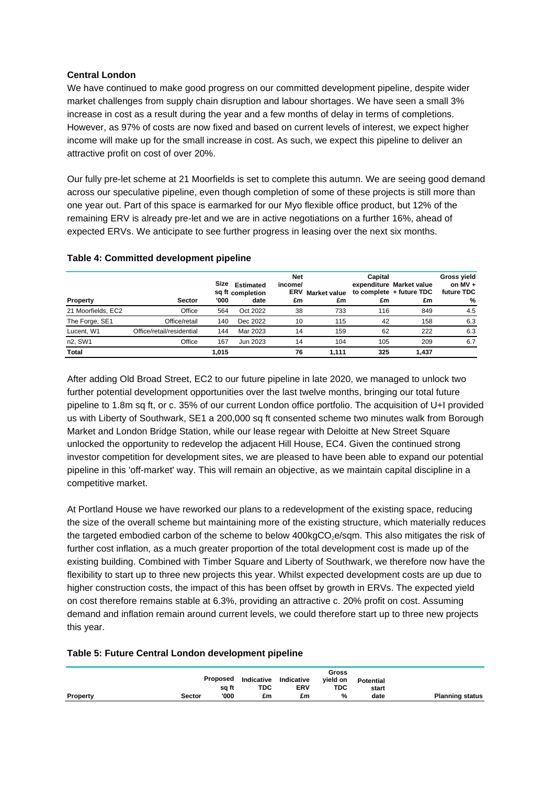### **Central London**

We have continued to make good progress on our committed development pipeline, despite wider market challenges from supply chain disruption and labour shortages. We have seen a small 3% increase in cost as a result during the year and a few months of delay in terms of completions. However, as 97% of costs are now fixed and based on current levels of interest, we expect higher income will make up for the small increase in cost. As such, we expect this pipeline to deliver an attractive profit on cost of over 20%.

Our fully pre-let scheme at 21 Moorfields is set to complete this autumn. We are seeing good demand across our speculative pipeline, even though completion of some of these projects is still more than one year out. Part of this space is earmarked for our Myo flexible office product, but 12% of the remaining ERV is already pre-let and we are in active negotiations on a further 16%, ahead of expected ERVs. We anticipate to see further progress in leasing over the next six months.

|                    |                           | Size  | <b>Estimated</b><br>sq ft completion | <b>Net</b><br>income/<br><b>ERV</b> | <b>Market value</b> | Capital | expenditure Market value<br>to complete + future TDC | <b>Gross yield</b><br>on $MV +$<br>future TDC |
|--------------------|---------------------------|-------|--------------------------------------|-------------------------------------|---------------------|---------|------------------------------------------------------|-----------------------------------------------|
| <b>Property</b>    | <b>Sector</b>             | '000  | date                                 | £m                                  | £m                  | £m      | £m                                                   | %                                             |
| 21 Moorfields, EC2 | Office                    | 564   | Oct 2022                             | 38                                  | 733                 | 116     | 849                                                  | 4.5                                           |
| The Forge, SE1     | Office/retail             | 140   | Dec 2022                             | 10                                  | 115                 | 42      | 158                                                  | 6.3                                           |
| Lucent, W1         | Office/retail/residential | 144   | Mar 2023                             | 14                                  | 159                 | 62      | 222                                                  | 6.3                                           |
| n2, SW1            | Office                    | 167   | Jun 2023                             | 14                                  | 104                 | 105     | 209                                                  | 6.7                                           |
| <b>Total</b>       |                           | 1,015 |                                      | 76                                  | 1.111               | 325     | 1.437                                                |                                               |

### **Table 4: Committed development pipeline**

After adding Old Broad Street, EC2 to our future pipeline in late 2020, we managed to unlock two further potential development opportunities over the last twelve months, bringing our total future pipeline to 1.8m sq ft, or c. 35% of our current London office portfolio. The acquisition of U+I provided us with Liberty of Southwark, SE1 a 200,000 sq ft consented scheme two minutes walk from Borough Market and London Bridge Station, while our lease regear with Deloitte at New Street Square unlocked the opportunity to redevelop the adjacent Hill House, EC4. Given the continued strong investor competition for development sites, we are pleased to have been able to expand our potential pipeline in this 'off-market' way. This will remain an objective, as we maintain capital discipline in a competitive market.

At Portland House we have reworked our plans to a redevelopment of the existing space, reducing the size of the overall scheme but maintaining more of the existing structure, which materially reduces the targeted embodied carbon of the scheme to below  $400kgCO<sub>2</sub>e/sqm$ . This also mitigates the risk of further cost inflation, as a much greater proportion of the total development cost is made up of the existing building. Combined with Timber Square and Liberty of Southwark, we therefore now have the flexibility to start up to three new projects this year. Whilst expected development costs are up due to higher construction costs, the impact of this has been offset by growth in ERVs. The expected yield on cost therefore remains stable at 6.3%, providing an attractive c. 20% profit on cost. Assuming demand and inflation remain around current levels, we could therefore start up to three new projects this year.

### **Table 5: Future Central London development pipeline**

|          |        | Proposed      | Indicative | Indicative | Gross<br>vield on | Potential |                        |
|----------|--------|---------------|------------|------------|-------------------|-----------|------------------------|
|          |        | sa ft<br>'000 | TDC        | <b>ERV</b> | <b>TDC</b><br>%   | start     |                        |
| Property | Sector |               | £m         | £m         |                   | date      | <b>Planning status</b> |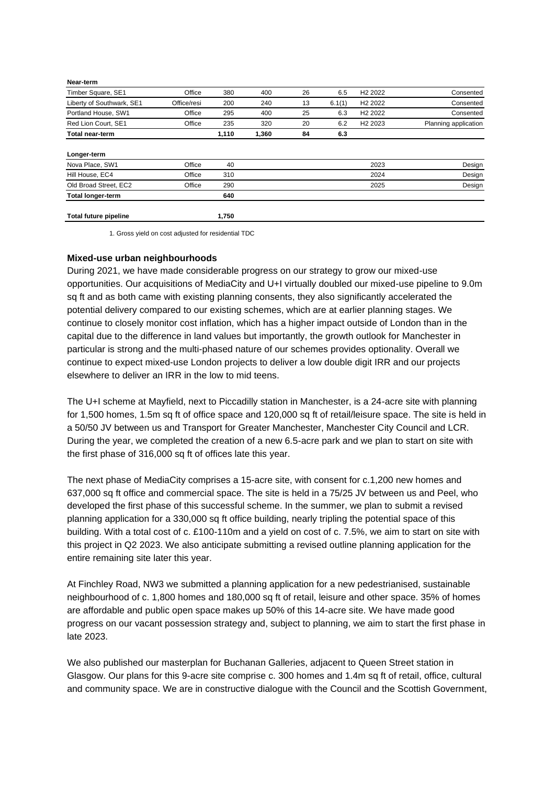| <b>Total future pipeline</b> |             | 1,750 |       |    |        |                     |                      |
|------------------------------|-------------|-------|-------|----|--------|---------------------|----------------------|
| <b>Total longer-term</b>     |             | 640   |       |    |        |                     |                      |
| Old Broad Street, EC2        | Office      | 290   |       |    |        | 2025                | Design               |
| Hill House, EC4              | Office      | 310   |       |    |        | 2024                | Design               |
| Nova Place, SW1              | Office      | 40    |       |    |        | 2023                | Design               |
| Longer-term                  |             |       |       |    |        |                     |                      |
| <b>Total near-term</b>       |             | 1,110 | 1,360 | 84 | 6.3    |                     |                      |
| Red Lion Court, SE1          | Office      | 235   | 320   | 20 | 6.2    | H <sub>2</sub> 2023 | Planning application |
| Portland House, SW1          | Office      | 295   | 400   | 25 | 6.3    | H <sub>2</sub> 2022 | Consented            |
| Liberty of Southwark, SE1    | Office/resi | 200   | 240   | 13 | 6.1(1) | H <sub>2</sub> 2022 | Consented            |
| Timber Square, SE1           | Office      | 380   | 400   | 26 | 6.5    | H <sub>2</sub> 2022 | Consented            |
| Near-term                    |             |       |       |    |        |                     |                      |

1. Gross yield on cost adjusted for residential TDC

### **Mixed-use urban neighbourhoods**

During 2021, we have made considerable progress on our strategy to grow our mixed-use opportunities. Our acquisitions of MediaCity and U+I virtually doubled our mixed-use pipeline to 9.0m sq ft and as both came with existing planning consents, they also significantly accelerated the potential delivery compared to our existing schemes, which are at earlier planning stages. We continue to closely monitor cost inflation, which has a higher impact outside of London than in the capital due to the difference in land values but importantly, the growth outlook for Manchester in particular is strong and the multi-phased nature of our schemes provides optionality. Overall we continue to expect mixed-use London projects to deliver a low double digit IRR and our projects elsewhere to deliver an IRR in the low to mid teens.

The U+I scheme at Mayfield, next to Piccadilly station in Manchester, is a 24-acre site with planning for 1,500 homes, 1.5m sq ft of office space and 120,000 sq ft of retail/leisure space. The site is held in a 50/50 JV between us and Transport for Greater Manchester, Manchester City Council and LCR. During the year, we completed the creation of a new 6.5-acre park and we plan to start on site with the first phase of 316,000 sq ft of offices late this year.

The next phase of MediaCity comprises a 15-acre site, with consent for c.1,200 new homes and 637,000 sq ft office and commercial space. The site is held in a 75/25 JV between us and Peel, who developed the first phase of this successful scheme. In the summer, we plan to submit a revised planning application for a 330,000 sq ft office building, nearly tripling the potential space of this building. With a total cost of c. £100-110m and a yield on cost of c. 7.5%, we aim to start on site with this project in Q2 2023. We also anticipate submitting a revised outline planning application for the entire remaining site later this year.

At Finchley Road, NW3 we submitted a planning application for a new pedestrianised, sustainable neighbourhood of c. 1,800 homes and 180,000 sq ft of retail, leisure and other space. 35% of homes are affordable and public open space makes up 50% of this 14-acre site. We have made good progress on our vacant possession strategy and, subject to planning, we aim to start the first phase in late 2023.

We also published our masterplan for Buchanan Galleries, adjacent to Queen Street station in Glasgow. Our plans for this 9-acre site comprise c. 300 homes and 1.4m sq ft of retail, office, cultural and community space. We are in constructive dialogue with the Council and the Scottish Government,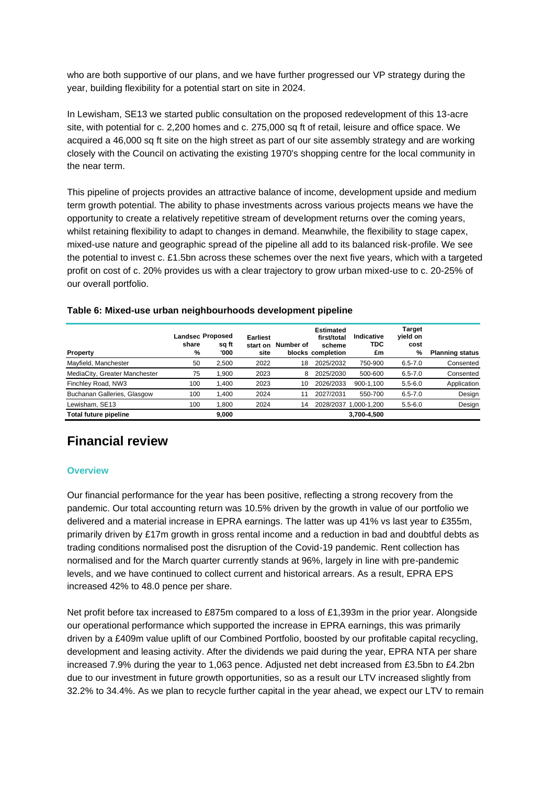who are both supportive of our plans, and we have further progressed our VP strategy during the year, building flexibility for a potential start on site in 2024.

In Lewisham, SE13 we started public consultation on the proposed redevelopment of this 13-acre site, with potential for c. 2,200 homes and c. 275,000 sq ft of retail, leisure and office space. We acquired a 46,000 sq ft site on the high street as part of our site assembly strategy and are working closely with the Council on activating the existing 1970's shopping centre for the local community in the near term.

This pipeline of projects provides an attractive balance of income, development upside and medium term growth potential. The ability to phase investments across various projects means we have the opportunity to create a relatively repetitive stream of development returns over the coming years, whilst retaining flexibility to adapt to changes in demand. Meanwhile, the flexibility to stage capex, mixed-use nature and geographic spread of the pipeline all add to its balanced risk-profile. We see the potential to invest c. £1.5bn across these schemes over the next five years, which with a targeted profit on cost of c. 20% provides us with a clear trajectory to grow urban mixed-use to c. 20-25% of our overall portfolio.

| <b>Property</b>               | share<br>% | <b>Landsec Proposed</b><br>sq ft<br>'000 | Earliest<br>start on<br>site | Number of | <b>Estimated</b><br>first/total<br>scheme<br>blocks completion | Indicative<br><b>TDC</b><br>£m | Target<br>yield on<br>cost<br>% | <b>Planning status</b> |
|-------------------------------|------------|------------------------------------------|------------------------------|-----------|----------------------------------------------------------------|--------------------------------|---------------------------------|------------------------|
| Mayfield, Manchester          | 50         | 2.500                                    | 2022                         | 18        | 2025/2032                                                      | 750-900                        | $6.5 - 7.0$                     | Consented              |
| MediaCity, Greater Manchester | 75         | .900                                     | 2023                         | 8         | 2025/2030                                                      | 500-600                        | $6.5 - 7.0$                     | Consented              |
| Finchley Road, NW3            | 100        | 1.400                                    | 2023                         | 10        | 2026/2033                                                      | 900-1.100                      | $5.5 - 6.0$                     | Application            |
| Buchanan Galleries, Glasgow   | 100        | .400                                     | 2024                         |           | 2027/2031                                                      | 550-700                        | $6.5 - 7.0$                     | Design                 |
| Lewisham, SE13                | 100        | .800                                     | 2024                         | 14        | 2028/2037                                                      | 1.000-1.200                    | $5.5 - 6.0$                     | Design                 |
| Total future pipeline         |            | 9.000                                    |                              |           |                                                                | 3,700-4,500                    |                                 |                        |

### **Table 6: Mixed-use urban neighbourhoods development pipeline**

# **Financial review**

### **Overview**

Our financial performance for the year has been positive, reflecting a strong recovery from the pandemic. Our total accounting return was 10.5% driven by the growth in value of our portfolio we delivered and a material increase in EPRA earnings. The latter was up 41% vs last year to £355m, primarily driven by £17m growth in gross rental income and a reduction in bad and doubtful debts as trading conditions normalised post the disruption of the Covid-19 pandemic. Rent collection has normalised and for the March quarter currently stands at 96%, largely in line with pre-pandemic levels, and we have continued to collect current and historical arrears. As a result, EPRA EPS increased 42% to 48.0 pence per share.

Net profit before tax increased to £875m compared to a loss of £1,393m in the prior year. Alongside our operational performance which supported the increase in EPRA earnings, this was primarily driven by a £409m value uplift of our Combined Portfolio, boosted by our profitable capital recycling, development and leasing activity. After the dividends we paid during the year, EPRA NTA per share increased 7.9% during the year to 1,063 pence. Adjusted net debt increased from £3.5bn to £4.2bn due to our investment in future growth opportunities, so as a result our LTV increased slightly from 32.2% to 34.4%. As we plan to recycle further capital in the year ahead, we expect our LTV to remain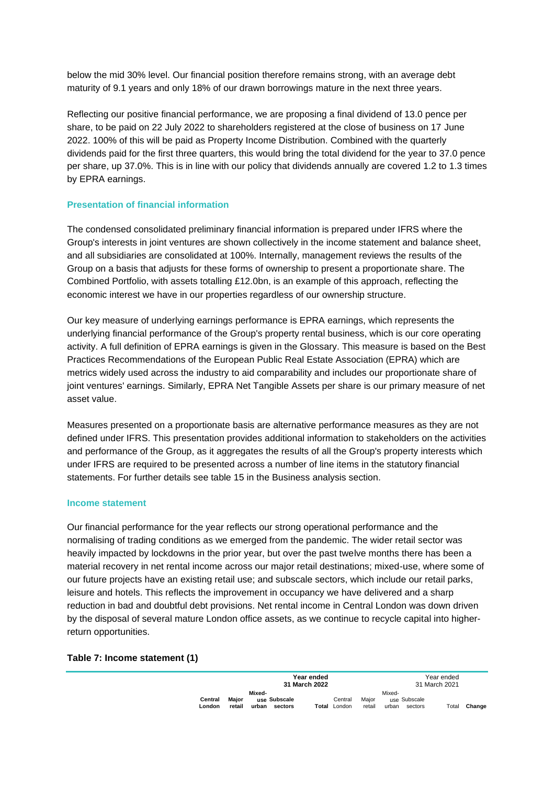below the mid 30% level. Our financial position therefore remains strong, with an average debt maturity of 9.1 years and only 18% of our drawn borrowings mature in the next three years.

Reflecting our positive financial performance, we are proposing a final dividend of 13.0 pence per share, to be paid on 22 July 2022 to shareholders registered at the close of business on 17 June 2022. 100% of this will be paid as Property Income Distribution. Combined with the quarterly dividends paid for the first three quarters, this would bring the total dividend for the year to 37.0 pence per share, up 37.0%. This is in line with our policy that dividends annually are covered 1.2 to 1.3 times by EPRA earnings.

### **Presentation of financial information**

The condensed consolidated preliminary financial information is prepared under IFRS where the Group's interests in joint ventures are shown collectively in the income statement and balance sheet, and all subsidiaries are consolidated at 100%. Internally, management reviews the results of the Group on a basis that adjusts for these forms of ownership to present a proportionate share. The Combined Portfolio, with assets totalling £12.0bn, is an example of this approach, reflecting the economic interest we have in our properties regardless of our ownership structure.

Our key measure of underlying earnings performance is EPRA earnings, which represents the underlying financial performance of the Group's property rental business, which is our core operating activity. A full definition of EPRA earnings is given in the Glossary. This measure is based on the Best Practices Recommendations of the European Public Real Estate Association (EPRA) which are metrics widely used across the industry to aid comparability and includes our proportionate share of joint ventures' earnings. Similarly, EPRA Net Tangible Assets per share is our primary measure of net asset value.

Measures presented on a proportionate basis are alternative performance measures as they are not defined under IFRS. This presentation provides additional information to stakeholders on the activities and performance of the Group, as it aggregates the results of all the Group's property interests which under IFRS are required to be presented across a number of line items in the statutory financial statements. For further details see table 15 in the Business analysis section.

### **Income statement**

Our financial performance for the year reflects our strong operational performance and the normalising of trading conditions as we emerged from the pandemic. The wider retail sector was heavily impacted by lockdowns in the prior year, but over the past twelve months there has been a material recovery in net rental income across our major retail destinations; mixed-use, where some of our future projects have an existing retail use; and subscale sectors, which include our retail parks, leisure and hotels. This reflects the improvement in occupancy we have delivered and a sharp reduction in bad and doubtful debt provisions. Net rental income in Central London was down driven by the disposal of several mature London office assets, as we continue to recycle capital into higherreturn opportunities.

### **Table 7: Income statement (1)**

|                                      | Year ended<br>31 March 2022                | Year ended<br>31 March 2021                       |                                                     |        |  |
|--------------------------------------|--------------------------------------------|---------------------------------------------------|-----------------------------------------------------|--------|--|
| Maior<br>Central<br>retail<br>London | Mixed-<br>use Subscale<br>urban<br>sectors | Maior<br>Central<br><b>Total London</b><br>retail | Mixed-<br>use Subscale<br>Total<br>urban<br>sectors | Change |  |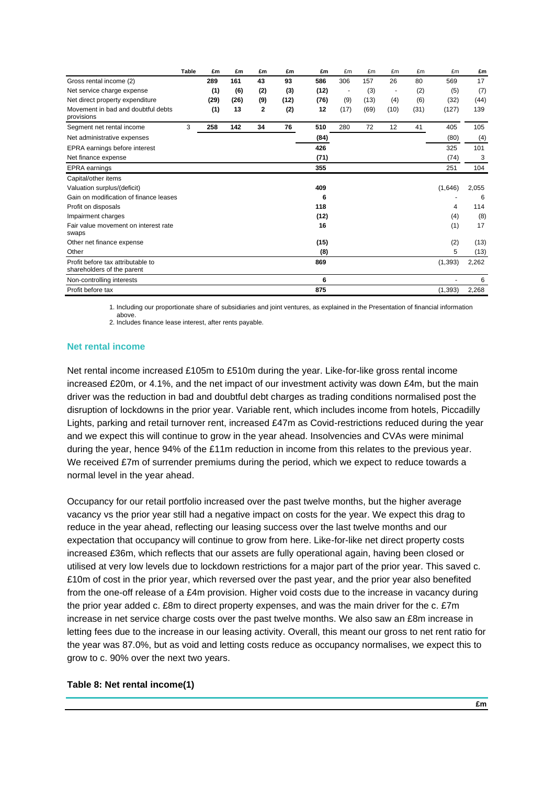|                                                                 | <b>Table</b> | £m   | £m   | £m           | £m   | £m   | £m             | £m   | £m   | £m   | £m       | £m    |
|-----------------------------------------------------------------|--------------|------|------|--------------|------|------|----------------|------|------|------|----------|-------|
| Gross rental income (2)                                         |              | 289  | 161  | 43           | 93   | 586  | 306            | 157  | 26   | 80   | 569      | 17    |
| Net service charge expense                                      |              | (1)  | (6)  | (2)          | (3)  | (12) | $\overline{a}$ | (3)  |      | (2)  | (5)      | (7)   |
| Net direct property expenditure                                 |              | (29) | (26) | (9)          | (12) | (76) | (9)            | (13) | (4)  | (6)  | (32)     | (44)  |
| Movement in bad and doubtful debts<br>provisions                |              | (1)  | 13   | $\mathbf{2}$ | (2)  | 12   | (17)           | (69) | (10) | (31) | (127)    | 139   |
| Segment net rental income                                       | 3            | 258  | 142  | 34           | 76   | 510  | 280            | 72   | 12   | 41   | 405      | 105   |
| Net administrative expenses                                     |              |      |      |              |      | (84) |                |      |      |      | (80)     | (4)   |
| EPRA earnings before interest                                   |              |      |      |              |      | 426  |                |      |      |      | 325      | 101   |
| Net finance expense                                             |              |      |      |              |      | (71) |                |      |      |      | (74)     | 3     |
| <b>EPRA</b> earnings                                            |              |      |      |              |      | 355  |                |      |      |      | 251      | 104   |
| Capital/other items                                             |              |      |      |              |      |      |                |      |      |      |          |       |
| Valuation surplus/(deficit)                                     |              |      |      |              |      | 409  |                |      |      |      | (1,646)  | 2,055 |
| Gain on modification of finance leases                          |              |      |      |              |      | 6    |                |      |      |      |          | 6     |
| Profit on disposals                                             |              |      |      |              |      | 118  |                |      |      |      | 4        | 114   |
| Impairment charges                                              |              |      |      |              |      | (12) |                |      |      |      | (4)      | (8)   |
| Fair value movement on interest rate<br>swaps                   |              |      |      |              |      | 16   |                |      |      |      | (1)      | 17    |
| Other net finance expense                                       |              |      |      |              |      | (15) |                |      |      |      | (2)      | (13)  |
| Other                                                           |              |      |      |              |      | (8)  |                |      |      |      | 5        | (13)  |
| Profit before tax attributable to<br>shareholders of the parent |              |      |      |              |      | 869  |                |      |      |      | (1, 393) | 2,262 |
| Non-controlling interests                                       |              |      |      |              |      | 6    |                |      |      |      |          | 6     |
| Profit before tax                                               |              |      |      |              |      | 875  |                |      |      |      | (1, 393) | 2,268 |

1. Including our proportionate share of subsidiaries and joint ventures, as explained in the Presentation of financial information above.

2. Includes finance lease interest, after rents payable.

### **Net rental income**

Net rental income increased £105m to £510m during the year. Like-for-like gross rental income increased £20m, or 4.1%, and the net impact of our investment activity was down £4m, but the main driver was the reduction in bad and doubtful debt charges as trading conditions normalised post the disruption of lockdowns in the prior year. Variable rent, which includes income from hotels, Piccadilly Lights, parking and retail turnover rent, increased £47m as Covid-restrictions reduced during the year and we expect this will continue to grow in the year ahead. Insolvencies and CVAs were minimal during the year, hence 94% of the £11m reduction in income from this relates to the previous year. We received £7m of surrender premiums during the period, which we expect to reduce towards a normal level in the year ahead.

Occupancy for our retail portfolio increased over the past twelve months, but the higher average vacancy vs the prior year still had a negative impact on costs for the year. We expect this drag to reduce in the year ahead, reflecting our leasing success over the last twelve months and our expectation that occupancy will continue to grow from here. Like-for-like net direct property costs increased £36m, which reflects that our assets are fully operational again, having been closed or utilised at very low levels due to lockdown restrictions for a major part of the prior year. This saved c. £10m of cost in the prior year, which reversed over the past year, and the prior year also benefited from the one-off release of a £4m provision. Higher void costs due to the increase in vacancy during the prior year added c. £8m to direct property expenses, and was the main driver for the c. £7m increase in net service charge costs over the past twelve months. We also saw an £8m increase in letting fees due to the increase in our leasing activity. Overall, this meant our gross to net rent ratio for the year was 87.0%, but as void and letting costs reduce as occupancy normalises, we expect this to grow to c. 90% over the next two years.

### **Table 8: Net rental income(1)**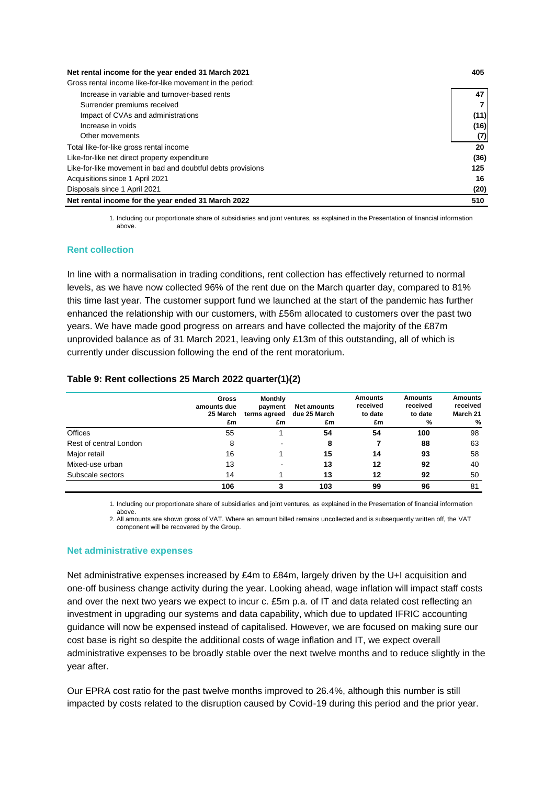| Net rental income for the year ended 31 March 2021          | 405  |
|-------------------------------------------------------------|------|
| Gross rental income like-for-like movement in the period:   |      |
| Increase in variable and turnover-based rents               | 47   |
| Surrender premiums received                                 |      |
| Impact of CVAs and administrations                          | (11) |
| Increase in voids                                           | (16) |
| Other movements                                             | (7)  |
| Total like-for-like gross rental income                     | 20   |
| Like-for-like net direct property expenditure               | (36) |
| Like-for-like movement in bad and doubtful debts provisions | 125  |
| Acquisitions since 1 April 2021                             | 16   |
| Disposals since 1 April 2021                                | (20) |
| Net rental income for the year ended 31 March 2022          | 510  |

1. Including our proportionate share of subsidiaries and joint ventures, as explained in the Presentation of financial information above.

### **Rent collection**

In line with a normalisation in trading conditions, rent collection has effectively returned to normal levels, as we have now collected 96% of the rent due on the March quarter day, compared to 81% this time last year. The customer support fund we launched at the start of the pandemic has further enhanced the relationship with our customers, with £56m allocated to customers over the past two years. We have made good progress on arrears and have collected the majority of the £87m unprovided balance as of 31 March 2021, leaving only £13m of this outstanding, all of which is currently under discussion following the end of the rent moratorium.

### **Table 9: Rent collections 25 March 2022 quarter(1)(2)**

|                        | Gross<br>amounts due<br>25 March<br>£m | <b>Monthly</b><br>payment<br>terms agreed<br>£m | <b>Net amounts</b><br>due 25 March<br>£m | <b>Amounts</b><br>received<br>to date<br>£m | <b>Amounts</b><br>received<br>to date<br>% | <b>Amounts</b><br>received<br>March 21<br>% |
|------------------------|----------------------------------------|-------------------------------------------------|------------------------------------------|---------------------------------------------|--------------------------------------------|---------------------------------------------|
| Offices                | 55                                     |                                                 | 54                                       | 54                                          | 100                                        | 98                                          |
| Rest of central London | 8                                      |                                                 | 8                                        |                                             | 88                                         | 63                                          |
| Major retail           | 16                                     |                                                 | 15                                       | 14                                          | 93                                         | 58                                          |
| Mixed-use urban        | 13                                     |                                                 | 13                                       | 12                                          | 92                                         | 40                                          |
| Subscale sectors       | 14                                     |                                                 | 13                                       | 12                                          | 92                                         | 50                                          |
|                        | 106                                    | 3                                               | 103                                      | 99                                          | 96                                         | 81                                          |

1. Including our proportionate share of subsidiaries and joint ventures, as explained in the Presentation of financial information

above. 2. All amounts are shown gross of VAT. Where an amount billed remains uncollected and is subsequently written off, the VAT component will be recovered by the Group.

### **Net administrative expenses**

Net administrative expenses increased by £4m to £84m, largely driven by the U+I acquisition and one-off business change activity during the year. Looking ahead, wage inflation will impact staff costs and over the next two years we expect to incur c. £5m p.a. of IT and data related cost reflecting an investment in upgrading our systems and data capability, which due to updated IFRIC accounting guidance will now be expensed instead of capitalised. However, we are focused on making sure our cost base is right so despite the additional costs of wage inflation and IT, we expect overall administrative expenses to be broadly stable over the next twelve months and to reduce slightly in the year after.

Our EPRA cost ratio for the past twelve months improved to 26.4%, although this number is still impacted by costs related to the disruption caused by Covid-19 during this period and the prior year.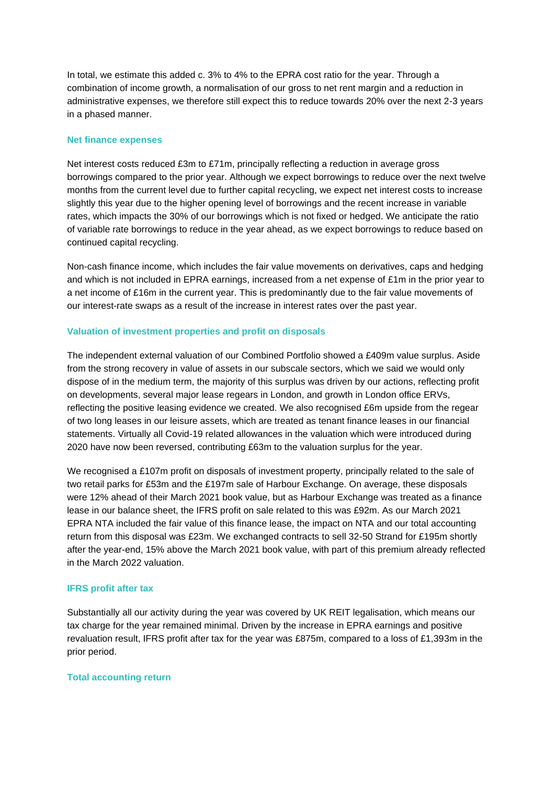In total, we estimate this added c. 3% to 4% to the EPRA cost ratio for the year. Through a combination of income growth, a normalisation of our gross to net rent margin and a reduction in administrative expenses, we therefore still expect this to reduce towards 20% over the next 2-3 years in a phased manner.

### **Net finance expenses**

Net interest costs reduced £3m to £71m, principally reflecting a reduction in average gross borrowings compared to the prior year. Although we expect borrowings to reduce over the next twelve months from the current level due to further capital recycling, we expect net interest costs to increase slightly this year due to the higher opening level of borrowings and the recent increase in variable rates, which impacts the 30% of our borrowings which is not fixed or hedged. We anticipate the ratio of variable rate borrowings to reduce in the year ahead, as we expect borrowings to reduce based on continued capital recycling.

Non-cash finance income, which includes the fair value movements on derivatives, caps and hedging and which is not included in EPRA earnings, increased from a net expense of £1m in the prior year to a net income of £16m in the current year. This is predominantly due to the fair value movements of our interest-rate swaps as a result of the increase in interest rates over the past year.

### **Valuation of investment properties and profit on disposals**

The independent external valuation of our Combined Portfolio showed a £409m value surplus. Aside from the strong recovery in value of assets in our subscale sectors, which we said we would only dispose of in the medium term, the majority of this surplus was driven by our actions, reflecting profit on developments, several major lease regears in London, and growth in London office ERVs, reflecting the positive leasing evidence we created. We also recognised £6m upside from the regear of two long leases in our leisure assets, which are treated as tenant finance leases in our financial statements. Virtually all Covid-19 related allowances in the valuation which were introduced during 2020 have now been reversed, contributing £63m to the valuation surplus for the year.

We recognised a £107m profit on disposals of investment property, principally related to the sale of two retail parks for £53m and the £197m sale of Harbour Exchange. On average, these disposals were 12% ahead of their March 2021 book value, but as Harbour Exchange was treated as a finance lease in our balance sheet, the IFRS profit on sale related to this was £92m. As our March 2021 EPRA NTA included the fair value of this finance lease, the impact on NTA and our total accounting return from this disposal was £23m. We exchanged contracts to sell 32-50 Strand for £195m shortly after the year-end, 15% above the March 2021 book value, with part of this premium already reflected in the March 2022 valuation.

### **IFRS profit after tax**

Substantially all our activity during the year was covered by UK REIT legalisation, which means our tax charge for the year remained minimal. Driven by the increase in EPRA earnings and positive revaluation result, IFRS profit after tax for the year was £875m, compared to a loss of £1,393m in the prior period.

### **Total accounting return**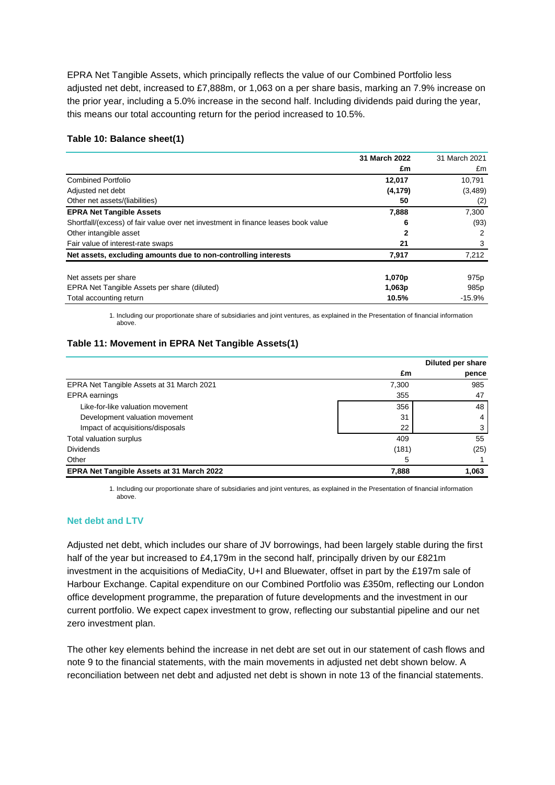EPRA Net Tangible Assets, which principally reflects the value of our Combined Portfolio less adjusted net debt, increased to £7,888m, or 1,063 on a per share basis, marking an 7.9% increase on the prior year, including a 5.0% increase in the second half. Including dividends paid during the year, this means our total accounting return for the period increased to 10.5%.

### **Table 10: Balance sheet(1)**

|                                                                                   | 31 March 2022 | 31 March 2021    |
|-----------------------------------------------------------------------------------|---------------|------------------|
|                                                                                   | £m            | £m               |
| <b>Combined Portfolio</b>                                                         | 12,017        | 10,791           |
| Adjusted net debt                                                                 | (4, 179)      | (3,489)          |
| Other net assets/(liabilities)                                                    | 50            | (2)              |
| <b>EPRA Net Tangible Assets</b>                                                   | 7,888         | 7,300            |
| Shortfall/(excess) of fair value over net investment in finance leases book value | 6             | (93)             |
| Other intangible asset                                                            | 2             | 2                |
| Fair value of interest-rate swaps                                                 | 21            |                  |
| Net assets, excluding amounts due to non-controlling interests                    | 7.917         | 7,212            |
| Net assets per share                                                              | 1,070p        | 975 <sub>p</sub> |
| EPRA Net Tangible Assets per share (diluted)                                      | 1,063p        | 985 <sub>p</sub> |
| Total accounting return                                                           | 10.5%         | $-15.9%$         |

1. Including our proportionate share of subsidiaries and joint ventures, as explained in the Presentation of financial information above.

### **Table 11: Movement in EPRA Net Tangible Assets(1)**

|                                           |       | Diluted per share |
|-------------------------------------------|-------|-------------------|
|                                           | £m    | pence             |
| EPRA Net Tangible Assets at 31 March 2021 | 7,300 | 985               |
| EPRA earnings                             | 355   | 47                |
| Like-for-like valuation movement          | 356   | 48                |
| Development valuation movement            | 31    |                   |
| Impact of acquisitions/disposals          | 22    |                   |
| Total valuation surplus                   | 409   | 55                |
| <b>Dividends</b>                          | (181) | (25)              |
| Other                                     | 5     |                   |
| EPRA Net Tangible Assets at 31 March 2022 | 7,888 | 1,063             |

1. Including our proportionate share of subsidiaries and joint ventures, as explained in the Presentation of financial information above.

### **Net debt and LTV**

Adjusted net debt, which includes our share of JV borrowings, had been largely stable during the first half of the year but increased to £4,179m in the second half, principally driven by our £821m investment in the acquisitions of MediaCity, U+I and Bluewater, offset in part by the £197m sale of Harbour Exchange. Capital expenditure on our Combined Portfolio was £350m, reflecting our London office development programme, the preparation of future developments and the investment in our current portfolio. We expect capex investment to grow, reflecting our substantial pipeline and our net zero investment plan.

The other key elements behind the increase in net debt are set out in our statement of cash flows and note 9 to the financial statements, with the main movements in adjusted net debt shown below. A reconciliation between net debt and adjusted net debt is shown in note 13 of the financial statements.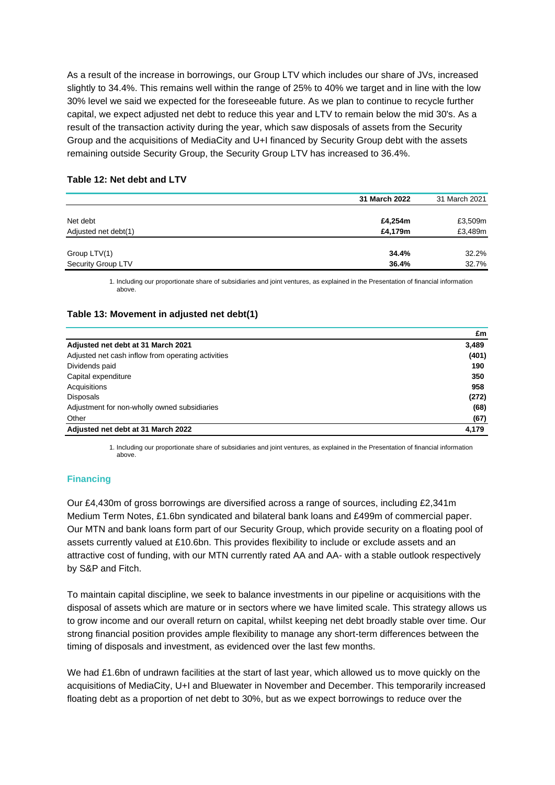As a result of the increase in borrowings, our Group LTV which includes our share of JVs, increased slightly to 34.4%. This remains well within the range of 25% to 40% we target and in line with the low 30% level we said we expected for the foreseeable future. As we plan to continue to recycle further capital, we expect adjusted net debt to reduce this year and LTV to remain below the mid 30's. As a result of the transaction activity during the year, which saw disposals of assets from the Security Group and the acquisitions of MediaCity and U+I financed by Security Group debt with the assets remaining outside Security Group, the Security Group LTV has increased to 36.4%.

### **Table 12: Net debt and LTV**

|                      | 31 March 2022 | 31 March 2021 |
|----------------------|---------------|---------------|
|                      |               |               |
| Net debt             | £4,254m       | £3,509m       |
| Adjusted net debt(1) | £4,179m       | £3,489m       |
|                      |               |               |
| Group LTV(1)         | 34.4%         | 32.2%         |
| Security Group LTV   | 36.4%         | 32.7%         |

1. Including our proportionate share of subsidiaries and joint ventures, as explained in the Presentation of financial information above.

### **Table 13: Movement in adjusted net debt(1)**

|                                                    | £m    |
|----------------------------------------------------|-------|
| Adjusted net debt at 31 March 2021                 | 3,489 |
| Adjusted net cash inflow from operating activities | (401) |
| Dividends paid                                     | 190   |
| Capital expenditure                                | 350   |
| Acquisitions                                       | 958   |
| <b>Disposals</b>                                   | (272) |
| Adjustment for non-wholly owned subsidiaries       | (68)  |
| Other                                              | (67)  |
| Adjusted net debt at 31 March 2022                 | 4.179 |

1. Including our proportionate share of subsidiaries and joint ventures, as explained in the Presentation of financial information above.

### **Financing**

Our £4,430m of gross borrowings are diversified across a range of sources, including £2,341m Medium Term Notes, £1.6bn syndicated and bilateral bank loans and £499m of commercial paper. Our MTN and bank loans form part of our Security Group, which provide security on a floating pool of assets currently valued at £10.6bn. This provides flexibility to include or exclude assets and an attractive cost of funding, with our MTN currently rated AA and AA- with a stable outlook respectively by S&P and Fitch.

To maintain capital discipline, we seek to balance investments in our pipeline or acquisitions with the disposal of assets which are mature or in sectors where we have limited scale. This strategy allows us to grow income and our overall return on capital, whilst keeping net debt broadly stable over time. Our strong financial position provides ample flexibility to manage any short-term differences between the timing of disposals and investment, as evidenced over the last few months.

We had £1.6bn of undrawn facilities at the start of last year, which allowed us to move quickly on the acquisitions of MediaCity, U+I and Bluewater in November and December. This temporarily increased floating debt as a proportion of net debt to 30%, but as we expect borrowings to reduce over the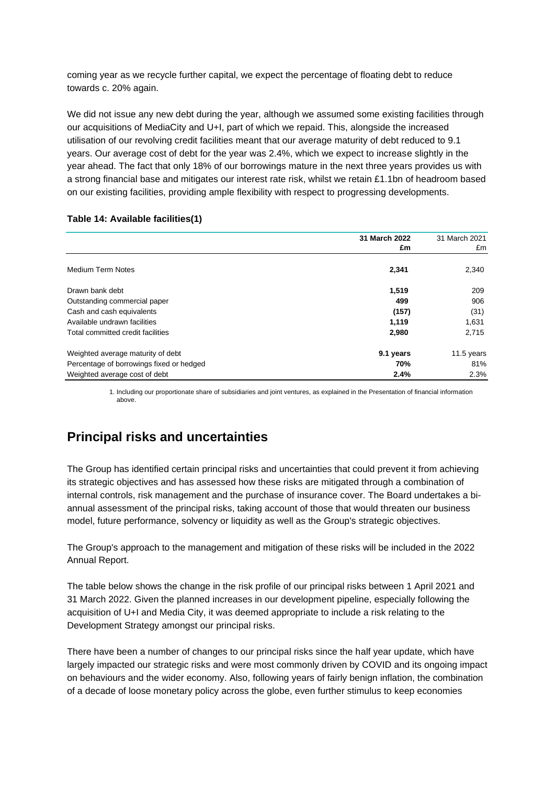coming year as we recycle further capital, we expect the percentage of floating debt to reduce towards c. 20% again.

We did not issue any new debt during the year, although we assumed some existing facilities through our acquisitions of MediaCity and U+I, part of which we repaid. This, alongside the increased utilisation of our revolving credit facilities meant that our average maturity of debt reduced to 9.1 years. Our average cost of debt for the year was 2.4%, which we expect to increase slightly in the year ahead. The fact that only 18% of our borrowings mature in the next three years provides us with a strong financial base and mitigates our interest rate risk, whilst we retain £1.1bn of headroom based on our existing facilities, providing ample flexibility with respect to progressing developments.

|                                          | 31 March 2022<br>£m | 31 March 2021<br>£m |
|------------------------------------------|---------------------|---------------------|
| <b>Medium Term Notes</b>                 | 2,341               | 2,340               |
| Drawn bank debt                          | 1,519               | 209                 |
| Outstanding commercial paper             | 499                 | 906                 |
| Cash and cash equivalents                | (157)               | (31)                |
| Available undrawn facilities             | 1,119               | 1,631               |
| Total committed credit facilities        | 2,980               | 2,715               |
| Weighted average maturity of debt        | 9.1 years           | 11.5 years          |
| Percentage of borrowings fixed or hedged | 70%                 | 81%                 |
| Weighted average cost of debt            | 2.4%                | 2.3%                |

### **Table 14: Available facilities(1)**

1. Including our proportionate share of subsidiaries and joint ventures, as explained in the Presentation of financial information above.

# **Principal risks and uncertainties**

The Group has identified certain principal risks and uncertainties that could prevent it from achieving its strategic objectives and has assessed how these risks are mitigated through a combination of internal controls, risk management and the purchase of insurance cover. The Board undertakes a biannual assessment of the principal risks, taking account of those that would threaten our business model, future performance, solvency or liquidity as well as the Group's strategic objectives.

The Group's approach to the management and mitigation of these risks will be included in the 2022 Annual Report.

The table below shows the change in the risk profile of our principal risks between 1 April 2021 and 31 March 2022. Given the planned increases in our development pipeline, especially following the acquisition of U+I and Media City, it was deemed appropriate to include a risk relating to the Development Strategy amongst our principal risks.

There have been a number of changes to our principal risks since the half year update, which have largely impacted our strategic risks and were most commonly driven by COVID and its ongoing impact on behaviours and the wider economy. Also, following years of fairly benign inflation, the combination of a decade of loose monetary policy across the globe, even further stimulus to keep economies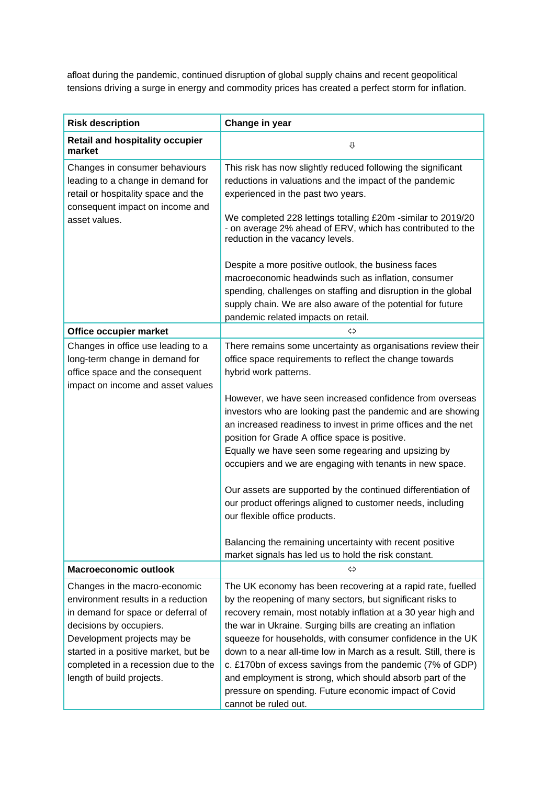afloat during the pandemic, continued disruption of global supply chains and recent geopolitical tensions driving a surge in energy and commodity prices has created a perfect storm for inflation.

| <b>Risk description</b>                                                                                                                                                                                                                                                         | Change in year                                                                                                                                                                                                                                                                                                                                                                                                                                                                                                                                                                                                                                                                   |
|---------------------------------------------------------------------------------------------------------------------------------------------------------------------------------------------------------------------------------------------------------------------------------|----------------------------------------------------------------------------------------------------------------------------------------------------------------------------------------------------------------------------------------------------------------------------------------------------------------------------------------------------------------------------------------------------------------------------------------------------------------------------------------------------------------------------------------------------------------------------------------------------------------------------------------------------------------------------------|
| <b>Retail and hospitality occupier</b><br>market                                                                                                                                                                                                                                | ⇩                                                                                                                                                                                                                                                                                                                                                                                                                                                                                                                                                                                                                                                                                |
| Changes in consumer behaviours<br>leading to a change in demand for<br>retail or hospitality space and the<br>consequent impact on income and<br>asset values.                                                                                                                  | This risk has now slightly reduced following the significant<br>reductions in valuations and the impact of the pandemic<br>experienced in the past two years.<br>We completed 228 lettings totalling £20m -similar to 2019/20<br>- on average 2% ahead of ERV, which has contributed to the<br>reduction in the vacancy levels.                                                                                                                                                                                                                                                                                                                                                  |
|                                                                                                                                                                                                                                                                                 | Despite a more positive outlook, the business faces<br>macroeconomic headwinds such as inflation, consumer<br>spending, challenges on staffing and disruption in the global<br>supply chain. We are also aware of the potential for future<br>pandemic related impacts on retail.                                                                                                                                                                                                                                                                                                                                                                                                |
| Office occupier market                                                                                                                                                                                                                                                          | ⇔                                                                                                                                                                                                                                                                                                                                                                                                                                                                                                                                                                                                                                                                                |
| Changes in office use leading to a<br>long-term change in demand for<br>office space and the consequent<br>impact on income and asset values                                                                                                                                    | There remains some uncertainty as organisations review their<br>office space requirements to reflect the change towards<br>hybrid work patterns.<br>However, we have seen increased confidence from overseas<br>investors who are looking past the pandemic and are showing<br>an increased readiness to invest in prime offices and the net<br>position for Grade A office space is positive.<br>Equally we have seen some regearing and upsizing by<br>occupiers and we are engaging with tenants in new space.<br>Our assets are supported by the continued differentiation of<br>our product offerings aligned to customer needs, including<br>our flexible office products. |
|                                                                                                                                                                                                                                                                                 | Balancing the remaining uncertainty with recent positive<br>market signals has led us to hold the risk constant.                                                                                                                                                                                                                                                                                                                                                                                                                                                                                                                                                                 |
| <b>Macroeconomic outlook</b>                                                                                                                                                                                                                                                    | ⇔                                                                                                                                                                                                                                                                                                                                                                                                                                                                                                                                                                                                                                                                                |
| Changes in the macro-economic<br>environment results in a reduction<br>in demand for space or deferral of<br>decisions by occupiers.<br>Development projects may be<br>started in a positive market, but be<br>completed in a recession due to the<br>length of build projects. | The UK economy has been recovering at a rapid rate, fuelled<br>by the reopening of many sectors, but significant risks to<br>recovery remain, most notably inflation at a 30 year high and<br>the war in Ukraine. Surging bills are creating an inflation<br>squeeze for households, with consumer confidence in the UK<br>down to a near all-time low in March as a result. Still, there is<br>c. £170bn of excess savings from the pandemic (7% of GDP)<br>and employment is strong, which should absorb part of the<br>pressure on spending. Future economic impact of Covid<br>cannot be ruled out.                                                                          |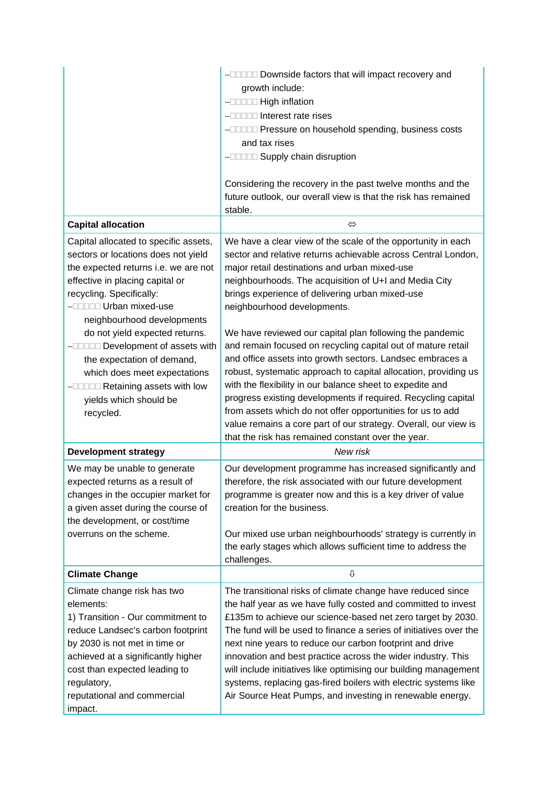|                                                                                                                                                                                                                                                                                      | -DODDD Downside factors that will impact recovery and                                                                                                                                                                                                                                                                                                                                                                                                                                                                                                                                            |
|--------------------------------------------------------------------------------------------------------------------------------------------------------------------------------------------------------------------------------------------------------------------------------------|--------------------------------------------------------------------------------------------------------------------------------------------------------------------------------------------------------------------------------------------------------------------------------------------------------------------------------------------------------------------------------------------------------------------------------------------------------------------------------------------------------------------------------------------------------------------------------------------------|
|                                                                                                                                                                                                                                                                                      | growth include:                                                                                                                                                                                                                                                                                                                                                                                                                                                                                                                                                                                  |
|                                                                                                                                                                                                                                                                                      | -DODDD High inflation                                                                                                                                                                                                                                                                                                                                                                                                                                                                                                                                                                            |
|                                                                                                                                                                                                                                                                                      | -ODDO Interest rate rises                                                                                                                                                                                                                                                                                                                                                                                                                                                                                                                                                                        |
|                                                                                                                                                                                                                                                                                      | -INDIA Pressure on household spending, business costs                                                                                                                                                                                                                                                                                                                                                                                                                                                                                                                                            |
|                                                                                                                                                                                                                                                                                      | and tax rises                                                                                                                                                                                                                                                                                                                                                                                                                                                                                                                                                                                    |
|                                                                                                                                                                                                                                                                                      | -ODDOD Supply chain disruption                                                                                                                                                                                                                                                                                                                                                                                                                                                                                                                                                                   |
|                                                                                                                                                                                                                                                                                      | Considering the recovery in the past twelve months and the<br>future outlook, our overall view is that the risk has remained<br>stable.                                                                                                                                                                                                                                                                                                                                                                                                                                                          |
| <b>Capital allocation</b>                                                                                                                                                                                                                                                            | $\Leftrightarrow$                                                                                                                                                                                                                                                                                                                                                                                                                                                                                                                                                                                |
| Capital allocated to specific assets,<br>sectors or locations does not yield<br>the expected returns i.e. we are not<br>effective in placing capital or<br>recycling. Specifically:<br>- <b>DODD Urban mixed-use</b><br>neighbourhood developments<br>do not yield expected returns. | We have a clear view of the scale of the opportunity in each<br>sector and relative returns achievable across Central London,<br>major retail destinations and urban mixed-use<br>neighbourhoods. The acquisition of U+I and Media City<br>brings experience of delivering urban mixed-use<br>neighbourhood developments.<br>We have reviewed our capital plan following the pandemic                                                                                                                                                                                                            |
| -DODD Development of assets with<br>the expectation of demand,<br>which does meet expectations<br>-DODD Retaining assets with low<br>yields which should be<br>recycled.                                                                                                             | and remain focused on recycling capital out of mature retail<br>and office assets into growth sectors. Landsec embraces a<br>robust, systematic approach to capital allocation, providing us<br>with the flexibility in our balance sheet to expedite and<br>progress existing developments if required. Recycling capital<br>from assets which do not offer opportunities for us to add<br>value remains a core part of our strategy. Overall, our view is<br>that the risk has remained constant over the year.                                                                                |
| <b>Development strategy</b>                                                                                                                                                                                                                                                          | New risk                                                                                                                                                                                                                                                                                                                                                                                                                                                                                                                                                                                         |
| We may be unable to generate<br>expected returns as a result of<br>changes in the occupier market for<br>a given asset during the course of<br>the development, or cost/time<br>overruns on the scheme.                                                                              | Our development programme has increased significantly and<br>therefore, the risk associated with our future development<br>programme is greater now and this is a key driver of value<br>creation for the business.<br>Our mixed use urban neighbourhoods' strategy is currently in<br>the early stages which allows sufficient time to address the<br>challenges.                                                                                                                                                                                                                               |
| <b>Climate Change</b>                                                                                                                                                                                                                                                                | ⇩                                                                                                                                                                                                                                                                                                                                                                                                                                                                                                                                                                                                |
| Climate change risk has two<br>elements:<br>1) Transition - Our commitment to<br>reduce Landsec's carbon footprint<br>by 2030 is not met in time or<br>achieved at a significantly higher<br>cost than expected leading to<br>regulatory,<br>reputational and commercial             | The transitional risks of climate change have reduced since<br>the half year as we have fully costed and committed to invest<br>£135m to achieve our science-based net zero target by 2030.<br>The fund will be used to finance a series of initiatives over the<br>next nine years to reduce our carbon footprint and drive<br>innovation and best practice across the wider industry. This<br>will include initiatives like optimising our building management<br>systems, replacing gas-fired boilers with electric systems like<br>Air Source Heat Pumps, and investing in renewable energy. |
| impact.                                                                                                                                                                                                                                                                              |                                                                                                                                                                                                                                                                                                                                                                                                                                                                                                                                                                                                  |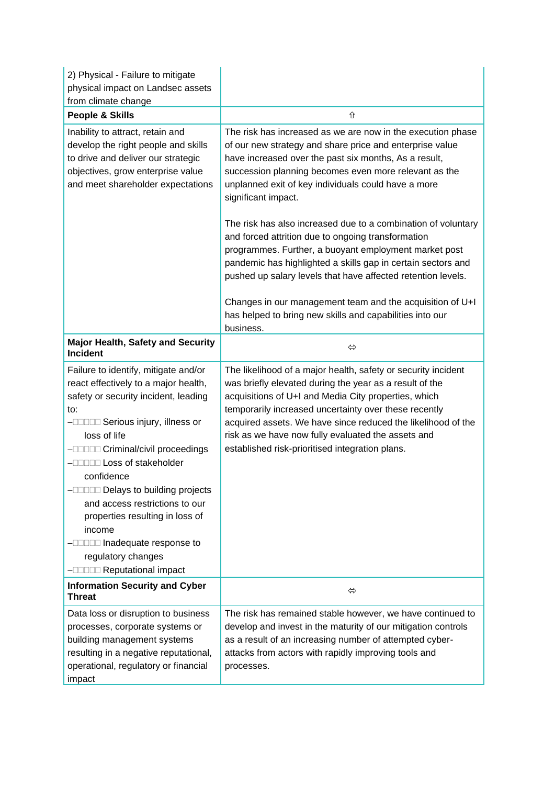| 2) Physical - Failure to mitigate<br>physical impact on Landsec assets<br>from climate change                                                                                                                                                                                                                                                                                                                                                                                                                                                                   |                                                                                                                                                                                                                                                                                                                                                                                                                                                    |
|-----------------------------------------------------------------------------------------------------------------------------------------------------------------------------------------------------------------------------------------------------------------------------------------------------------------------------------------------------------------------------------------------------------------------------------------------------------------------------------------------------------------------------------------------------------------|----------------------------------------------------------------------------------------------------------------------------------------------------------------------------------------------------------------------------------------------------------------------------------------------------------------------------------------------------------------------------------------------------------------------------------------------------|
| <b>People &amp; Skills</b>                                                                                                                                                                                                                                                                                                                                                                                                                                                                                                                                      | ⇧                                                                                                                                                                                                                                                                                                                                                                                                                                                  |
| Inability to attract, retain and<br>develop the right people and skills<br>to drive and deliver our strategic<br>objectives, grow enterprise value<br>and meet shareholder expectations                                                                                                                                                                                                                                                                                                                                                                         | The risk has increased as we are now in the execution phase<br>of our new strategy and share price and enterprise value<br>have increased over the past six months, As a result,<br>succession planning becomes even more relevant as the<br>unplanned exit of key individuals could have a more<br>significant impact.                                                                                                                            |
|                                                                                                                                                                                                                                                                                                                                                                                                                                                                                                                                                                 | The risk has also increased due to a combination of voluntary<br>and forced attrition due to ongoing transformation<br>programmes. Further, a buoyant employment market post<br>pandemic has highlighted a skills gap in certain sectors and<br>pushed up salary levels that have affected retention levels.<br>Changes in our management team and the acquisition of U+I<br>has helped to bring new skills and capabilities into our<br>business. |
| <b>Major Health, Safety and Security</b><br><b>Incident</b>                                                                                                                                                                                                                                                                                                                                                                                                                                                                                                     | ⇔                                                                                                                                                                                                                                                                                                                                                                                                                                                  |
| Failure to identify, mitigate and/or<br>react effectively to a major health,<br>safety or security incident, leading<br>to:<br>-DODDD Serious injury, illness or<br>loss of life<br>-DODDD Criminal/civil proceedings<br>-DODD Loss of stakeholder<br>confidence<br>$-\square$ $\square$ $\square$ $\square$ $\square$ $\square$ $\square$ Delays to building projects<br>and access restrictions to our<br>properties resulting in loss of<br>income<br>- <b>ILLI Inadequate response to</b><br>regulatory changes<br>- <b><i>ADDA</i></b> Reputational impact | The likelihood of a major health, safety or security incident<br>was briefly elevated during the year as a result of the<br>acquisitions of U+I and Media City properties, which<br>temporarily increased uncertainty over these recently<br>acquired assets. We have since reduced the likelihood of the<br>risk as we have now fully evaluated the assets and<br>established risk-prioritised integration plans.                                 |
| <b>Information Security and Cyber</b><br><b>Threat</b>                                                                                                                                                                                                                                                                                                                                                                                                                                                                                                          | ⇔                                                                                                                                                                                                                                                                                                                                                                                                                                                  |
| Data loss or disruption to business<br>processes, corporate systems or<br>building management systems<br>resulting in a negative reputational,<br>operational, regulatory or financial<br>impact                                                                                                                                                                                                                                                                                                                                                                | The risk has remained stable however, we have continued to<br>develop and invest in the maturity of our mitigation controls<br>as a result of an increasing number of attempted cyber-<br>attacks from actors with rapidly improving tools and<br>processes.                                                                                                                                                                                       |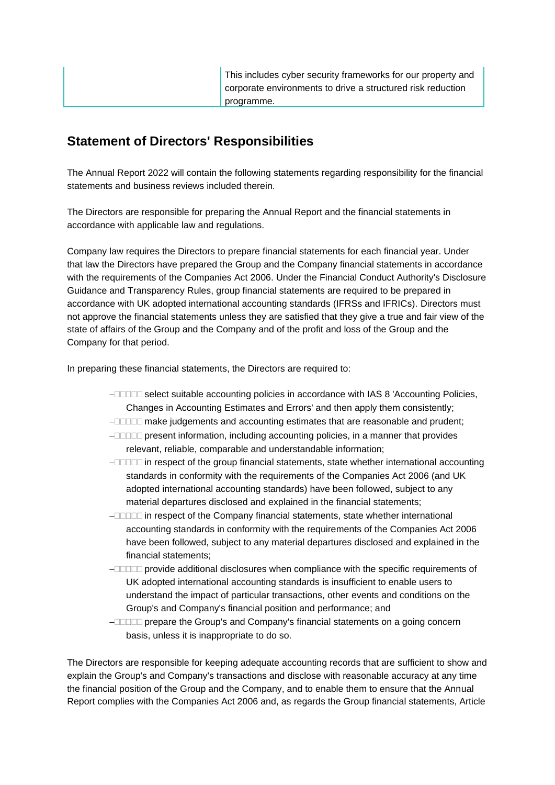| This includes cyber security frameworks for our property and |
|--------------------------------------------------------------|
| corporate environments to drive a structured risk reduction  |
| programme.                                                   |

# **Statement of Directors' Responsibilities**

The Annual Report 2022 will contain the following statements regarding responsibility for the financial statements and business reviews included therein.

The Directors are responsible for preparing the Annual Report and the financial statements in accordance with applicable law and regulations.

Company law requires the Directors to prepare financial statements for each financial year. Under that law the Directors have prepared the Group and the Company financial statements in accordance with the requirements of the Companies Act 2006. Under the Financial Conduct Authority's Disclosure Guidance and Transparency Rules, group financial statements are required to be prepared in accordance with UK adopted international accounting standards (IFRSs and IFRICs). Directors must not approve the financial statements unless they are satisfied that they give a true and fair view of the state of affairs of the Group and the Company and of the profit and loss of the Group and the Company for that period.

In preparing these financial statements, the Directors are required to:

- − select suitable accounting policies in accordance with IAS 8 'Accounting Policies, Changes in Accounting Estimates and Errors' and then apply them consistently;
- − make judgements and accounting estimates that are reasonable and prudent;
- − present information, including accounting policies, in a manner that provides relevant, reliable, comparable and understandable information;
- − in respect of the group financial statements, state whether international accounting standards in conformity with the requirements of the Companies Act 2006 (and UK adopted international accounting standards) have been followed, subject to any material departures disclosed and explained in the financial statements;
- − in respect of the Company financial statements, state whether international accounting standards in conformity with the requirements of the Companies Act 2006 have been followed, subject to any material departures disclosed and explained in the financial statements;
- − provide additional disclosures when compliance with the specific requirements of UK adopted international accounting standards is insufficient to enable users to understand the impact of particular transactions, other events and conditions on the Group's and Company's financial position and performance; and
- − prepare the Group's and Company's financial statements on a going concern basis, unless it is inappropriate to do so.

The Directors are responsible for keeping adequate accounting records that are sufficient to show and explain the Group's and Company's transactions and disclose with reasonable accuracy at any time the financial position of the Group and the Company, and to enable them to ensure that the Annual Report complies with the Companies Act 2006 and, as regards the Group financial statements, Article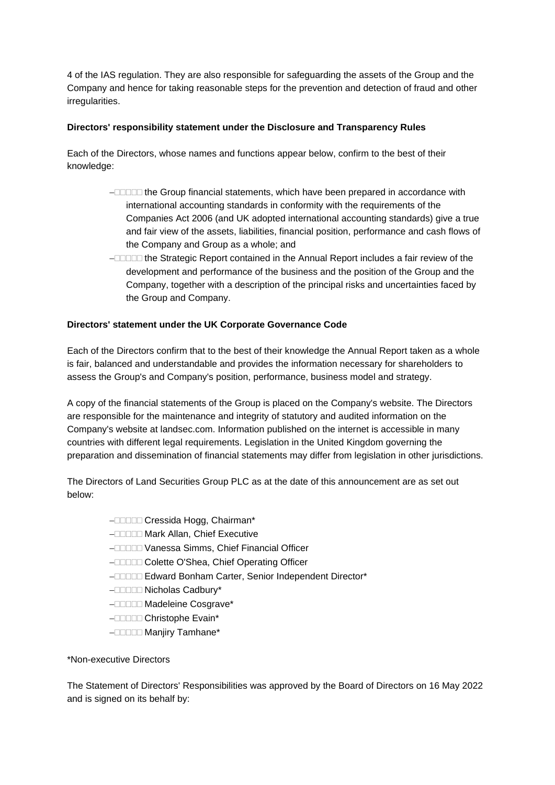4 of the IAS regulation. They are also responsible for safeguarding the assets of the Group and the Company and hence for taking reasonable steps for the prevention and detection of fraud and other irregularities.

### **Directors' responsibility statement under the Disclosure and Transparency Rules**

Each of the Directors, whose names and functions appear below, confirm to the best of their knowledge:

- − the Group financial statements, which have been prepared in accordance with international accounting standards in conformity with the requirements of the Companies Act 2006 (and UK adopted international accounting standards) give a true and fair view of the assets, liabilities, financial position, performance and cash flows of the Company and Group as a whole; and
- − the Strategic Report contained in the Annual Report includes a fair review of the development and performance of the business and the position of the Group and the Company, together with a description of the principal risks and uncertainties faced by the Group and Company.

### **Directors' statement under the UK Corporate Governance Code**

Each of the Directors confirm that to the best of their knowledge the Annual Report taken as a whole is fair, balanced and understandable and provides the information necessary for shareholders to assess the Group's and Company's position, performance, business model and strategy.

A copy of the financial statements of the Group is placed on the Company's website. The Directors are responsible for the maintenance and integrity of statutory and audited information on the Company's website at landsec.com. Information published on the internet is accessible in many countries with different legal requirements. Legislation in the United Kingdom governing the preparation and dissemination of financial statements may differ from legislation in other jurisdictions.

The Directors of Land Securities Group PLC as at the date of this announcement are as set out below:

- − Cressida Hogg, Chairman\*
- − Mark Allan, Chief Executive
- − Vanessa Simms, Chief Financial Officer
- − Colette O'Shea, Chief Operating Officer
- − Edward Bonham Carter, Senior Independent Director\*
- − Nicholas Cadbury\*
- − Madeleine Cosgrave\*
- − Christophe Evain\*
- − Manjiry Tamhane\*

### \*Non-executive Directors

The Statement of Directors' Responsibilities was approved by the Board of Directors on 16 May 2022 and is signed on its behalf by: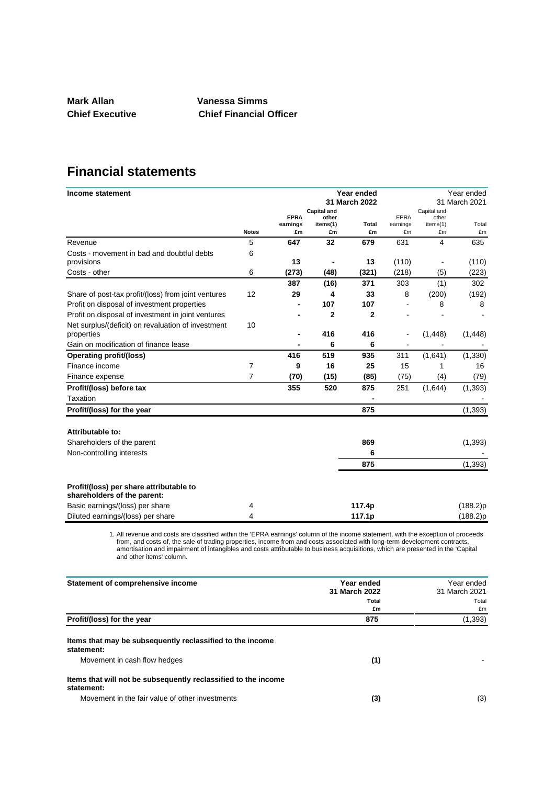**Mark Allan Vanessa Simms**

**Chief Executive Chief Financial Officer**

# **Financial statements**

| Income statement                                                       |              | Year ended    |                             |                | Year ended<br>31 March 2021 |                      |          |
|------------------------------------------------------------------------|--------------|---------------|-----------------------------|----------------|-----------------------------|----------------------|----------|
|                                                                        |              | 31 March 2022 |                             |                |                             |                      |          |
|                                                                        |              | <b>EPRA</b>   | <b>Capital and</b><br>other |                | <b>EPRA</b>                 | Capital and<br>other |          |
|                                                                        |              | earnings      | items(1)                    | Total          | earnings                    | items(1)             | Total    |
|                                                                        | <b>Notes</b> | £m            | £m                          | £m             | £m                          | £m                   | £m       |
| Revenue                                                                | 5            | 647           | 32                          | 679            | 631                         | 4                    | 635      |
| Costs - movement in bad and doubtful debts                             | 6            |               |                             |                |                             |                      |          |
| provisions                                                             |              | 13            |                             | 13             | (110)                       |                      | (110)    |
| Costs - other                                                          | 6            | (273)         | (48)                        | (321)          | (218)                       | (5)                  | (223)    |
|                                                                        |              | 387           | (16)                        | 371            | 303                         | (1)                  | 302      |
| Share of post-tax profit/(loss) from joint ventures                    | 12           | 29            | 4                           | 33             | 8                           | (200)                | (192)    |
| Profit on disposal of investment properties                            |              |               | 107                         | 107            |                             | 8                    | 8        |
| Profit on disposal of investment in joint ventures                     |              |               | $\overline{2}$              | $\overline{2}$ |                             |                      |          |
| Net surplus/(deficit) on revaluation of investment                     | 10           |               |                             |                |                             |                      |          |
| properties                                                             |              |               | 416                         | 416            | $\overline{\phantom{a}}$    | (1, 448)             | (1, 448) |
| Gain on modification of finance lease                                  |              |               | 6                           | 6              |                             |                      |          |
| <b>Operating profit/(loss)</b>                                         |              | 416           | 519                         | 935            | 311                         | (1,641)              | (1, 330) |
| Finance income                                                         | 7            | 9             | 16                          | 25             | 15                          | 1                    | 16       |
| Finance expense                                                        | 7            | (70)          | (15)                        | (85)           | (75)                        | (4)                  | (79)     |
| Profit/(loss) before tax                                               |              | 355           | 520                         | 875            | 251                         | (1,644)              | (1, 393) |
| Taxation                                                               |              |               |                             |                |                             |                      |          |
| Profit/(loss) for the year                                             |              |               |                             | 875            |                             |                      | (1, 393) |
| Attributable to:                                                       |              |               |                             |                |                             |                      |          |
| Shareholders of the parent                                             |              |               |                             | 869            |                             |                      | (1, 393) |
| Non-controlling interests                                              |              |               |                             | 6              |                             |                      |          |
|                                                                        |              |               |                             | 875            |                             |                      | (1, 393) |
| Profit/(loss) per share attributable to<br>shareholders of the parent: |              |               |                             |                |                             |                      |          |
| Basic earnings/(loss) per share                                        | 4            |               |                             | 117.4p         |                             |                      | (188.2)p |
| Diluted earnings/(loss) per share                                      | 4            |               |                             | 117.1p         |                             |                      | (188.2)p |
|                                                                        |              |               |                             |                |                             |                      |          |

1. All revenue and costs are classified within the 'EPRA earnings' column of the income statement, with the exception of proceeds from, and costs of, the sale of trading properties, income from and costs associated with long-term development contracts, amortisation and impairment of intangibles and costs attributable to business acquisitions, which are presented in the 'Capital and other items' column.

| Statement of comprehensive income                                            | Year ended<br>31 March 2022<br><b>Total</b><br>£m | Year ended<br>31 March 2021<br>Total<br>£m |
|------------------------------------------------------------------------------|---------------------------------------------------|--------------------------------------------|
| Profit/(loss) for the year                                                   | 875                                               | (1, 393)                                   |
| Items that may be subsequently reclassified to the income<br>statement:      |                                                   |                                            |
| Movement in cash flow hedges                                                 | (1)                                               |                                            |
| Items that will not be subsequently reclassified to the income<br>statement: |                                                   |                                            |
| Movement in the fair value of other investments                              | (3)                                               | (3)                                        |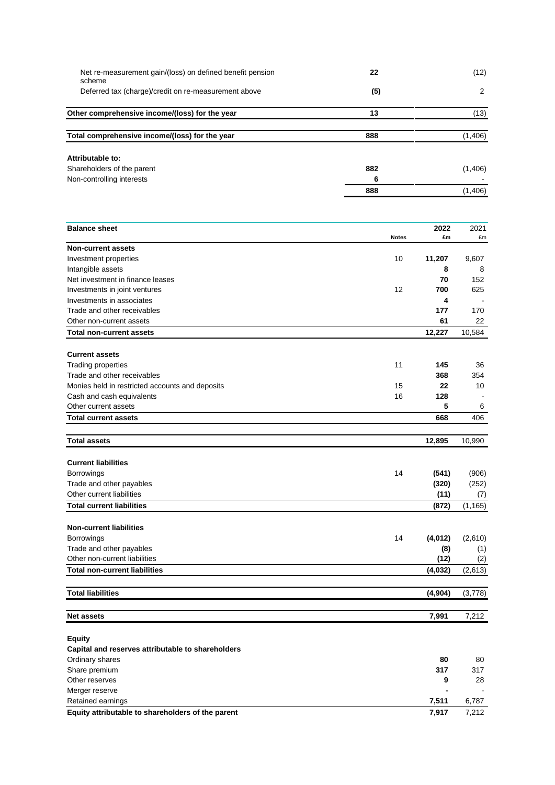| Net re-measurement gain/(loss) on defined benefit pension<br>scheme | 22  | (12)    |
|---------------------------------------------------------------------|-----|---------|
| Deferred tax (charge)/credit on re-measurement above                | (5) | 2       |
| Other comprehensive income/(loss) for the year                      | 13  | (13)    |
| Total comprehensive income/(loss) for the year                      | 888 | (1,406) |
| Attributable to:                                                    |     |         |
| Shareholders of the parent                                          | 882 | (1,406) |
| Non-controlling interests                                           | 6   |         |
|                                                                     | 888 | (1,406) |

| <b>Balance sheet</b>                              |              | 2022     | 2021     |
|---------------------------------------------------|--------------|----------|----------|
|                                                   | <b>Notes</b> | £m       | £m       |
| <b>Non-current assets</b>                         |              |          |          |
| Investment properties                             | 10           | 11,207   | 9,607    |
| Intangible assets                                 |              | 8        | 8        |
| Net investment in finance leases                  |              | 70       | 152      |
| Investments in joint ventures                     | 12           | 700      | 625      |
| Investments in associates                         |              | 4        |          |
| Trade and other receivables                       |              | 177      | 170      |
| Other non-current assets                          |              | 61       | 22       |
| <b>Total non-current assets</b>                   |              | 12,227   | 10,584   |
| <b>Current assets</b>                             |              |          |          |
| Trading properties                                | 11           | 145      | 36       |
| Trade and other receivables                       |              | 368      | 354      |
| Monies held in restricted accounts and deposits   | 15           | 22       | 10       |
| Cash and cash equivalents                         | 16           | 128      |          |
| Other current assets                              |              | 5        | 6        |
| <b>Total current assets</b>                       |              | 668      | 406      |
| <b>Total assets</b>                               |              | 12,895   | 10,990   |
|                                                   |              |          |          |
| <b>Current liabilities</b>                        |              |          |          |
| <b>Borrowings</b>                                 | 14           | (541)    | (906)    |
| Trade and other payables                          |              | (320)    | (252)    |
| Other current liabilities                         |              | (11)     | (7)      |
| <b>Total current liabilities</b>                  |              | (872)    | (1, 165) |
| <b>Non-current liabilities</b>                    |              |          |          |
| <b>Borrowings</b>                                 | 14           | (4, 012) | (2,610)  |
| Trade and other payables                          |              | (8)      | (1)      |
| Other non-current liabilities                     |              | (12)     | (2)      |
| <b>Total non-current liabilities</b>              |              | (4,032)  | (2,613)  |
| <b>Total liabilities</b>                          |              | (4, 904) | (3,778)  |
|                                                   |              |          |          |
| <b>Net assets</b>                                 |              | 7,991    | 7,212    |
| <b>Equity</b>                                     |              |          |          |
| Capital and reserves attributable to shareholders |              |          |          |
| Ordinary shares                                   |              | 80       | 80       |
| Share premium                                     |              | 317      | 317      |
| Other reserves                                    |              | 9        | 28       |
| Merger reserve                                    |              |          |          |
| Retained earnings                                 |              | 7,511    | 6.787    |

**Equity attributable to shareholders of the parent 7,917** 7,212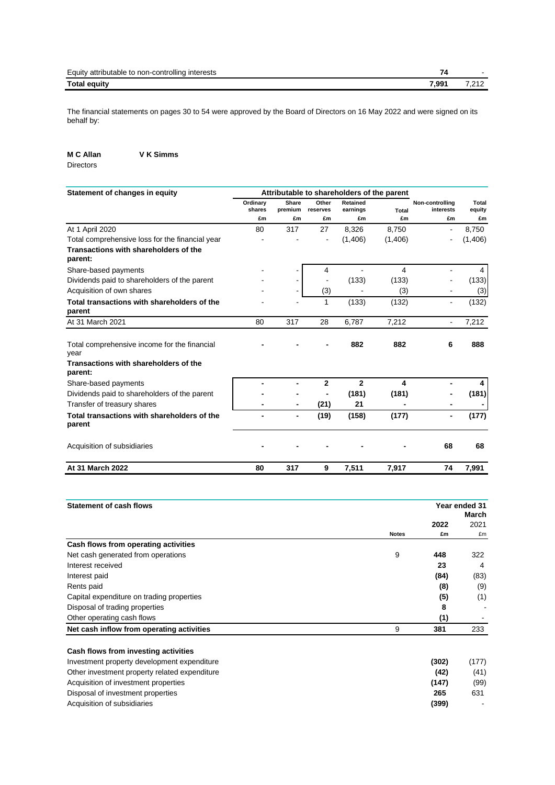| Equity<br><br>interests<br>non-controlling<br>' attributable to | -     |        |
|-----------------------------------------------------------------|-------|--------|
| <b>Total equity</b>                                             | 7,991 | $\sim$ |

The financial statements on pages 30 to 54 were approved by the Board of Directors on 16 May 2022 and were signed on its behalf by:

**M C Allan V K Simms**

Directors

| Statement of changes in equity                        |                    | Attributable to shareholders of the parent |                   |                      |              |                              |                 |
|-------------------------------------------------------|--------------------|--------------------------------------------|-------------------|----------------------|--------------|------------------------------|-----------------|
|                                                       | Ordinary<br>shares | <b>Share</b><br>premium                    | Other<br>reserves | Retained<br>earnings | <b>Total</b> | Non-controlling<br>interests | Total<br>equity |
|                                                       | £m                 | £m                                         | £m                | £m                   | £m           | £m                           | £m              |
| At 1 April 2020                                       | 80                 | 317                                        | 27                | 8,326                | 8,750        | ۰                            | 8,750           |
| Total comprehensive loss for the financial year       |                    |                                            | $\blacksquare$    | (1,406)              | (1,406)      |                              | (1,406)         |
| Transactions with shareholders of the<br>parent:      |                    |                                            |                   |                      |              |                              |                 |
| Share-based payments                                  |                    |                                            | 4                 |                      | 4            |                              | 4               |
| Dividends paid to shareholders of the parent          |                    |                                            |                   | (133)                | (133)        |                              | (133)           |
| Acquisition of own shares                             |                    |                                            | (3)               |                      | (3)          |                              | (3)             |
| Total transactions with shareholders of the<br>parent |                    |                                            | 1                 | (133)                | (132)        |                              | (132)           |
| At 31 March 2021                                      | 80                 | 317                                        | 28                | 6,787                | 7,212        | $\blacksquare$               | 7,212           |
| Total comprehensive income for the financial<br>year  |                    |                                            |                   | 882                  | 882          | 6                            | 888             |
| Transactions with shareholders of the<br>parent:      |                    |                                            |                   |                      |              |                              |                 |
| Share-based payments                                  |                    |                                            | 2                 | 2                    | 4            |                              | 4               |
| Dividends paid to shareholders of the parent          |                    |                                            |                   | (181)                | (181)        |                              | (181)           |
| Transfer of treasury shares                           |                    |                                            | (21)              | 21                   |              |                              |                 |
| Total transactions with shareholders of the<br>parent |                    |                                            | (19)              | (158)                | (177)        | -                            | (177)           |
| Acquisition of subsidiaries                           |                    |                                            |                   |                      |              | 68                           | 68              |
| At 31 March 2022                                      | 80                 | 317                                        | 9                 | 7,511                | 7,917        | 74                           | 7,991           |

| <b>Statement of cash flows</b>                |              |       | Year ended 31<br>March |
|-----------------------------------------------|--------------|-------|------------------------|
|                                               |              | 2022  | 2021                   |
|                                               | <b>Notes</b> | £m    | £m                     |
| Cash flows from operating activities          |              |       |                        |
| Net cash generated from operations            | 9            | 448   | 322                    |
| Interest received                             |              | 23    | 4                      |
| Interest paid                                 |              | (84)  | (83)                   |
| Rents paid                                    |              | (8)   | (9)                    |
| Capital expenditure on trading properties     |              | (5)   | (1)                    |
| Disposal of trading properties                |              | 8     |                        |
| Other operating cash flows                    |              | (1)   |                        |
| Net cash inflow from operating activities     | 9            | 381   | 233                    |
| Cash flows from investing activities          |              |       |                        |
| Investment property development expenditure   |              | (302) | (177)                  |
| Other investment property related expenditure |              | (42)  | (41)                   |
| Acquisition of investment properties          |              | (147) | (99)                   |

Disposal of investment properties **265** 631 Acquisition of subsidiaries **(399)** -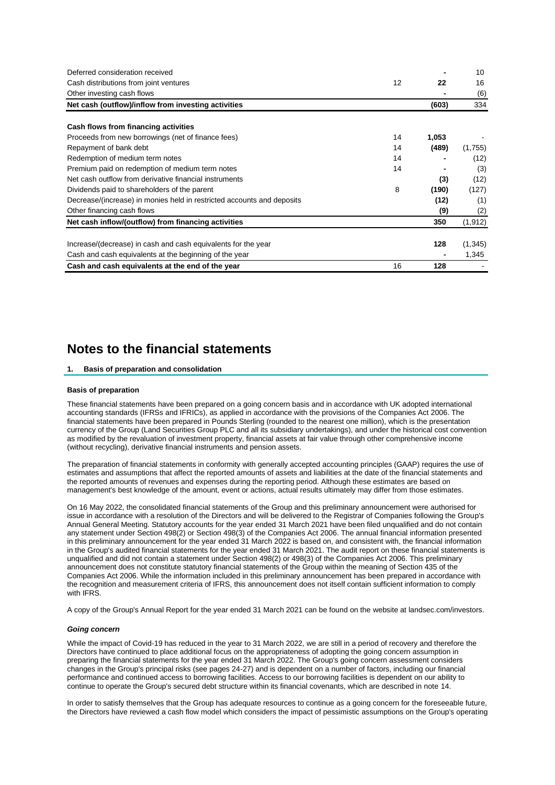| Deferred consideration received                                        |    |       | 10       |
|------------------------------------------------------------------------|----|-------|----------|
| Cash distributions from joint ventures                                 | 12 | 22    | 16       |
| Other investing cash flows                                             |    |       | (6)      |
| Net cash (outflow)/inflow from investing activities                    |    | (603) | 334      |
| Cash flows from financing activities                                   |    |       |          |
| Proceeds from new borrowings (net of finance fees)                     | 14 | 1,053 |          |
| Repayment of bank debt                                                 | 14 | (489) | (1,755)  |
| Redemption of medium term notes                                        | 14 |       | (12)     |
| Premium paid on redemption of medium term notes                        | 14 |       | (3)      |
| Net cash outflow from derivative financial instruments                 |    | (3)   | (12)     |
| Dividends paid to shareholders of the parent                           | 8  | (190) | (127)    |
| Decrease/(increase) in monies held in restricted accounts and deposits |    | (12)  | (1)      |
| Other financing cash flows                                             |    | (9)   | (2)      |
| Net cash inflow/(outflow) from financing activities                    |    | 350   | (1, 912) |
| Increase/(decrease) in cash and cash equivalents for the year          |    | 128   | (1, 345) |
| Cash and cash equivalents at the beginning of the year                 |    |       | 1,345    |
| Cash and cash equivalents at the end of the year                       | 16 | 128   |          |

## **Notes to the financial statements**

### **1. Basis of preparation and consolidation**

#### **Basis of preparation**

These financial statements have been prepared on a going concern basis and in accordance with UK adopted international accounting standards (IFRSs and IFRICs), as applied in accordance with the provisions of the Companies Act 2006. The financial statements have been prepared in Pounds Sterling (rounded to the nearest one million), which is the presentation currency of the Group (Land Securities Group PLC and all its subsidiary undertakings), and under the historical cost convention as modified by the revaluation of investment property, financial assets at fair value through other comprehensive income (without recycling), derivative financial instruments and pension assets.

The preparation of financial statements in conformity with generally accepted accounting principles (GAAP) requires the use of estimates and assumptions that affect the reported amounts of assets and liabilities at the date of the financial statements and the reported amounts of revenues and expenses during the reporting period. Although these estimates are based on management's best knowledge of the amount, event or actions, actual results ultimately may differ from those estimates.

On 16 May 2022, the consolidated financial statements of the Group and this preliminary announcement were authorised for issue in accordance with a resolution of the Directors and will be delivered to the Registrar of Companies following the Group's Annual General Meeting. Statutory accounts for the year ended 31 March 2021 have been filed unqualified and do not contain any statement under Section 498(2) or Section 498(3) of the Companies Act 2006. The annual financial information presented in this preliminary announcement for the year ended 31 March 2022 is based on, and consistent with, the financial information in the Group's audited financial statements for the year ended 31 March 2021. The audit report on these financial statements is unqualified and did not contain a statement under Section 498(2) or 498(3) of the Companies Act 2006. This preliminary announcement does not constitute statutory financial statements of the Group within the meaning of Section 435 of the Companies Act 2006. While the information included in this preliminary announcement has been prepared in accordance with the recognition and measurement criteria of IFRS, this announcement does not itself contain sufficient information to comply with IFRS.

A copy of the Group's Annual Report for the year ended 31 March 2021 can be found on the website at landsec.com/investors.

#### *Going concern*

While the impact of Covid-19 has reduced in the year to 31 March 2022, we are still in a period of recovery and therefore the Directors have continued to place additional focus on the appropriateness of adopting the going concern assumption in preparing the financial statements for the year ended 31 March 2022. The Group's going concern assessment considers changes in the Group's principal risks (see pages 24-27) and is dependent on a number of factors, including our financial performance and continued access to borrowing facilities. Access to our borrowing facilities is dependent on our ability to continue to operate the Group's secured debt structure within its financial covenants, which are described in note 14.

In order to satisfy themselves that the Group has adequate resources to continue as a going concern for the foreseeable future, the Directors have reviewed a cash flow model which considers the impact of pessimistic assumptions on the Group's operating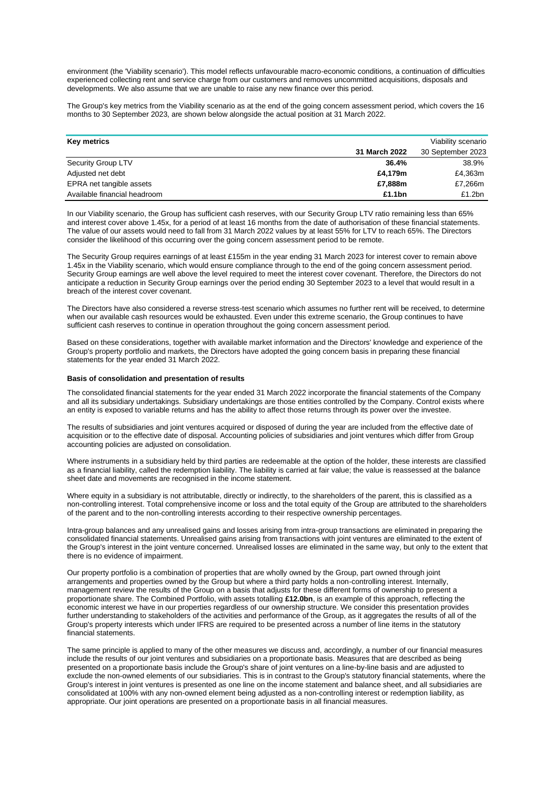environment (the 'Viability scenario'). This model reflects unfavourable macro-economic conditions, a continuation of difficulties experienced collecting rent and service charge from our customers and removes uncommitted acquisitions, disposals and developments. We also assume that we are unable to raise any new finance over this period.

The Group's key metrics from the Viability scenario as at the end of the going concern assessment period, which covers the 16 months to 30 September 2023, are shown below alongside the actual position at 31 March 2022.

| Key metrics                  |               | Viability scenario |
|------------------------------|---------------|--------------------|
|                              | 31 March 2022 | 30 September 2023  |
| Security Group LTV           | 36.4%         | 38.9%              |
| Adjusted net debt            | £4,179m       | £4,363m            |
| EPRA net tangible assets     | £7,888m       | £7,266m            |
| Available financial headroom | £1.1bn        | £1.2bn             |

In our Viability scenario, the Group has sufficient cash reserves, with our Security Group LTV ratio remaining less than 65% and interest cover above 1.45x, for a period of at least 16 months from the date of authorisation of these financial statements. The value of our assets would need to fall from 31 March 2022 values by at least 55% for LTV to reach 65%. The Directors consider the likelihood of this occurring over the going concern assessment period to be remote.

The Security Group requires earnings of at least £155m in the year ending 31 March 2023 for interest cover to remain above 1.45x in the Viability scenario, which would ensure compliance through to the end of the going concern assessment period. Security Group earnings are well above the level required to meet the interest cover covenant. Therefore, the Directors do not anticipate a reduction in Security Group earnings over the period ending 30 September 2023 to a level that would result in a breach of the interest cover covenant.

The Directors have also considered a reverse stress-test scenario which assumes no further rent will be received, to determine when our available cash resources would be exhausted. Even under this extreme scenario, the Group continues to have sufficient cash reserves to continue in operation throughout the going concern assessment period.

Based on these considerations, together with available market information and the Directors' knowledge and experience of the Group's property portfolio and markets, the Directors have adopted the going concern basis in preparing these financial statements for the year ended 31 March 2022.

#### **Basis of consolidation and presentation of results**

The consolidated financial statements for the year ended 31 March 2022 incorporate the financial statements of the Company and all its subsidiary undertakings. Subsidiary undertakings are those entities controlled by the Company. Control exists where an entity is exposed to variable returns and has the ability to affect those returns through its power over the investee.

The results of subsidiaries and joint ventures acquired or disposed of during the year are included from the effective date of acquisition or to the effective date of disposal. Accounting policies of subsidiaries and joint ventures which differ from Group accounting policies are adjusted on consolidation.

Where instruments in a subsidiary held by third parties are redeemable at the option of the holder, these interests are classified as a financial liability, called the redemption liability. The liability is carried at fair value; the value is reassessed at the balance sheet date and movements are recognised in the income statement.

Where equity in a subsidiary is not attributable, directly or indirectly, to the shareholders of the parent, this is classified as a non-controlling interest. Total comprehensive income or loss and the total equity of the Group are attributed to the shareholders of the parent and to the non-controlling interests according to their respective ownership percentages.

Intra-group balances and any unrealised gains and losses arising from intra-group transactions are eliminated in preparing the consolidated financial statements. Unrealised gains arising from transactions with joint ventures are eliminated to the extent of the Group's interest in the joint venture concerned. Unrealised losses are eliminated in the same way, but only to the extent that there is no evidence of impairment.

Our property portfolio is a combination of properties that are wholly owned by the Group, part owned through joint arrangements and properties owned by the Group but where a third party holds a non-controlling interest. Internally, management review the results of the Group on a basis that adjusts for these different forms of ownership to present a proportionate share. The Combined Portfolio, with assets totalling **£12.0bn**, is an example of this approach, reflecting the economic interest we have in our properties regardless of our ownership structure. We consider this presentation provides further understanding to stakeholders of the activities and performance of the Group, as it aggregates the results of all of the Group's property interests which under IFRS are required to be presented across a number of line items in the statutory financial statements.

The same principle is applied to many of the other measures we discuss and, accordingly, a number of our financial measures include the results of our joint ventures and subsidiaries on a proportionate basis. Measures that are described as being presented on a proportionate basis include the Group's share of joint ventures on a line-by-line basis and are adjusted to exclude the non-owned elements of our subsidiaries. This is in contrast to the Group's statutory financial statements, where the Group's interest in joint ventures is presented as one line on the income statement and balance sheet, and all subsidiaries are consolidated at 100% with any non-owned element being adjusted as a non-controlling interest or redemption liability, as appropriate. Our joint operations are presented on a proportionate basis in all financial measures.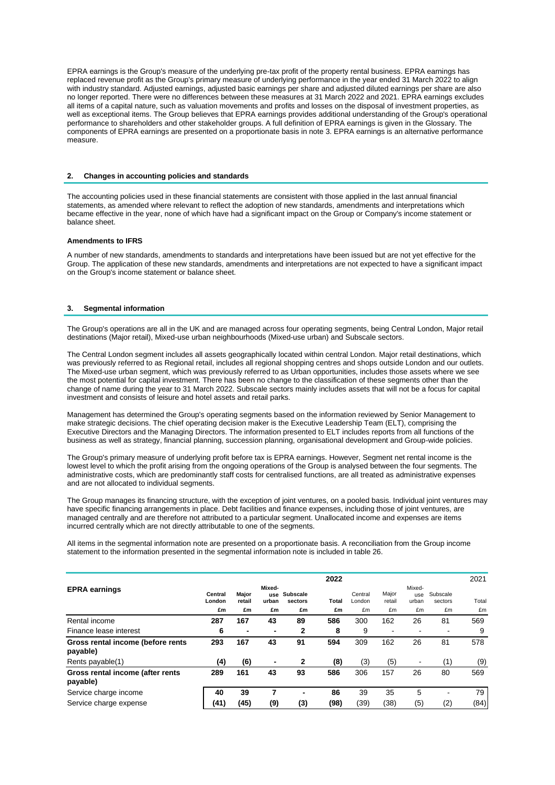EPRA earnings is the Group's measure of the underlying pre-tax profit of the property rental business. EPRA earnings has replaced revenue profit as the Group's primary measure of underlying performance in the year ended 31 March 2022 to align with industry standard. Adjusted earnings, adjusted basic earnings per share and adjusted diluted earnings per share are also no longer reported. There were no differences between these measures at 31 March 2022 and 2021. EPRA earnings excludes all items of a capital nature, such as valuation movements and profits and losses on the disposal of investment properties, as well as exceptional items. The Group believes that EPRA earnings provides additional understanding of the Group's operational performance to shareholders and other stakeholder groups. A full definition of EPRA earnings is given in the Glossary. The components of EPRA earnings are presented on a proportionate basis in note 3. EPRA earnings is an alternative performance measure.

### **2. Changes in accounting policies and standards**

The accounting policies used in these financial statements are consistent with those applied in the last annual financial statements, as amended where relevant to reflect the adoption of new standards, amendments and interpretations which became effective in the year, none of which have had a significant impact on the Group or Company's income statement or balance sheet.

### **Amendments to IFRS**

A number of new standards, amendments to standards and interpretations have been issued but are not yet effective for the Group. The application of these new standards, amendments and interpretations are not expected to have a significant impact on the Group's income statement or balance sheet.

#### **3. Segmental information**

The Group's operations are all in the UK and are managed across four operating segments, being Central London, Major retail destinations (Major retail), Mixed-use urban neighbourhoods (Mixed-use urban) and Subscale sectors.

The Central London segment includes all assets geographically located within central London. Major retail destinations, which was previously referred to as Regional retail, includes all regional shopping centres and shops outside London and our outlets. The Mixed-use urban segment, which was previously referred to as Urban opportunities, includes those assets where we see the most potential for capital investment. There has been no change to the classification of these segments other than the change of name during the year to 31 March 2022. Subscale sectors mainly includes assets that will not be a focus for capital investment and consists of leisure and hotel assets and retail parks.

Management has determined the Group's operating segments based on the information reviewed by Senior Management to make strategic decisions. The chief operating decision maker is the Executive Leadership Team (ELT), comprising the Executive Directors and the Managing Directors. The information presented to ELT includes reports from all functions of the business as well as strategy, financial planning, succession planning, organisational development and Group-wide policies.

The Group's primary measure of underlying profit before tax is EPRA earnings. However, Segment net rental income is the lowest level to which the profit arising from the ongoing operations of the Group is analysed between the four segments. The administrative costs, which are predominantly staff costs for centralised functions, are all treated as administrative expenses and are not allocated to individual segments.

The Group manages its financing structure, with the exception of joint ventures, on a pooled basis. Individual joint ventures may have specific financing arrangements in place. Debt facilities and finance expenses, including those of joint ventures, are managed centrally and are therefore not attributed to a particular segment. Unallocated income and expenses are items incurred centrally which are not directly attributable to one of the segments.

All items in the segmental information note are presented on a proportionate basis. A reconciliation from the Group income statement to the information presented in the segmental information note is included in table 26.

|                                               |                   |                 |                        |                     | 2022  |                   |                 |                        |                     | 2021  |
|-----------------------------------------------|-------------------|-----------------|------------------------|---------------------|-------|-------------------|-----------------|------------------------|---------------------|-------|
| <b>EPRA earnings</b>                          | Central<br>London | Major<br>retail | Mixed-<br>use<br>urban | Subscale<br>sectors | Total | Central<br>London | Major<br>retail | Mixed-<br>use<br>urban | Subscale<br>sectors | Total |
|                                               | £m                | £m              | £m                     | £m                  | £m    | £m                | £m              | £m                     | £m                  | £m    |
| Rental income                                 | 287               | 167             | 43                     | 89                  | 586   | 300               | 162             | 26                     | 81                  | 569   |
| Finance lease interest                        | 6                 | $\blacksquare$  | ۰                      | 2                   | 8     | 9                 |                 |                        | -                   | 9     |
| Gross rental income (before rents<br>payable) | 293               | 167             | 43                     | 91                  | 594   | 309               | 162             | 26                     | 81                  | 578   |
| Rents payable(1)                              | (4)               | (6)             | ۰                      | 2                   | (8)   | (3)               | (5)             |                        | (1)                 | (9)   |
| Gross rental income (after rents<br>payable)  | 289               | 161             | 43                     | 93                  | 586   | 306               | 157             | 26                     | 80                  | 569   |
| Service charge income                         | 40                | 39              | 7                      | -                   | 86    | 39                | 35              | 5                      | ٠                   | 79    |
| Service charge expense                        | (41)              | (45)            | (9)                    | (3)                 | (98)  | (39)              | (38)            | (5)                    | (2)                 | (84)  |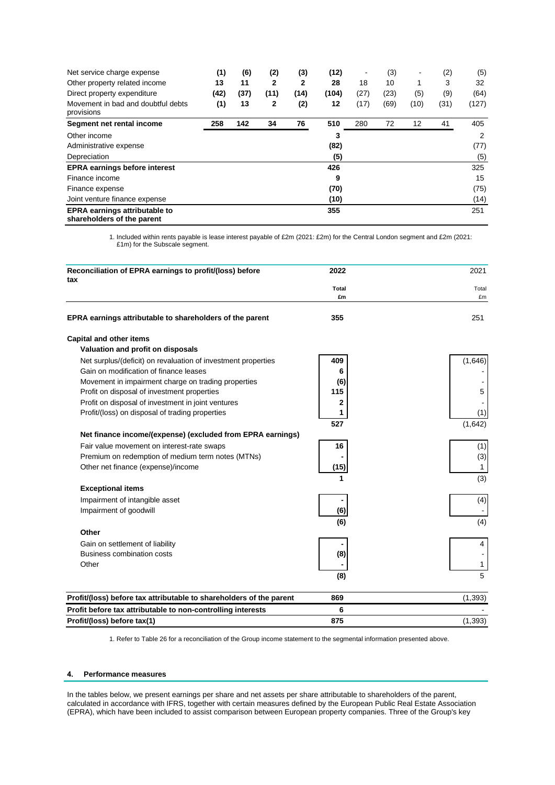| Net service charge expense                                         | (1)  | (6)  | (2)  | (3)  | (12)  | ٠    | (3)  | ٠    | (2)  | (5)   |
|--------------------------------------------------------------------|------|------|------|------|-------|------|------|------|------|-------|
| Other property related income                                      | 13   | 11   | 2    | 2    | 28    | 18   | 10   | 1    | 3    | 32    |
| Direct property expenditure                                        | (42) | (37) | (11) | (14) | (104) | (27) | (23) | (5)  | (9)  | (64)  |
| Movement in bad and doubtful debts<br>provisions                   | (1)  | 13   | 2    | (2)  | 12    | (17) | (69) | (10) | (31) | (127) |
| Segment net rental income                                          | 258  | 142  | 34   | 76   | 510   | 280  | 72   | 12   | 41   | 405   |
| Other income                                                       |      |      |      |      | 3     |      |      |      |      | 2     |
| Administrative expense                                             |      |      |      |      | (82)  |      |      |      |      | (77)  |
| Depreciation                                                       |      |      |      |      | (5)   |      |      |      |      | (5)   |
| <b>EPRA earnings before interest</b>                               |      |      |      |      | 426   |      |      |      |      | 325   |
| Finance income                                                     |      |      |      |      | 9     |      |      |      |      | 15    |
| Finance expense                                                    |      |      |      |      | (70)  |      |      |      |      | (75)  |
| Joint venture finance expense                                      |      |      |      |      | (10)  |      |      |      |      | (14)  |
| <b>EPRA earnings attributable to</b><br>shareholders of the parent |      |      |      |      | 355   |      |      |      |      | 251   |

1. Included within rents payable is lease interest payable of £2m (2021: £2m) for the Central London segment and £2m (2021: £1m) for the Subscale segment.

| Reconciliation of EPRA earnings to profit/(loss) before<br>tax      | 2022         | 2021     |
|---------------------------------------------------------------------|--------------|----------|
|                                                                     | <b>Total</b> | Total    |
|                                                                     | £m           | £m       |
| EPRA earnings attributable to shareholders of the parent            | 355          | 251      |
| <b>Capital and other items</b>                                      |              |          |
| Valuation and profit on disposals                                   |              |          |
| Net surplus/(deficit) on revaluation of investment properties       | 409          | (1,646)  |
| Gain on modification of finance leases                              | 6            |          |
| Movement in impairment charge on trading properties                 | (6)          |          |
| Profit on disposal of investment properties                         | 115          | 5        |
| Profit on disposal of investment in joint ventures                  | 2            |          |
| Profit/(loss) on disposal of trading properties                     | 1            | (1)      |
|                                                                     | 527          | (1,642)  |
| Net finance income/(expense) (excluded from EPRA earnings)          |              |          |
| Fair value movement on interest-rate swaps                          | 16           | (1)      |
| Premium on redemption of medium term notes (MTNs)                   |              | (3)      |
| Other net finance (expense)/income                                  | (15)         | 1        |
|                                                                     | 1            | (3)      |
| <b>Exceptional items</b>                                            |              |          |
| Impairment of intangible asset                                      |              | (4)      |
| Impairment of goodwill                                              | (6)          |          |
|                                                                     | (6)          | (4)      |
| Other                                                               |              |          |
| Gain on settlement of liability                                     |              | 4        |
| Business combination costs                                          | (8)          |          |
| Other                                                               |              | 1        |
|                                                                     | (8)          | 5        |
| Profit/(loss) before tax attributable to shareholders of the parent | 869          | (1, 393) |
| Profit before tax attributable to non-controlling interests         | 6            |          |
| Profit/(loss) before tax(1)                                         | 875          | (1, 393) |

1. Refer to Table 26 for a reconciliation of the Group income statement to the segmental information presented above.

### **4. Performance measures**

In the tables below, we present earnings per share and net assets per share attributable to shareholders of the parent, calculated in accordance with IFRS, together with certain measures defined by the European Public Real Estate Association (EPRA), which have been included to assist comparison between European property companies. Three of the Group's key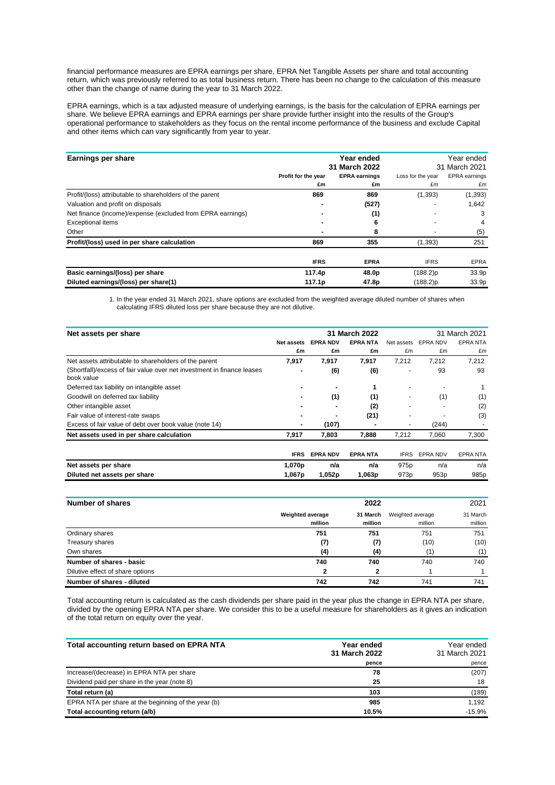financial performance measures are EPRA earnings per share, EPRA Net Tangible Assets per share and total accounting return, which was previously referred to as total business return. There has been no change to the calculation of this measure other than the change of name during the year to 31 March 2022.

EPRA earnings, which is a tax adjusted measure of underlying earnings, is the basis for the calculation of EPRA earnings per share. We believe EPRA earnings and EPRA earnings per share provide further insight into the results of the Group's operational performance to stakeholders as they focus on the rental income performance of the business and exclude Capital and other items which can vary significantly from year to year.

| Earnings per share                                         |                     |                                       | Year ended<br>31 March 2021 |                      |  |
|------------------------------------------------------------|---------------------|---------------------------------------|-----------------------------|----------------------|--|
|                                                            | Profit for the year | 31 March 2022<br><b>EPRA earnings</b> | Loss for the year           | <b>EPRA</b> earnings |  |
|                                                            | £m                  | £m                                    | £m                          | £m                   |  |
| Profit/(loss) attributable to shareholders of the parent   | 869                 | 869                                   | (1, 393)                    | (1, 393)             |  |
| Valuation and profit on disposals                          |                     | (527)                                 |                             | 1,642                |  |
| Net finance (income)/expense (excluded from EPRA earnings) |                     | (1)                                   |                             | 3                    |  |
| <b>Exceptional items</b>                                   |                     | 6                                     |                             | 4                    |  |
| Other                                                      |                     | 8                                     |                             | (5)                  |  |
| Profit/(loss) used in per share calculation                | 869                 | 355                                   | (1, 393)                    | 251                  |  |
|                                                            | <b>IFRS</b>         | <b>EPRA</b>                           | <b>IFRS</b>                 | <b>EPRA</b>          |  |
| Basic earnings/(loss) per share                            | 117.4p              | 48.0p                                 | $(188.2)$ p                 | 33.9p                |  |
| Diluted earnings/(loss) per share(1)                       | 117.1p              | 47.8p                                 | (188.2)p                    | 33.9p                |  |

1. In the year ended 31 March 2021, share options are excluded from the weighted average diluted number of shares when calculating IFRS diluted loss per share because they are not dilutive.

| Net assets per share                                                                 |             |                 | 31 March 2022  | 31 March 2021    |                  |                  |  |  |
|--------------------------------------------------------------------------------------|-------------|-----------------|----------------|------------------|------------------|------------------|--|--|
|                                                                                      | Net assets  | <b>EPRA NDV</b> | <b>EPRANTA</b> | Net assets       | EPRA NDV         | <b>EPRANTA</b>   |  |  |
|                                                                                      | £m          | £m              | £m             | £m               | £m               | £m               |  |  |
| Net assets attributable to shareholders of the parent                                | 7,917       | 7,917           | 7,917          | 7,212            | 7,212            | 7,212            |  |  |
| (Shortfall)/excess of fair value over net investment in finance leases<br>book value |             | (6)             | (6)            |                  | 93               | 93               |  |  |
| Deferred tax liability on intangible asset                                           |             |                 | 1              |                  |                  |                  |  |  |
| Goodwill on deferred tax liability                                                   |             | (1)             | (1)            |                  | (1)              | (1)              |  |  |
| Other intangible asset                                                               |             |                 | (2)            |                  |                  | (2)              |  |  |
| Fair value of interest-rate swaps                                                    |             |                 | (21)           |                  |                  | (3)              |  |  |
| Excess of fair value of debt over book value (note 14)                               |             | (107)           |                |                  | (244)            |                  |  |  |
| Net assets used in per share calculation                                             | 7,917       | 7,803           | 7,888          | 7,212            | 7,060            | 7,300            |  |  |
|                                                                                      |             |                 |                |                  |                  |                  |  |  |
|                                                                                      | <b>IFRS</b> | <b>EPRA NDV</b> | <b>EPRANTA</b> | <b>IFRS</b>      | <b>EPRA NDV</b>  | <b>EPRANTA</b>   |  |  |
| Net assets per share                                                                 | 1,070p      | n/a             | n/a            | 975 <sub>p</sub> | n/a              | n/a              |  |  |
| Diluted net assets per share                                                         | 1,067p      | 1,052p          | 1,063p         | 973 <sub>p</sub> | 953 <sub>p</sub> | 985 <sub>p</sub> |  |  |

| Number of shares                 |                                    | 2022                |                             | 2021                |
|----------------------------------|------------------------------------|---------------------|-----------------------------|---------------------|
|                                  | <b>Weighted average</b><br>million | 31 March<br>million | Weighted average<br>million | 31 March<br>million |
| Ordinary shares                  | 751                                | 751                 | 751                         | 751                 |
| Treasury shares                  | (7)                                | (7)                 | (10)                        | (10)                |
| Own shares                       | (4)                                | (4)                 | (1)                         | (1)                 |
| Number of shares - basic         | 740                                | 740                 | 740                         | 740                 |
| Dilutive effect of share options | 2                                  |                     |                             |                     |
| Number of shares - diluted       | 742                                | 742                 | 741                         | 741                 |

Total accounting return is calculated as the cash dividends per share paid in the year plus the change in EPRA NTA per share, divided by the opening EPRA NTA per share. We consider this to be a useful measure for shareholders as it gives an indication of the total return on equity over the year.

| Total accounting return based on EPRA NTA           | Year ended<br>31 March 2022 | Year ended<br>31 March 2021 |
|-----------------------------------------------------|-----------------------------|-----------------------------|
|                                                     | pence                       | pence                       |
| Increase/(decrease) in EPRA NTA per share           | 78                          | (207)                       |
| Dividend paid per share in the year (note 8)        | 25                          | 18                          |
| Total return (a)                                    | 103                         | (189)                       |
| EPRA NTA per share at the beginning of the year (b) | 985                         | 1.192                       |
| Total accounting return (a/b)                       | 10.5%                       | $-15.9%$                    |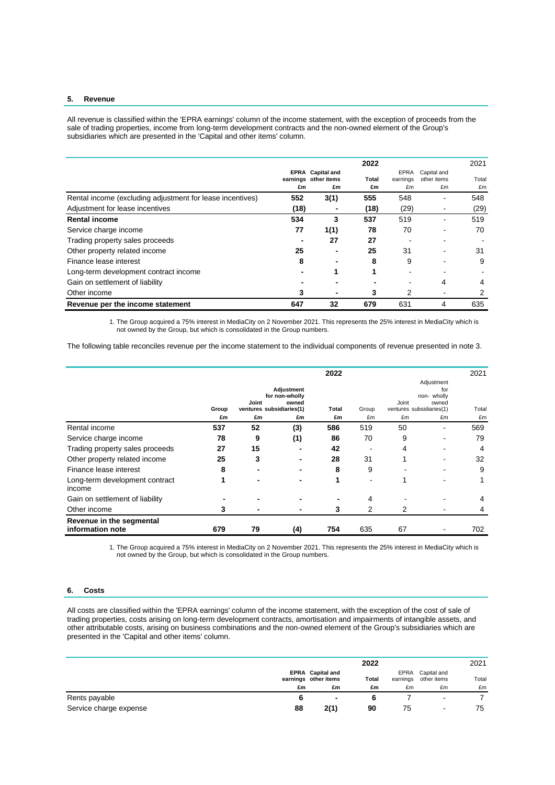#### **5. Revenue**

All revenue is classified within the 'EPRA earnings' column of the income statement, with the exception of proceeds from the sale of trading properties, income from long-term development contracts and the non-owned element of the Group's subsidiaries which are presented in the 'Capital and other items' column.

|                                                           |      |                                                 | 2022  |                  |                            | 2021  |
|-----------------------------------------------------------|------|-------------------------------------------------|-------|------------------|----------------------------|-------|
|                                                           |      | <b>EPRA</b> Capital and<br>earnings other items | Total | EPRA<br>earnings | Capital and<br>other items | Total |
|                                                           | £m   | £m                                              | £m    | £m               | £m                         | £m    |
| Rental income (excluding adjustment for lease incentives) | 552  | 3(1)                                            | 555   | 548              |                            | 548   |
| Adjustment for lease incentives                           | (18) |                                                 | (18)  | (29)             |                            | (29)  |
| <b>Rental income</b>                                      | 534  | 3                                               | 537   | 519              |                            | 519   |
| Service charge income                                     | 77   | 1(1)                                            | 78    | 70               |                            | 70    |
| Trading property sales proceeds                           |      | 27                                              | 27    |                  |                            |       |
| Other property related income                             | 25   |                                                 | 25    | 31               |                            | 31    |
| Finance lease interest                                    | 8    |                                                 | 8     | 9                |                            | 9     |
| Long-term development contract income                     |      |                                                 | 1     |                  |                            |       |
| Gain on settlement of liability                           |      |                                                 |       |                  | 4                          | 4     |
| Other income                                              |      |                                                 | 3     | 2                |                            |       |
| Revenue per the income statement                          | 647  | 32                                              | 679   | 631              | 4                          | 635   |

1. The Group acquired a 75% interest in MediaCity on 2 November 2021. This represents the 25% interest in MediaCity which is not owned by the Group, but which is consolidated in the Group numbers.

The following table reconciles revenue per the income statement to the individual components of revenue presented in note 3.

|                                              |       |                                   |                                       | 2022  |       |                                   |                                           | 2021  |
|----------------------------------------------|-------|-----------------------------------|---------------------------------------|-------|-------|-----------------------------------|-------------------------------------------|-------|
|                                              | Group | Joint<br>ventures subsidiaries(1) | Adjustment<br>for non-wholly<br>owned | Total | Group | Joint<br>ventures subsidiaries(1) | Adjustment<br>for<br>non- wholly<br>owned | Total |
|                                              | £m    | £m                                | £m                                    | £m    | £m    | £m                                | £m                                        | £m    |
| Rental income                                | 537   | 52                                | (3)                                   | 586   | 519   | 50                                |                                           | 569   |
| Service charge income                        | 78    | 9                                 | (1)                                   | 86    | 70    | 9                                 | -                                         | 79    |
| Trading property sales proceeds              | 27    | 15                                |                                       | 42    |       | 4                                 |                                           | 4     |
| Other property related income                | 25    | 3                                 |                                       | 28    | 31    |                                   |                                           | 32    |
| Finance lease interest                       | 8     |                                   |                                       | 8     | 9     |                                   |                                           | 9     |
| Long-term development contract<br>income     |       |                                   | -                                     | 1     | -     |                                   |                                           |       |
| Gain on settlement of liability              |       |                                   |                                       |       | 4     |                                   |                                           |       |
| Other income                                 | 3     |                                   |                                       | 3     | 2     | 2                                 |                                           |       |
| Revenue in the segmental<br>information note | 679   | 79                                | (4)                                   | 754   | 635   | 67                                |                                           | 702   |

1. The Group acquired a 75% interest in MediaCity on 2 November 2021. This represents the 25% interest in MediaCity which is not owned by the Group, but which is consolidated in the Group numbers.

### **6. Costs**

All costs are classified within the 'EPRA earnings' column of the income statement, with the exception of the cost of sale of trading properties, costs arising on long-term development contracts, amortisation and impairments of intangible assets, and other attributable costs, arising on business combinations and the non-owned element of the Group's subsidiaries which are presented in the 'Capital and other items' column.

|                        |    |                                                 | 2022         |                  |                            | 2021  |
|------------------------|----|-------------------------------------------------|--------------|------------------|----------------------------|-------|
|                        |    | <b>EPRA</b> Capital and<br>earnings other items | <b>Total</b> | EPRA<br>earnings | Capital and<br>other items | Total |
|                        | £m | £m                                              | £m           | £m               | £m                         | £m    |
| Rents payable          |    | ۰                                               |              |                  | ٠                          |       |
| Service charge expense | 88 | 2(1)                                            | 90           | 75               | $\overline{\phantom{0}}$   | 75    |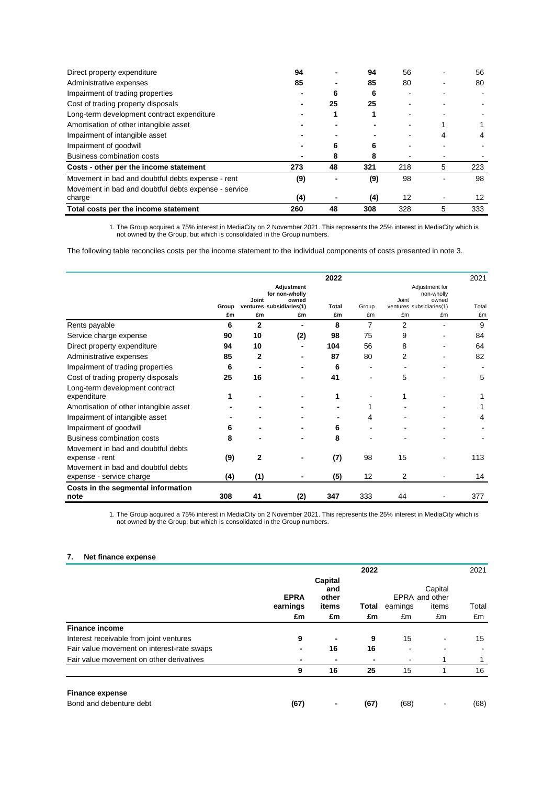| Direct property expenditure                          | 94  |    | 94  | 56  |   | 56  |
|------------------------------------------------------|-----|----|-----|-----|---|-----|
| Administrative expenses                              | 85  |    | 85  | 80  |   | 80  |
| Impairment of trading properties                     |     | 6  | 6   |     |   |     |
| Cost of trading property disposals                   |     | 25 | 25  |     |   |     |
| Long-term development contract expenditure           |     |    |     |     |   |     |
| Amortisation of other intangible asset               |     |    |     |     |   |     |
| Impairment of intangible asset                       |     |    |     |     |   |     |
| Impairment of goodwill                               |     |    | 6   |     |   |     |
| Business combination costs                           |     | 8  | 8   |     |   |     |
| Costs - other per the income statement               | 273 | 48 | 321 | 218 | 5 | 223 |
| Movement in bad and doubtful debts expense - rent    | (9) |    | (9) | 98  |   | 98  |
| Movement in bad and doubtful debts expense - service |     |    |     |     |   |     |
| charge                                               | (4) |    | (4) | 12  |   | 12  |
| Total costs per the income statement                 | 260 | 48 | 308 | 328 | 5 | 333 |

1. The Group acquired a 75% interest in MediaCity on 2 November 2021. This represents the 25% interest in MediaCity which is not owned by the Group, but which is consolidated in the Group numbers.

The following table reconciles costs per the income statement to the individual components of costs presented in note 3.

|                                                                |                                                |                                |     | 2022               |                   |                                       |    | 2021        |
|----------------------------------------------------------------|------------------------------------------------|--------------------------------|-----|--------------------|-------------------|---------------------------------------|----|-------------|
|                                                                | Adjustment<br>for non-wholly<br>Joint<br>owned |                                |     |                    | Joint             | Adjustment for<br>non-wholly<br>owned |    |             |
|                                                                | Group<br>£m                                    | ventures subsidiaries(1)<br>£m | £m  | <b>Total</b><br>£m | Group<br>£m       | ventures subsidiaries(1)<br>£m        | £m | Total<br>£m |
| Rents payable                                                  | 6                                              | $\mathbf{2}$                   |     | 8                  | 7                 | 2                                     |    | 9           |
| Service charge expense                                         | 90                                             | 10                             | (2) | 98                 | 75                | 9                                     |    | 84          |
| Direct property expenditure                                    | 94                                             | 10                             |     | 104                | 56                | 8                                     |    | 64          |
| Administrative expenses                                        | 85                                             | $\mathbf{2}$                   |     | 87                 | 80                | 2                                     |    | 82          |
| Impairment of trading properties                               | 6                                              |                                |     | 6                  |                   |                                       |    |             |
| Cost of trading property disposals                             | 25                                             | 16                             |     | 41                 |                   | 5                                     |    | 5           |
| Long-term development contract<br>expenditure                  |                                                |                                |     |                    |                   |                                       |    |             |
| Amortisation of other intangible asset                         |                                                |                                |     |                    |                   |                                       |    |             |
| Impairment of intangible asset                                 |                                                |                                |     |                    | 4                 |                                       |    | 4           |
| Impairment of goodwill                                         | 6                                              |                                |     | 6                  |                   |                                       |    |             |
| <b>Business combination costs</b>                              | 8                                              |                                |     | 8                  |                   |                                       |    |             |
| Movement in bad and doubtful debts<br>expense - rent           | (9)                                            | 2                              |     | (7)                | 98                | 15                                    |    | 113         |
| Movement in bad and doubtful debts<br>expense - service charge | (4)                                            | (1)                            |     | (5)                | $12 \overline{ }$ | 2                                     |    | 14          |
| Costs in the segmental information<br>note                     | 308                                            | 41                             | (2) | 347                | 333               | 44                                    |    | 377         |

1. The Group acquired a 75% interest in MediaCity on 2 November 2021. This represents the 25% interest in MediaCity which is not owned by the Group, but which is consolidated in the Group numbers.

### **7. Net finance expense**

|                                            |          | <b>EPRA</b> | Capital<br>and<br>other | 2022     |       | Capital<br>EPRA and other | 2021 |
|--------------------------------------------|----------|-------------|-------------------------|----------|-------|---------------------------|------|
|                                            | earnings | items       | Total                   | earnings | items | Total                     |      |
|                                            | £m       | £m          | £m                      | £m       | £m    | £m                        |      |
| <b>Finance income</b>                      |          |             |                         |          |       |                           |      |
| Interest receivable from joint ventures    | 9        |             | 9                       | 15       |       | 15                        |      |
| Fair value movement on interest-rate swaps | -        | 16          | 16                      | -        | ۰     |                           |      |
| Fair value movement on other derivatives   |          |             | $\blacksquare$          |          |       |                           |      |
|                                            | 9        | 16          | 25                      | 15       |       | 16                        |      |
| <b>Finance expense</b>                     |          |             |                         |          |       |                           |      |
| Bond and debenture debt                    | (67)     |             | (67)                    | (68)     |       | (68)                      |      |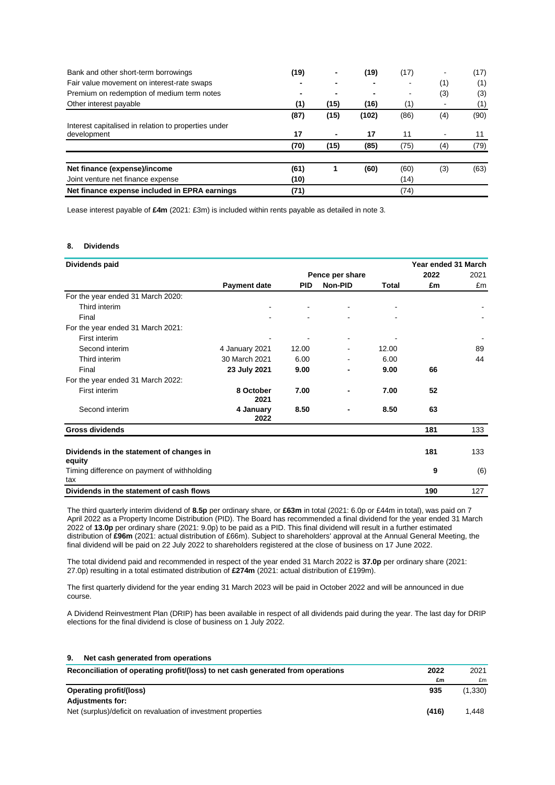| Bank and other short-term borrowings                 | (19) |      | (19)  | (17) |     | (17) |
|------------------------------------------------------|------|------|-------|------|-----|------|
| Fair value movement on interest-rate swaps           |      |      |       |      | (1) | (1)  |
| Premium on redemption of medium term notes           |      |      |       |      | (3) | (3)  |
| Other interest payable                               | (1)  | (15) | (16)  | (1)  |     | (1)  |
|                                                      | (87) | (15) | (102) | (86) | (4) | (90) |
| Interest capitalised in relation to properties under |      |      |       |      |     |      |
| development                                          | 17   |      | 17    | 11   |     | 11   |
|                                                      | (70) | (15) | (85)  | (75) | (4) | (79) |
| Net finance (expense)/income                         | (61) |      | (60)  | (60) | (3) | (63) |
| Joint venture net finance expense                    | (10) |      |       | (14) |     |      |
| Net finance expense included in EPRA earnings        | (71) |      |       | (74) |     |      |

Lease interest payable of **£4m** (2021: £3m) is included within rents payable as detailed in note 3.

### **8. Dividends**

| Dividends paid                                     |                     |            |                 |       | Year ended 31 March |      |
|----------------------------------------------------|---------------------|------------|-----------------|-------|---------------------|------|
|                                                    |                     |            | Pence per share |       | 2022                | 2021 |
|                                                    | <b>Payment date</b> | <b>PID</b> | Non-PID         | Total | £m                  | £m   |
| For the year ended 31 March 2020:                  |                     |            |                 |       |                     |      |
| Third interim                                      |                     |            |                 |       |                     |      |
| Final                                              |                     |            |                 |       |                     |      |
| For the year ended 31 March 2021:                  |                     |            |                 |       |                     |      |
| First interim                                      |                     |            |                 |       |                     |      |
| Second interim                                     | 4 January 2021      | 12.00      |                 | 12.00 |                     | 89   |
| Third interim                                      | 30 March 2021       | 6.00       |                 | 6.00  |                     | 44   |
| Final                                              | 23 July 2021        | 9.00       | $\blacksquare$  | 9.00  | 66                  |      |
| For the year ended 31 March 2022:                  |                     |            |                 |       |                     |      |
| First interim                                      | 8 October<br>2021   | 7.00       |                 | 7.00  | 52                  |      |
| Second interim                                     | 4 January<br>2022   | 8.50       |                 | 8.50  | 63                  |      |
| <b>Gross dividends</b>                             |                     |            |                 |       | 181                 | 133  |
| Dividends in the statement of changes in<br>equity |                     |            |                 |       | 181                 | 133  |
| Timing difference on payment of withholding<br>tax |                     |            |                 |       | 9                   | (6)  |
| Dividends in the statement of cash flows           |                     |            |                 |       | 190                 | 127  |

The third quarterly interim dividend of **8.5p** per ordinary share, or **£63m** in total (2021: 6.0p or £44m in total), was paid on 7 April 2022 as a Property Income Distribution (PID). The Board has recommended a final dividend for the year ended 31 March 2022 of **13.0p** per ordinary share (2021: 9.0p) to be paid as a PID. This final dividend will result in a further estimated distribution of **£96m** (2021: actual distribution of £66m). Subject to shareholders' approval at the Annual General Meeting, the final dividend will be paid on 22 July 2022 to shareholders registered at the close of business on 17 June 2022.

The total dividend paid and recommended in respect of the year ended 31 March 2022 is **37.0p** per ordinary share (2021: 27.0p) resulting in a total estimated distribution of **£274m** (2021: actual distribution of £199m).

The first quarterly dividend for the year ending 31 March 2023 will be paid in October 2022 and will be announced in due course.

A Dividend Reinvestment Plan (DRIP) has been available in respect of all dividends paid during the year. The last day for DRIP elections for the final dividend is close of business on 1 July 2022.

| 9.<br>Net cash generated from operations                                        |       |          |
|---------------------------------------------------------------------------------|-------|----------|
| Reconciliation of operating profit/(loss) to net cash generated from operations | 2022  | 2021     |
|                                                                                 | £m    | £m       |
| <b>Operating profit/(loss)</b>                                                  | 935   | (1, 330) |
| <b>Adjustments for:</b>                                                         |       |          |
| Net (surplus)/deficit on revaluation of investment properties                   | (416) | 1.448    |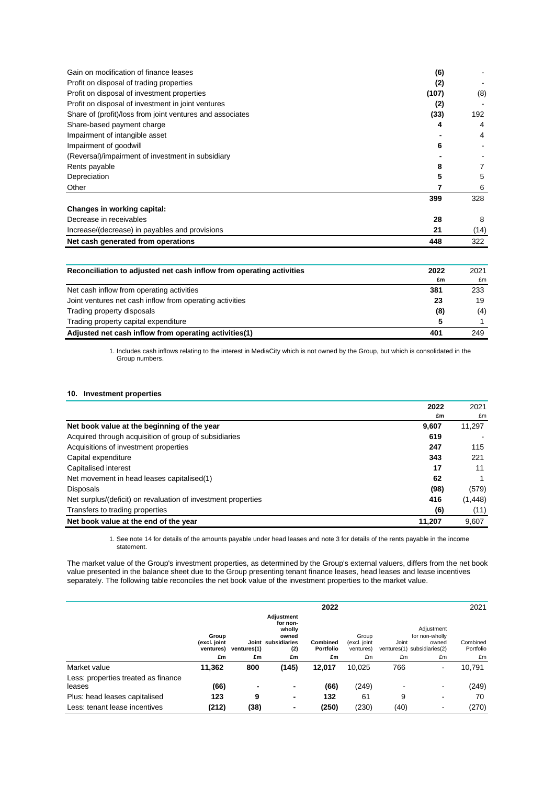| Gain on modification of finance leases                    | (6)   |      |
|-----------------------------------------------------------|-------|------|
| Profit on disposal of trading properties                  | (2)   |      |
| Profit on disposal of investment properties               | (107) | (8)  |
| Profit on disposal of investment in joint ventures        | (2)   |      |
| Share of (profit)/loss from joint ventures and associates | (33)  | 192  |
| Share-based payment charge                                | 4     | 4    |
| Impairment of intangible asset                            |       | 4    |
| Impairment of goodwill                                    | 6     |      |
| (Reversal)/impairment of investment in subsidiary         |       |      |
| Rents payable                                             | 8     |      |
| Depreciation                                              | 5     | 5    |
| Other                                                     |       | 6    |
|                                                           | 399   | 328  |
| Changes in working capital:                               |       |      |
| Decrease in receivables                                   | 28    | 8    |
| Increase/(decrease) in payables and provisions            | 21    | (14) |
| Net cash generated from operations                        | 448   | 322  |

| Reconciliation to adjusted net cash inflow from operating activities |     | 2021 |
|----------------------------------------------------------------------|-----|------|
|                                                                      | £m  | £m   |
| Net cash inflow from operating activities                            | 381 | 233  |
| Joint ventures net cash inflow from operating activities             | 23  | 19   |
| Trading property disposals                                           | (8) | (4)  |
| Trading property capital expenditure                                 | 5   |      |
| Adjusted net cash inflow from operating activities(1)                | 401 | 249  |

1. Includes cash inflows relating to the interest in MediaCity which is not owned by the Group, but which is consolidated in the Group numbers.

### **10. Investment properties**

|                                                               | 2022   | 2021     |
|---------------------------------------------------------------|--------|----------|
|                                                               | £m     | £m       |
| Net book value at the beginning of the year                   | 9,607  | 11,297   |
| Acquired through acquisition of group of subsidiaries         | 619    |          |
| Acquisitions of investment properties                         | 247    | 115      |
| Capital expenditure                                           | 343    | 221      |
| Capitalised interest                                          | 17     | 11       |
| Net movement in head leases capitalised(1)                    | 62     |          |
| <b>Disposals</b>                                              | (98)   | (579)    |
| Net surplus/(deficit) on revaluation of investment properties | 416    | (1, 448) |
| Transfers to trading properties                               | (6)    | (11)     |
| Net book value at the end of the year                         | 11.207 | 9.607    |

1. See note 14 for details of the amounts payable under head leases and note 3 for details of the rents payable in the income statement.

The market value of the Group's investment properties, as determined by the Group's external valuers, differs from the net book value presented in the balance sheet due to the Group presenting tenant finance leases, head leases and lease incentives separately. The following table reconciles the net book value of the investment properties to the market value.

|                                               |                                                            |      |                                                                                           | 2022   |        |      |                                    | 2021                                                                          |  |  |
|-----------------------------------------------|------------------------------------------------------------|------|-------------------------------------------------------------------------------------------|--------|--------|------|------------------------------------|-------------------------------------------------------------------------------|--|--|
|                                               | Group<br>(excl. joint<br>Joint<br>ventures)<br>ventures(1) |      | Adiustment<br>for non-<br>wholly<br>owned<br>subsidiaries<br><b>Combined</b><br>Portfolio |        | (2)    |      | Group<br>(excl. joint<br>ventures) | Adjustment<br>for non-wholly<br>Joint<br>owned<br>ventures(1) subsidiaries(2) |  |  |
|                                               | £m                                                         | £m   | £m                                                                                        | £m     | £m     | £m   | £m                                 | £m                                                                            |  |  |
| Market value                                  | 11,362                                                     | 800  | (145)                                                                                     | 12,017 | 10.025 | 766  |                                    | 10.791                                                                        |  |  |
| Less: properties treated as finance<br>leases | (66)                                                       |      | ٠                                                                                         | (66)   | (249)  |      |                                    | (249)                                                                         |  |  |
| Plus: head leases capitalised                 | 123                                                        | 9    | ٠                                                                                         | 132    | 61     | 9    |                                    | 70                                                                            |  |  |
| Less: tenant lease incentives                 | (212)                                                      | (38) | ٠                                                                                         | (250)  | (230)  | (40) |                                    | (270)                                                                         |  |  |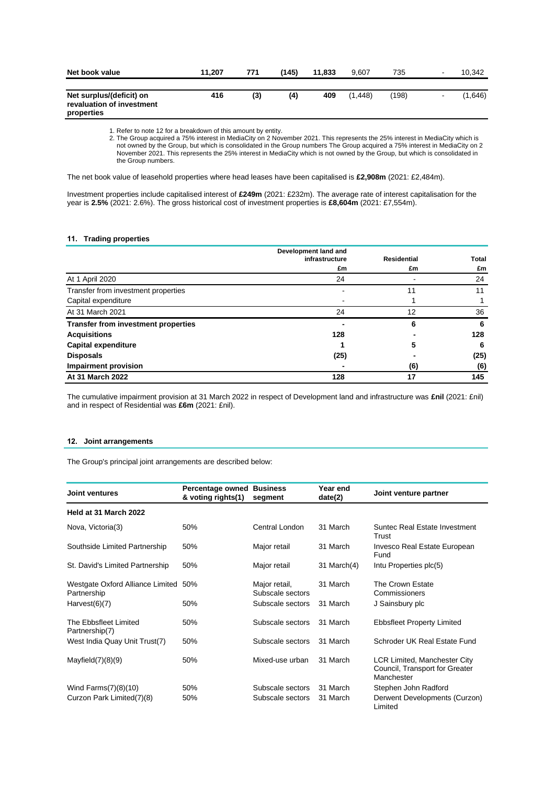| Net book value                                                      | 11.207 | 771 | (145) | 11.833 | 9.607    | 735   |        | 10.342  |
|---------------------------------------------------------------------|--------|-----|-------|--------|----------|-------|--------|---------|
| Net surplus/(deficit) on<br>revaluation of investment<br>properties | 416    | (3) | (4)   | 409    | (1, 448) | (198) | $\sim$ | (1,646) |

1. Refer to note 12 for a breakdown of this amount by entity.

2. The Group acquired a 75% interest in MediaCity on 2 November 2021. This represents the 25% interest in MediaCity which is not owned by the Group, but which is consolidated in the Group numbers The Group acquired a 75% interest in MediaCity on 2 November 2021. This represents the 25% interest in MediaCity which is not owned by the Group, but which is consolidated in the Group numbers.

The net book value of leasehold properties where head leases have been capitalised is **£2,908m** (2021: £2,484m).

Investment properties include capitalised interest of **£249m** (2021: £232m). The average rate of interest capitalisation for the year is **2.5%** (2021: 2.6%). The gross historical cost of investment properties is **£8,604m** (2021: £7,554m).

### **11. Trading properties**

|                                            | Development land and<br>infrastructure | <b>Residential</b> | Total |
|--------------------------------------------|----------------------------------------|--------------------|-------|
|                                            | £m                                     | £m                 | £m    |
| At 1 April 2020                            | 24                                     |                    | 24    |
| Transfer from investment properties        |                                        | 11                 | 11    |
| Capital expenditure                        |                                        |                    |       |
| At 31 March 2021                           | 24                                     | 12                 | 36    |
| <b>Transfer from investment properties</b> |                                        | 6                  | 6     |
| <b>Acquisitions</b>                        | 128                                    |                    | 128   |
| <b>Capital expenditure</b>                 |                                        | 5                  | 6     |
| <b>Disposals</b>                           | (25)                                   |                    | (25)  |
| <b>Impairment provision</b>                |                                        | (6)                | (6)   |
| At 31 March 2022                           | 128                                    | 17                 | 145   |

The cumulative impairment provision at 31 March 2022 in respect of Development land and infrastructure was **£nil** (2021: £nil) and in respect of Residential was **£6m** (2021: £nil).

### **12. Joint arrangements**

The Group's principal joint arrangements are described below:

| Joint ventures                                      | <b>Percentage owned Business</b><br>& voting rights(1) | segment                           | Year end<br>date(2) | Joint venture partner                                                               |
|-----------------------------------------------------|--------------------------------------------------------|-----------------------------------|---------------------|-------------------------------------------------------------------------------------|
| Held at 31 March 2022                               |                                                        |                                   |                     |                                                                                     |
| Nova, Victoria(3)                                   | 50%                                                    | Central London                    | 31 March            | Suntec Real Estate Investment<br>Trust                                              |
| Southside Limited Partnership                       | 50%                                                    | Major retail                      | 31 March            | Invesco Real Estate European<br>Fund                                                |
| St. David's Limited Partnership                     | 50%                                                    | Major retail                      | 31 March $(4)$      | Intu Properties plc(5)                                                              |
| Westgate Oxford Alliance Limited 50%<br>Partnership |                                                        | Major retail,<br>Subscale sectors | 31 March            | The Crown Estate<br>Commissioners                                                   |
| Harvest(6)(7)                                       | 50%                                                    | Subscale sectors                  | 31 March            | J Sainsbury plc                                                                     |
| The Ebbsfleet Limited<br>Partnership(7)             | 50%                                                    | Subscale sectors                  | 31 March            | <b>Ebbsfleet Property Limited</b>                                                   |
| West India Quay Unit Trust(7)                       | 50%                                                    | Subscale sectors                  | 31 March            | Schroder UK Real Estate Fund                                                        |
| Mayfield $(7)(8)(9)$                                | 50%                                                    | Mixed-use urban                   | 31 March            | <b>LCR Limited, Manchester City</b><br>Council, Transport for Greater<br>Manchester |
| Wind Farms $(7)(8)(10)$                             | 50%                                                    | Subscale sectors                  | 31 March            | Stephen John Radford                                                                |
| Curzon Park Limited(7)(8)                           | 50%                                                    | Subscale sectors                  | 31 March            | Derwent Developments (Curzon)<br>Limited                                            |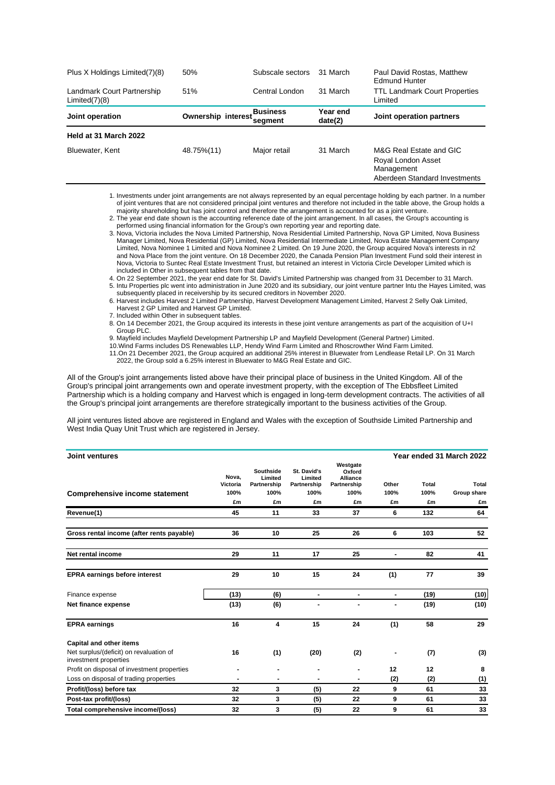| Plus X Holdings Limited(7)(8)               | 50%                                    | Subscale sectors | 31 March            | Paul David Rostas, Matthew<br><b>Edmund Hunter</b>                                           |
|---------------------------------------------|----------------------------------------|------------------|---------------------|----------------------------------------------------------------------------------------------|
| Landmark Court Partnership<br>Limited(7)(8) | 51%                                    | Central London   | 31 March            | <b>TTL Landmark Court Properties</b><br>Limited                                              |
| Joint operation                             | Ownership interest Business<br>segment |                  | Year end<br>date(2) | Joint operation partners                                                                     |
| Held at 31 March 2022                       |                                        |                  |                     |                                                                                              |
| Bluewater, Kent                             | 48.75%(11)                             | Major retail     | 31 March            | M&G Real Estate and GIC<br>Royal London Asset<br>Management<br>Aberdeen Standard Investments |

1. Investments under joint arrangements are not always represented by an equal percentage holding by each partner. In a number of joint ventures that are not considered principal joint ventures and therefore not included in the table above, the Group holds a majority shareholding but has joint control and therefore the arrangement is accounted for as a joint venture.

2. The year end date shown is the accounting reference date of the joint arrangement. In all cases, the Group's accounting is performed using financial information for the Group's own reporting year and reporting date.

3. Nova, Victoria includes the Nova Limited Partnership, Nova Residential Limited Partnership, Nova GP Limited, Nova Business Manager Limited, Nova Residential (GP) Limited, Nova Residential Intermediate Limited, Nova Estate Management Company Limited, Nova Nominee 1 Limited and Nova Nominee 2 Limited. On 19 June 2020, the Group acquired Nova's interests in n2 and Nova Place from the joint venture. On 18 December 2020, the Canada Pension Plan Investment Fund sold their interest in Nova, Victoria to Suntec Real Estate Investment Trust, but retained an interest in Victoria Circle Developer Limited which is included in Other in subsequent tables from that date.

4. On 22 September 2021, the year end date for St. David's Limited Partnership was changed from 31 December to 31 March. 5. Intu Properties plc went into administration in June 2020 and its subsidiary, our joint venture partner Intu the Hayes Limited, was subsequently placed in receivership by its secured creditors in November 2020.

6. Harvest includes Harvest 2 Limited Partnership, Harvest Development Management Limited, Harvest 2 Selly Oak Limited, Harvest 2 GP Limited and Harvest GP Limited.

7. Included within Other in subsequent tables.

8. On 14 December 2021, the Group acquired its interests in these joint venture arrangements as part of the acquisition of U+I Group PLC.

9. Mayfield includes Mayfield Development Partnership LP and Mayfield Development (General Partner) Limited.

10.Wind Farms includes DS Renewables LLP, Hendy Wind Farm Limited and Rhoscrowther Wind Farm Limited. 11.On 21 December 2021, the Group acquired an additional 25% interest in Bluewater from Lendlease Retail LP. On 31 March

2022, the Group sold a 6.25% interest in Bluewater to M&G Real Estate and GIC.

All of the Group's joint arrangements listed above have their principal place of business in the United Kingdom. All of the Group's principal joint arrangements own and operate investment property, with the exception of The Ebbsfleet Limited Partnership which is a holding company and Harvest which is engaged in long-term development contracts. The activities of all the Group's principal joint arrangements are therefore strategically important to the business activities of the Group.

All joint ventures listed above are registered in England and Wales with the exception of Southside Limited Partnership and West India Quay Unit Trust which are registered in Jersey.

| <b>Joint ventures</b>                                            |                                 |                                                          |                                                     |                                                                    |                     |                     | Year ended 31 March 2022   |
|------------------------------------------------------------------|---------------------------------|----------------------------------------------------------|-----------------------------------------------------|--------------------------------------------------------------------|---------------------|---------------------|----------------------------|
| <b>Comprehensive income statement</b>                            | Nova,<br>Victoria<br>100%<br>£m | <b>Southside</b><br>Limited<br>Partnership<br>100%<br>£m | St. David's<br>Limited<br>Partnership<br>100%<br>£m | Westgate<br>Oxford<br><b>Alliance</b><br>Partnership<br>100%<br>£m | Other<br>100%<br>£m | Total<br>100%<br>£m | Total<br>Group share<br>£m |
| Revenue(1)                                                       | 45                              | 11                                                       | 33                                                  | 37                                                                 | 6                   | 132                 | 64                         |
|                                                                  |                                 |                                                          |                                                     |                                                                    |                     |                     |                            |
| Gross rental income (after rents payable)                        | 36                              | 10                                                       | 25                                                  | 26                                                                 | 6                   | 103                 | 52                         |
| Net rental income                                                | 29                              | 11                                                       | 17                                                  | 25                                                                 | $\blacksquare$      | 82                  | 41                         |
| <b>EPRA earnings before interest</b>                             | 29                              | 10                                                       | 15                                                  | 24                                                                 | (1)                 | 77                  | 39                         |
| Finance expense                                                  | (13)                            | (6)                                                      | $\blacksquare$                                      | $\blacksquare$                                                     | $\blacksquare$      | (19)                | (10)                       |
| Net finance expense                                              | (13)                            | (6)                                                      |                                                     |                                                                    |                     | (19)                | (10)                       |
| <b>EPRA</b> earnings                                             | 16                              | 4                                                        | 15                                                  | 24                                                                 | (1)                 | 58                  | 29                         |
| <b>Capital and other items</b>                                   |                                 |                                                          |                                                     |                                                                    |                     |                     |                            |
| Net surplus/(deficit) on revaluation of<br>investment properties | 16                              | (1)                                                      | (20)                                                | (2)                                                                |                     | (7)                 | (3)                        |
| Profit on disposal of investment properties                      |                                 |                                                          |                                                     |                                                                    | 12                  | 12                  | 8                          |
| Loss on disposal of trading properties                           | ۰                               | $\blacksquare$                                           | $\overline{\phantom{a}}$                            |                                                                    | (2)                 | (2)                 | (1)                        |
| Profit/(loss) before tax                                         | 32                              | 3                                                        | (5)                                                 | 22                                                                 | 9                   | 61                  | 33                         |
| Post-tax profit/(loss)                                           | 32                              | 3                                                        | (5)                                                 | 22                                                                 | 9                   | 61                  | 33                         |
| Total comprehensive income/(loss)                                | 32                              | 3                                                        | (5)                                                 | 22                                                                 | 9                   | 61                  | 33                         |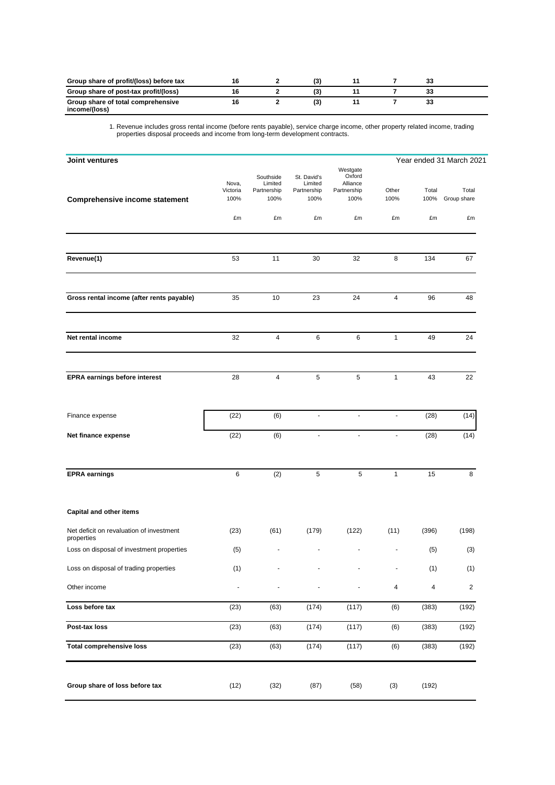| Group share of profit/(loss) before tax             |  |    |  |  |
|-----------------------------------------------------|--|----|--|--|
| Group share of post-tax profit/(loss)               |  |    |  |  |
| Group share of total comprehensive<br>income/(loss) |  | (3 |  |  |

1. Revenue includes gross rental income (before rents payable), service charge income, other property related income, trading properties disposal proceeds and income from long-term development contracts.

| Joint ventures                                         |                           |                                             |                                               |                                                       |                |               | Year ended 31 March 2021 |
|--------------------------------------------------------|---------------------------|---------------------------------------------|-----------------------------------------------|-------------------------------------------------------|----------------|---------------|--------------------------|
| Comprehensive income statement                         | Nova,<br>Victoria<br>100% | Southside<br>Limited<br>Partnership<br>100% | St. David's<br>Limited<br>Partnership<br>100% | Westgate<br>Oxford<br>Alliance<br>Partnership<br>100% | Other<br>100%  | Total<br>100% | Total<br>Group share     |
|                                                        | £m                        | £m                                          | £m                                            | £m                                                    | £m             | £m            | £m                       |
| Revenue(1)                                             | 53                        | 11                                          | 30                                            | 32                                                    | 8              | 134           | 67                       |
| Gross rental income (after rents payable)              | 35                        | 10                                          | 23                                            | 24                                                    | 4              | 96            | 48                       |
| Net rental income                                      | 32                        | 4                                           | 6                                             | 6                                                     | $\mathbf{1}$   | 49            | 24                       |
| EPRA earnings before interest                          | 28                        | $\overline{4}$                              | $\sqrt{5}$                                    | $\sqrt{5}$                                            | $\mathbf{1}$   | 43            | 22                       |
| Finance expense                                        | (22)                      | (6)                                         | $\blacksquare$                                | $\blacksquare$                                        | $\blacksquare$ | (28)          | (14)                     |
| Net finance expense                                    | (22)                      | (6)                                         | $\blacksquare$                                | $\omega$                                              | $\blacksquare$ | (28)          | (14)                     |
| <b>EPRA</b> earnings                                   | 6                         | (2)                                         | $\sqrt{5}$                                    | 5                                                     | $\mathbf{1}$   | 15            | 8                        |
| <b>Capital and other items</b>                         |                           |                                             |                                               |                                                       |                |               |                          |
| Net deficit on revaluation of investment<br>properties | (23)                      | (61)                                        | (179)                                         | (122)                                                 | (11)           | (396)         | (198)                    |
| Loss on disposal of investment properties              | (5)                       |                                             |                                               |                                                       |                | (5)           | (3)                      |
| Loss on disposal of trading properties                 | (1)                       |                                             |                                               |                                                       |                | (1)           | (1)                      |
| Other income                                           |                           | $\frac{1}{2}$                               | $\overline{\phantom{a}}$                      | ٠                                                     | 4              | 4             | $\overline{\mathbf{c}}$  |
| Loss before tax                                        | (23)                      | (63)                                        | (174)                                         | (117)                                                 | (6)            | (383)         | (192)                    |
| Post-tax loss                                          | (23)                      | (63)                                        | (174)                                         | (117)                                                 | (6)            | (383)         | (192)                    |
| <b>Total comprehensive loss</b>                        | (23)                      | (63)                                        | (174)                                         | (117)                                                 | (6)            | (383)         | (192)                    |
| Group share of loss before tax                         | (12)                      | (32)                                        | (87)                                          | (58)                                                  | (3)            | (192)         |                          |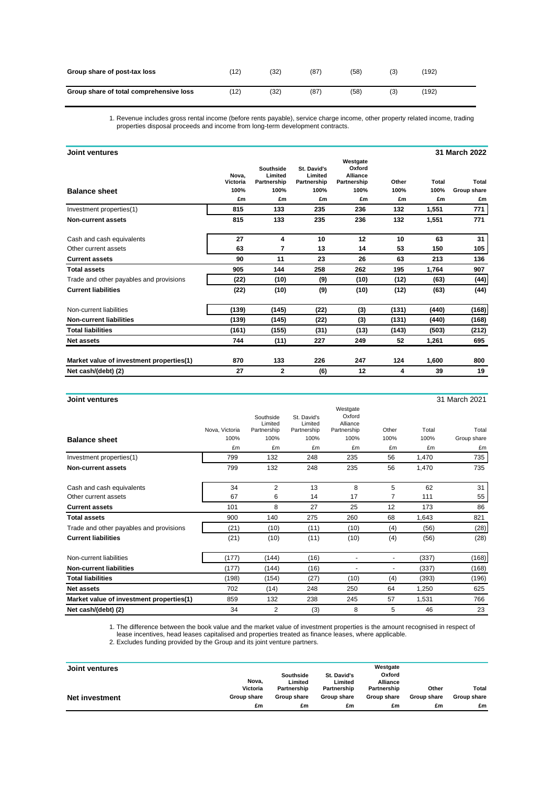| Group share of post-tax loss            | $^{\prime}$ 12) | (32) | (87) | (58) |     | (192) |
|-----------------------------------------|-----------------|------|------|------|-----|-------|
| Group share of total comprehensive loss | 12)             | (32) | (87  | (58) | (3) | (192) |

1. Revenue includes gross rental income (before rents payable), service charge income, other property related income, trading properties disposal proceeds and income from long-term development contracts.

| Joint ventures                           |                   |                                     |                                       |                                                      |       |       | 31 March 2022 |
|------------------------------------------|-------------------|-------------------------------------|---------------------------------------|------------------------------------------------------|-------|-------|---------------|
|                                          | Nova,<br>Victoria | Southside<br>Limited<br>Partnership | St. David's<br>Limited<br>Partnership | Westgate<br>Oxford<br><b>Alliance</b><br>Partnership | Other | Total | Total         |
| <b>Balance sheet</b>                     | 100%              | 100%                                | 100%                                  | 100%                                                 | 100%  | 100%  | Group share   |
|                                          | £m                | £m                                  | £m                                    | £m                                                   | £m    | £m    | £m            |
| Investment properties(1)                 | 815               | 133                                 | 235                                   | 236                                                  | 132   | 1,551 | 771           |
| Non-current assets                       | 815               | 133                                 | 235                                   | 236                                                  | 132   | 1,551 | 771           |
| Cash and cash equivalents                | 27                | 4                                   | 10                                    | 12                                                   | 10    | 63    | 31            |
| Other current assets                     | 63                | 7                                   | 13                                    | 14                                                   | 53    | 150   | 105           |
| <b>Current assets</b>                    | 90                | 11                                  | 23                                    | 26                                                   | 63    | 213   | 136           |
| <b>Total assets</b>                      | 905               | 144                                 | 258                                   | 262                                                  | 195   | 1,764 | 907           |
| Trade and other payables and provisions  | (22)              | (10)                                | (9)                                   | (10)                                                 | (12)  | (63)  | (44)          |
| <b>Current liabilities</b>               | (22)              | (10)                                | (9)                                   | (10)                                                 | (12)  | (63)  | (44)          |
| Non-current liabilities                  | (139)             | (145)                               | (22)                                  | (3)                                                  | (131) | (440) | (168)         |
| <b>Non-current liabilities</b>           | (139)             | (145)                               | (22)                                  | (3)                                                  | (131) | (440) | (168)         |
| <b>Total liabilities</b>                 | (161)             | (155)                               | (31)                                  | (13)                                                 | (143) | (503) | (212)         |
| <b>Net assets</b>                        | 744               | (11)                                | 227                                   | 249                                                  | 52    | 1,261 | 695           |
| Market value of investment properties(1) | 870               | 133                                 | 226                                   | 247                                                  | 124   | 1,600 | 800           |
| Net cash/(debt) (2)                      | 27                | 2                                   | (6)                                   | 12                                                   | 4     | 39    | 19            |

| Joint ventures                           |                        |                                             |                                               | 31 March 2021                                         |               |               |                      |  |  |  |
|------------------------------------------|------------------------|---------------------------------------------|-----------------------------------------------|-------------------------------------------------------|---------------|---------------|----------------------|--|--|--|
| <b>Balance sheet</b>                     | Nova, Victoria<br>100% | Southside<br>Limited<br>Partnership<br>100% | St. David's<br>Limited<br>Partnership<br>100% | Westgate<br>Oxford<br>Alliance<br>Partnership<br>100% | Other<br>100% | Total<br>100% | Total<br>Group share |  |  |  |
|                                          | £m                     | £m                                          | £m                                            | £m                                                    | £m            | £m            | £m                   |  |  |  |
| Investment properties(1)                 | 799                    | 132                                         | 248                                           | 235                                                   | 56            | 1,470         | 735                  |  |  |  |
| <b>Non-current assets</b>                | 799                    | 132                                         | 248                                           | 235                                                   | 56            | 1,470         | 735                  |  |  |  |
| Cash and cash equivalents                | 34                     | $\overline{2}$                              | 13                                            | 8                                                     | 5             | 62            | 31                   |  |  |  |
| Other current assets                     | 67                     | 6                                           | 14                                            | 17                                                    | 7             | 111           | 55                   |  |  |  |
| <b>Current assets</b>                    | 101                    | 8                                           | 27                                            | 25                                                    | 12            | 173           | 86                   |  |  |  |
| <b>Total assets</b>                      | 900                    | 140                                         | 275                                           | 260                                                   | 68            | 1,643         | 821                  |  |  |  |
| Trade and other payables and provisions  | (21)                   | (10)                                        | (11)                                          | (10)                                                  | (4)           | (56)          | (28)                 |  |  |  |
| <b>Current liabilities</b>               | (21)                   | (10)                                        | (11)                                          | (10)                                                  | (4)           | (56)          | (28)                 |  |  |  |
| Non-current liabilities                  | (177)                  | (144)                                       | (16)                                          | $\qquad \qquad \blacksquare$                          | ٠             | (337)         | (168)                |  |  |  |
| <b>Non-current liabilities</b>           | (177)                  | (144)                                       | (16)                                          | ٠                                                     | ٠             | (337)         | (168)                |  |  |  |
| <b>Total liabilities</b>                 | (198)                  | (154)                                       | (27)                                          | (10)                                                  | (4)           | (393)         | (196)                |  |  |  |
| <b>Net assets</b>                        | 702                    | (14)                                        | 248                                           | 250                                                   | 64            | 1,250         | 625                  |  |  |  |
| Market value of investment properties(1) | 859                    | 132                                         | 238                                           | 245                                                   | 57            | 1,531         | 766                  |  |  |  |
| Net cash/(debt) (2)                      | 34                     | $\overline{2}$                              | (3)                                           | 8                                                     | 5             | 46            | 23                   |  |  |  |

1. The difference between the book value and the market value of investment properties is the amount recognised in respect of lease incentives, head leases capitalised and properties treated as finance leases, where applicable.

2. Excludes funding provided by the Group and its joint venture partners.

| Joint ventures | Nova.       | Southside<br>Limited | St. David's<br>Limited | Westgate<br>Oxford<br>Alliance |             |             |
|----------------|-------------|----------------------|------------------------|--------------------------------|-------------|-------------|
|                | Victoria    | Partnership          | Partnership            | Partnership                    | Other       | Total       |
| Net investment | Group share | <b>Group share</b>   | Group share            | Group share                    | Group share | Group share |
|                | £m          | £m                   | £m                     | £m                             | £m          | £m          |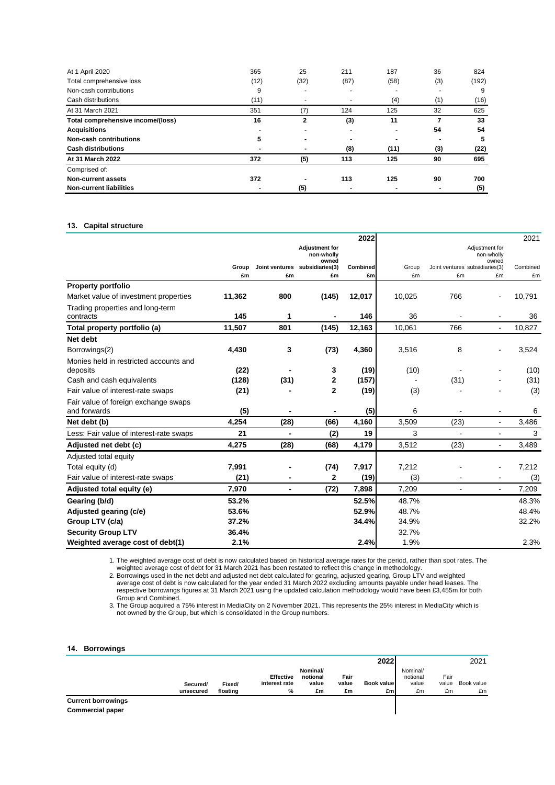| At 1 April 2020                   | 365                      | 25             | 211                      | 187                      | 36                       | 824   |
|-----------------------------------|--------------------------|----------------|--------------------------|--------------------------|--------------------------|-------|
| Total comprehensive loss          | (12)                     | (32)           | (87)                     | (58)                     | (3)                      | (192) |
| Non-cash contributions            | 9                        | ٠              | $\overline{\phantom{0}}$ | $\overline{\phantom{a}}$ | $\overline{\phantom{0}}$ | 9     |
| Cash distributions                | (11)                     | $\sim$         |                          | (4)                      | (1)                      | (16)  |
| At 31 March 2021                  | 351                      | (7)            | 124                      | 125                      | 32                       | 625   |
| Total comprehensive income/(loss) | 16                       | 2              | (3)                      | 11                       |                          | 33    |
| <b>Acquisitions</b>               | ۰                        | ٠              | ۰                        |                          | 54                       | 54    |
| Non-cash contributions            | 5                        | $\blacksquare$ |                          |                          | -                        | 5     |
| <b>Cash distributions</b>         | $\overline{\phantom{a}}$ | $\blacksquare$ | (8)                      | (11)                     | (3)                      | (22)  |
| At 31 March 2022                  | 372                      | (5)            | 113                      | 125                      | 90                       | 695   |
| Comprised of:                     |                          |                |                          |                          |                          |       |
| Non-current assets                | 372                      |                | 113                      | 125                      | 90                       | 700   |
| <b>Non-current liabilities</b>    | ۰                        | (5)            | ۰                        |                          | -                        | (5)   |

### **13. Capital structure**

|                                         |             |                      |                                     | 2022           |             |                                      |                              | 2021           |
|-----------------------------------------|-------------|----------------------|-------------------------------------|----------------|-------------|--------------------------------------|------------------------------|----------------|
|                                         |             |                      | <b>Adjustment for</b><br>non-wholly |                |             |                                      | Adjustment for<br>non-wholly |                |
|                                         |             |                      | owned                               |                |             |                                      | owned                        |                |
|                                         | Group<br>£m | Joint ventures<br>£m | subsidiaries(3)<br>£m               | Combined<br>£m | Group<br>£m | Joint ventures subsidiaries(3)<br>£m | £m                           | Combined<br>£m |
| <b>Property portfolio</b>               |             |                      |                                     |                |             |                                      |                              |                |
| Market value of investment properties   | 11,362      | 800                  | (145)                               | 12,017         | 10,025      | 766                                  |                              | 10,791         |
| Trading properties and long-term        |             |                      |                                     |                |             |                                      |                              |                |
| contracts                               | 145         | 1                    | $\overline{\phantom{a}}$            | 146            | 36          |                                      |                              | 36             |
| Total property portfolio (a)            | 11,507      | 801                  | (145)                               | 12,163         | 10,061      | 766                                  | $\blacksquare$               | 10,827         |
| Net debt                                |             |                      |                                     |                |             |                                      |                              |                |
| Borrowings(2)                           | 4,430       | 3                    | (73)                                | 4,360          | 3,516       | 8                                    |                              | 3,524          |
| Monies held in restricted accounts and  |             |                      |                                     |                |             |                                      |                              |                |
| deposits                                | (22)        |                      | 3                                   | (19)           | (10)        |                                      |                              | (10)           |
| Cash and cash equivalents               | (128)       | (31)                 | 2                                   | (157)          |             | (31)                                 |                              | (31)           |
| Fair value of interest-rate swaps       | (21)        |                      | $\mathbf{2}$                        | (19)           | (3)         |                                      |                              | (3)            |
| Fair value of foreign exchange swaps    |             |                      |                                     |                |             |                                      |                              |                |
| and forwards                            | (5)         |                      |                                     | (5)            | 6           |                                      |                              | 6              |
| Net debt (b)                            | 4,254       | (28)                 | (66)                                | 4,160          | 3,509       | (23)                                 | $\blacksquare$               | 3,486          |
| Less: Fair value of interest-rate swaps | 21          | $\blacksquare$       | (2)                                 | 19             | 3           | $\blacksquare$                       | $\blacksquare$               | 3              |
| Adjusted net debt (c)                   | 4,275       | (28)                 | (68)                                | 4,179          | 3,512       | (23)                                 | $\blacksquare$               | 3,489          |
| Adjusted total equity                   |             |                      |                                     |                |             |                                      |                              |                |
| Total equity (d)                        | 7,991       |                      | (74)                                | 7,917          | 7,212       |                                      | $\blacksquare$               | 7,212          |
| Fair value of interest-rate swaps       | (21)        |                      | $\mathbf{2}$                        | (19)           | (3)         |                                      |                              | (3)            |
| Adjusted total equity (e)               | 7,970       | ۰                    | (72)                                | 7,898          | 7,209       | $\overline{a}$                       | $\blacksquare$               | 7,209          |
| Gearing (b/d)                           | 53.2%       |                      |                                     | 52.5%          | 48.7%       |                                      |                              | 48.3%          |
| Adjusted gearing (c/e)                  | 53.6%       |                      |                                     | 52.9%          | 48.7%       |                                      |                              | 48.4%          |
| Group LTV (c/a)                         | 37.2%       |                      |                                     | 34.4%          | 34.9%       |                                      |                              | 32.2%          |
| <b>Security Group LTV</b>               | 36.4%       |                      |                                     |                | 32.7%       |                                      |                              |                |
| Weighted average cost of debt(1)        | 2.1%        |                      |                                     | 2.4%           | 1.9%        |                                      |                              | 2.3%           |

1. The weighted average cost of debt is now calculated based on historical average rates for the period, rather than spot rates. The weighted average cost of debt for 31 March 2021 has been restated to reflect this change in methodology.

2. Borrowings used in the net debt and adjusted net debt calculated for gearing, adjusted gearing, Group LTV and weighted average cost of debt is now calculated for the year ended 31 March 2022 excluding amounts payable under head leases. The respective borrowings figures at 31 March 2021 using the updated calculation methodology would have been £3,455m for both Group and Combined.

3. The Group acquired a 75% interest in MediaCity on 2 November 2021. This represents the 25% interest in MediaCity which is not owned by the Group, but which is consolidated in the Group numbers.

### **14. Borrowings**

|                           |                       |                    |                                        |                                            |                     | 2022                      |                                     |                     | 2021             |
|---------------------------|-----------------------|--------------------|----------------------------------------|--------------------------------------------|---------------------|---------------------------|-------------------------------------|---------------------|------------------|
|                           | Secured/<br>unsecured | Fixed/<br>floating | <b>Effective</b><br>interest rate<br>% | <b>Nominal/</b><br>notional<br>value<br>£m | Fair<br>value<br>£m | <b>Book valuel</b><br>£ml | Nominal/<br>notional<br>value<br>£m | Fair<br>value<br>£m | Book value<br>£m |
| <b>Current borrowings</b> |                       |                    |                                        |                                            |                     |                           |                                     |                     |                  |
| <b>Commercial paper</b>   |                       |                    |                                        |                                            |                     |                           |                                     |                     |                  |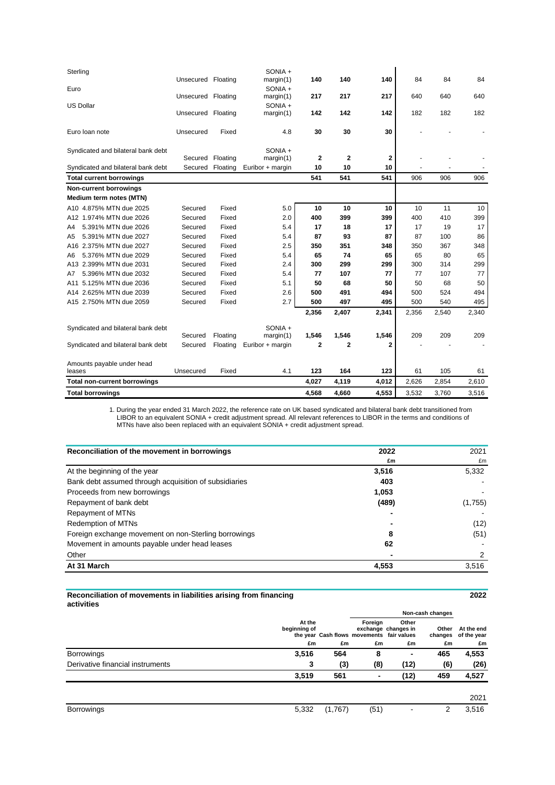| Sterling                            | Unsecured Floating |          | SONIA +<br>margin(1) | 140   | 140         | 140          | 84    | 84    | 84    |
|-------------------------------------|--------------------|----------|----------------------|-------|-------------|--------------|-------|-------|-------|
| Euro                                | Unsecured Floating |          | SONIA +              | 217   | 217         | 217          | 640   | 640   | 640   |
| <b>US Dollar</b>                    |                    |          | margin(1)<br>SONIA + |       |             |              |       |       |       |
|                                     | Unsecured Floating |          | margin(1)            | 142   | 142         | 142          | 182   | 182   | 182   |
| Euro Ioan note                      | Unsecured          | Fixed    | 4.8                  | 30    | 30          | 30           |       |       |       |
| Syndicated and bilateral bank debt  | Secured            | Floating | SONIA +<br>margin(1) | 2     | $\mathbf 2$ | $\mathbf{2}$ |       |       |       |
| Syndicated and bilateral bank debt  | Secured            | Floating | Euribor + margin     | 10    | 10          | 10           |       |       |       |
| <b>Total current borrowings</b>     |                    |          |                      | 541   | 541         | 541          | 906   | 906   | 906   |
| <b>Non-current borrowings</b>       |                    |          |                      |       |             |              |       |       |       |
| Medium term notes (MTN)             |                    |          |                      |       |             |              |       |       |       |
| A10 4.875% MTN due 2025             | Secured            | Fixed    | 5.0                  | 10    | 10          | 10           | 10    | 11    | 10    |
| A12 1.974% MTN due 2026             | Secured            | Fixed    | 2.0                  | 400   | 399         | 399          | 400   | 410   | 399   |
| 5.391% MTN due 2026<br>A4           | Secured            | Fixed    | 5.4                  | 17    | 18          | 17           | 17    | 19    | 17    |
| 5.391% MTN due 2027<br>A5           | Secured            | Fixed    | 5.4                  | 87    | 93          | 87           | 87    | 100   | 86    |
| A16 2.375% MTN due 2027             | Secured            | Fixed    | 2.5                  | 350   | 351         | 348          | 350   | 367   | 348   |
| 5.376% MTN due 2029<br>A6           | Secured            | Fixed    | 5.4                  | 65    | 74          | 65           | 65    | 80    | 65    |
| A13 2.399% MTN due 2031             | Secured            | Fixed    | 2.4                  | 300   | 299         | 299          | 300   | 314   | 299   |
| 5.396% MTN due 2032<br>Α7           | Secured            | Fixed    | 5.4                  | 77    | 107         | 77           | 77    | 107   | 77    |
| 5.125% MTN due 2036<br>A11          | Secured            | Fixed    | 5.1                  | 50    | 68          | 50           | 50    | 68    | 50    |
| 2.625% MTN due 2039<br>A14.         | Secured            | Fixed    | 2.6                  | 500   | 491         | 494          | 500   | 524   | 494   |
| A15 2.750% MTN due 2059             | Secured            | Fixed    | 2.7                  | 500   | 497         | 495          | 500   | 540   | 495   |
|                                     |                    |          |                      | 2,356 | 2,407       | 2,341        | 2,356 | 2,540 | 2,340 |
| Syndicated and bilateral bank debt  |                    |          | SONIA +              |       |             |              |       |       |       |
|                                     | Secured            | Floating | margin(1)            | 1,546 | 1,546       | 1,546        | 209   | 209   | 209   |
| Syndicated and bilateral bank debt  | Secured            | Floating | Euribor + margin     | 2     | $\mathbf 2$ | 2            |       |       |       |
| Amounts payable under head          |                    |          |                      |       |             |              |       |       |       |
| leases                              | Unsecured          | Fixed    | 4.1                  | 123   | 164         | 123          | 61    | 105   | 61    |
| <b>Total non-current borrowings</b> |                    |          |                      | 4,027 | 4,119       | 4,012        | 2,626 | 2,854 | 2,610 |
| <b>Total borrowings</b>             |                    |          |                      | 4,568 | 4,660       | 4,553        | 3,532 | 3,760 | 3,516 |

1. During the year ended 31 March 2022, the reference rate on UK based syndicated and bilateral bank debt transitioned from LIBOR to an equivalent SONIA + credit adjustment spread. All relevant references to LIBOR in the terms and conditions of MTNs have also been replaced with an equivalent SONIA + credit adjustment spread.

| Reconciliation of the movement in borrowings          | 2022  | 2021    |
|-------------------------------------------------------|-------|---------|
|                                                       | £m    | £m      |
| At the beginning of the year                          | 3,516 | 5,332   |
| Bank debt assumed through acquisition of subsidiaries | 403   |         |
| Proceeds from new borrowings                          | 1.053 |         |
| Repayment of bank debt                                | (489) | (1,755) |
| Repayment of MTNs                                     |       |         |
| <b>Redemption of MTNs</b>                             |       | (12)    |
| Foreign exchange movement on non-Sterling borrowings  | 8     | (51)    |
| Movement in amounts payable under head leases         | 62    |         |
| Other                                                 |       | 2       |
| At 31 March                                           | 4,553 | 3,516   |

**Reconciliation of movements in liabilities arising from financing activities**

| ,,,,,,,,,,,                      |                              |         |                                                            | Non-cash changes                   |             |                                         |
|----------------------------------|------------------------------|---------|------------------------------------------------------------|------------------------------------|-------------|-----------------------------------------|
|                                  | At the<br>beginning of<br>£m | £m      | Foreign<br>the year Cash flows movements fair values<br>£m | Other<br>exchange changes in<br>£m | Other<br>£m | At the end<br>changes of the year<br>£m |
| <b>Borrowings</b>                | 3,516                        | 564     | 8                                                          | $\overline{\phantom{0}}$           | 465         | 4,553                                   |
|                                  |                              |         |                                                            |                                    |             |                                         |
| Derivative financial instruments | 3                            | (3)     | (8)                                                        | (12)                               | (6)         | (26)                                    |
|                                  | 3,519                        | 561     | -                                                          | (12)                               | 459         | 4,527                                   |
|                                  |                              |         |                                                            |                                    |             | 2021                                    |
| <b>Borrowings</b>                | 5,332                        | (1,767) | (51)                                                       |                                    | 2           | 3,516                                   |

**2022**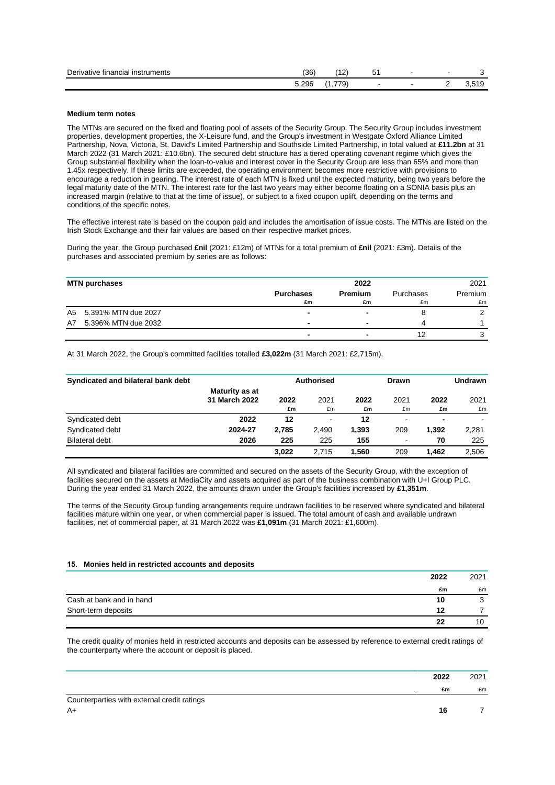| <b>Derivative</b><br>tinanciai.<br><b>Instruments</b><br>. | (36   | $\sim$<br>. .                       | ັັ |  |                              |
|------------------------------------------------------------|-------|-------------------------------------|----|--|------------------------------|
|                                                            | 296.ر | $\overline{\phantom{a}}$<br>$\cdot$ | -  |  | $\overline{a}$<br>. .<br>J.J |

### **Medium term notes**

The MTNs are secured on the fixed and floating pool of assets of the Security Group. The Security Group includes investment properties, development properties, the X-Leisure fund, and the Group's investment in Westgate Oxford Alliance Limited Partnership, Nova, Victoria, St. David's Limited Partnership and Southside Limited Partnership, in total valued at **£11.2bn** at 31 March 2022 (31 March 2021: £10.6bn). The secured debt structure has a tiered operating covenant regime which gives the Group substantial flexibility when the loan-to-value and interest cover in the Security Group are less than 65% and more than 1.45x respectively. If these limits are exceeded, the operating environment becomes more restrictive with provisions to encourage a reduction in gearing. The interest rate of each MTN is fixed until the expected maturity, being two years before the legal maturity date of the MTN. The interest rate for the last two years may either become floating on a SONIA basis plus an increased margin (relative to that at the time of issue), or subject to a fixed coupon uplift, depending on the terms and conditions of the specific notes.

The effective interest rate is based on the coupon paid and includes the amortisation of issue costs. The MTNs are listed on the Irish Stock Exchange and their fair values are based on their respective market prices.

During the year, the Group purchased **£nil** (2021: £12m) of MTNs for a total premium of **£nil** (2021: £3m). Details of the purchases and associated premium by series are as follows:

| <b>MTN purchases</b>      |                  | 2022    |           | 2021    |
|---------------------------|------------------|---------|-----------|---------|
|                           | <b>Purchases</b> | Premium | Purchases | Premium |
|                           | £m               | £m      | £m        | £m      |
| A5 5.391% MTN due 2027    | ۰                |         |           |         |
| 5.396% MTN due 2032<br>A7 |                  |         |           |         |
|                           | ۰                | -       |           |         |

At 31 March 2022, the Group's committed facilities totalled **£3,022m** (31 March 2021: £2,715m).

| Syndicated and bilateral bank debt |                                 | Authorised |                |            | <b>Drawn</b>   |            | Undrawn    |
|------------------------------------|---------------------------------|------------|----------------|------------|----------------|------------|------------|
|                                    | Maturity as at<br>31 March 2022 | 2022<br>£m | 2021<br>£m     | 2022<br>£m | 2021<br>£m     | 2022<br>£m | 2021<br>£m |
| Syndicated debt                    | 2022                            | 12         | $\blacksquare$ | 12         | $\blacksquare$ |            |            |
| Syndicated debt                    | 2024-27                         | 2.785      | 2.490          | 1,393      | 209            | 1.392      | 2,281      |
| <b>Bilateral debt</b>              | 2026                            | 225        | 225            | 155        | $\blacksquare$ | 70         | 225        |
|                                    |                                 | 3.022      | 2.715          | 1.560      | 209            | 1.462      | 2,506      |

All syndicated and bilateral facilities are committed and secured on the assets of the Security Group, with the exception of facilities secured on the assets at MediaCity and assets acquired as part of the business combination with U+I Group PLC. During the year ended 31 March 2022, the amounts drawn under the Group's facilities increased by **£1,351m**.

The terms of the Security Group funding arrangements require undrawn facilities to be reserved where syndicated and bilateral facilities mature within one year, or when commercial paper is issued. The total amount of cash and available undrawn facilities, net of commercial paper, at 31 March 2022 was **£1,091m** (31 March 2021: £1,600m).

#### **15. Monies held in restricted accounts and deposits**

|                          | 2022 | 2021 |
|--------------------------|------|------|
|                          | £m   | £m   |
| Cash at bank and in hand | 10   | υ    |
| Short-term deposits      | 12   |      |
|                          | 22   | 10   |

The credit quality of monies held in restricted accounts and deposits can be assessed by reference to external credit ratings of the counterparty where the account or deposit is placed.

|                                             | 2022 | 2021 |
|---------------------------------------------|------|------|
|                                             | £m   | £m   |
| Counterparties with external credit ratings |      |      |
| $A+$                                        | 16   |      |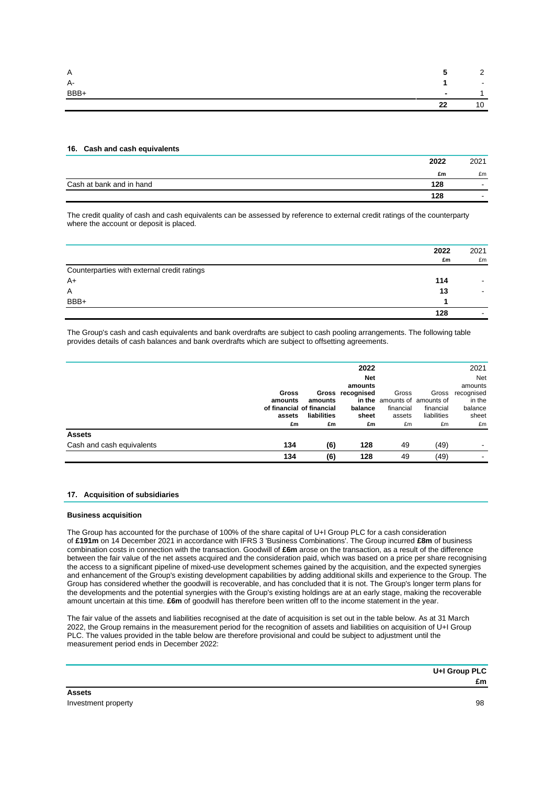| Α    | - 1                      | $\sim$<br><u>_</u> |
|------|--------------------------|--------------------|
| A-   |                          | $\sim 100$         |
| BBB+ | $\overline{\phantom{a}}$ |                    |
|      | 22                       | 10                 |

### **16. Cash and cash equivalents**

|                          | 2022 | 2021                     |
|--------------------------|------|--------------------------|
|                          | £m   | £m                       |
| Cash at bank and in hand | 128  | $\blacksquare$           |
|                          | 128  | $\overline{\phantom{0}}$ |

The credit quality of cash and cash equivalents can be assessed by reference to external credit ratings of the counterparty where the account or deposit is placed.

|                                             | 2022 | 2021                     |
|---------------------------------------------|------|--------------------------|
|                                             | £m   | £m                       |
| Counterparties with external credit ratings |      |                          |
| $A+$                                        | 114  |                          |
| Α                                           | 13   |                          |
| BBB+                                        |      |                          |
|                                             | 128  | $\overline{\phantom{a}}$ |

The Group's cash and cash equivalents and bank overdrafts are subject to cash pooling arrangements. The following table provides details of cash balances and bank overdrafts which are subject to offsetting agreements.

|                           |                           |             | 2022             |           |                              | 2021       |
|---------------------------|---------------------------|-------------|------------------|-----------|------------------------------|------------|
|                           |                           |             | <b>Net</b>       |           |                              | Net        |
|                           |                           |             | amounts          |           |                              | amounts    |
|                           | <b>Gross</b>              |             | Gross recognised | Gross     | Gross                        | recognised |
|                           | amounts                   | amounts     |                  |           | in the amounts of amounts of | in the     |
|                           | of financial of financial |             | balance          | financial | financial                    | balance    |
|                           | assets                    | liabilities | sheet            | assets    | liabilities                  | sheet      |
|                           | £m                        | £m          | £m               | £m        | £m                           | £m         |
| <b>Assets</b>             |                           |             |                  |           |                              |            |
| Cash and cash equivalents | 134                       | (6)         | 128              | 49        | (49)                         |            |
|                           | 134                       | (6)         | 128              | 49        | (49)                         |            |
|                           |                           |             |                  |           |                              |            |

### **17. Acquisition of subsidiaries**

### **Business acquisition**

The Group has accounted for the purchase of 100% of the share capital of U+I Group PLC for a cash consideration of **£191m** on 14 December 2021 in accordance with IFRS 3 'Business Combinations'. The Group incurred **£8m** of business combination costs in connection with the transaction. Goodwill of **£6m** arose on the transaction, as a result of the difference between the fair value of the net assets acquired and the consideration paid, which was based on a price per share recognising the access to a significant pipeline of mixed-use development schemes gained by the acquisition, and the expected synergies and enhancement of the Group's existing development capabilities by adding additional skills and experience to the Group. The Group has considered whether the goodwill is recoverable, and has concluded that it is not. The Group's longer term plans for the developments and the potential synergies with the Group's existing holdings are at an early stage, making the recoverable amount uncertain at this time. **£6m** of goodwill has therefore been written off to the income statement in the year.

The fair value of the assets and liabilities recognised at the date of acquisition is set out in the table below. As at 31 March 2022, the Group remains in the measurement period for the recognition of assets and liabilities on acquisition of U+I Group PLC. The values provided in the table below are therefore provisional and could be subject to adjustment until the measurement period ends in December 2022:

| U+I Group PLC |
|---------------|
|               |
|               |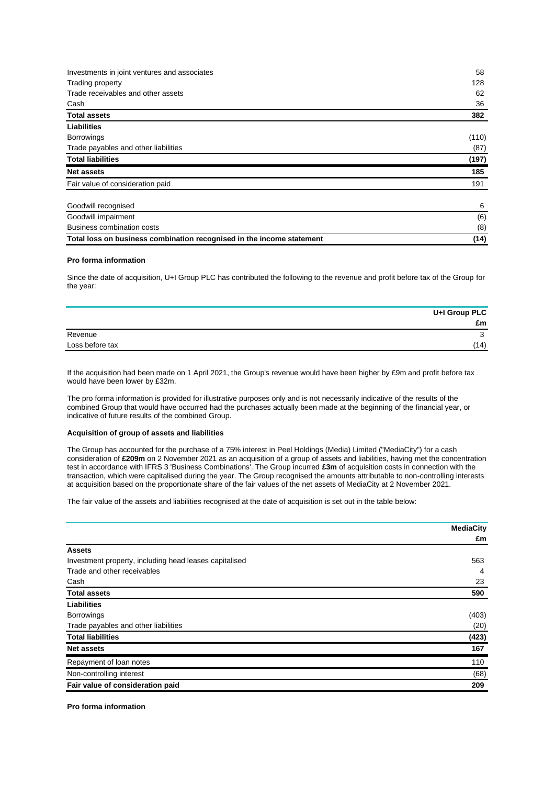| Investments in joint ventures and associates                          | 58    |
|-----------------------------------------------------------------------|-------|
| Trading property                                                      | 128   |
| Trade receivables and other assets                                    | 62    |
| Cash                                                                  | 36    |
| <b>Total assets</b>                                                   | 382   |
| Liabilities                                                           |       |
| <b>Borrowings</b>                                                     | (110) |
| Trade payables and other liabilities                                  | (87)  |
| <b>Total liabilities</b>                                              | (197) |
| <b>Net assets</b>                                                     | 185   |
| Fair value of consideration paid                                      | 191   |
| Goodwill recognised                                                   | 6     |
| Goodwill impairment                                                   | (6)   |
| <b>Business combination costs</b>                                     | (8)   |
| Total loss on business combination recognised in the income statement | (14)  |

### **Pro forma information**

Since the date of acquisition, U+I Group PLC has contributed the following to the revenue and profit before tax of the Group for the year:

|                 | U+I Group PLC |
|-----------------|---------------|
|                 | £m            |
| Revenue         | u             |
| Loss before tax | (14)          |

If the acquisition had been made on 1 April 2021, the Group's revenue would have been higher by £9m and profit before tax would have been lower by £32m.

The pro forma information is provided for illustrative purposes only and is not necessarily indicative of the results of the combined Group that would have occurred had the purchases actually been made at the beginning of the financial year, or indicative of future results of the combined Group.

### **Acquisition of group of assets and liabilities**

The Group has accounted for the purchase of a 75% interest in Peel Holdings (Media) Limited ("MediaCity") for a cash consideration of **£209m** on 2 November 2021 as an acquisition of a group of assets and liabilities, having met the concentration test in accordance with IFRS 3 'Business Combinations'. The Group incurred **£3m** of acquisition costs in connection with the transaction, which were capitalised during the year. The Group recognised the amounts attributable to non-controlling interests at acquisition based on the proportionate share of the fair values of the net assets of MediaCity at 2 November 2021.

The fair value of the assets and liabilities recognised at the date of acquisition is set out in the table below:

|                                                        | <b>MediaCity</b> |
|--------------------------------------------------------|------------------|
|                                                        | £m               |
| <b>Assets</b>                                          |                  |
| Investment property, including head leases capitalised | 563              |
| Trade and other receivables                            | 4                |
| Cash                                                   | 23               |
| <b>Total assets</b>                                    | 590              |
| Liabilities                                            |                  |
| <b>Borrowings</b>                                      | (403)            |
| Trade payables and other liabilities                   | (20)             |
| <b>Total liabilities</b>                               | (423)            |
| <b>Net assets</b>                                      | 167              |
| Repayment of loan notes                                | 110              |
| Non-controlling interest                               | (68)             |
| Fair value of consideration paid                       | 209              |

**Pro forma information**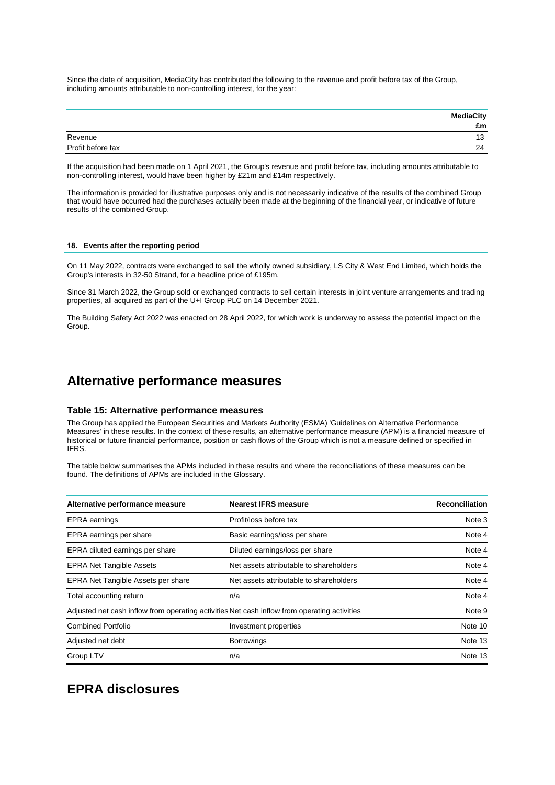Since the date of acquisition, MediaCity has contributed the following to the revenue and profit before tax of the Group, including amounts attributable to non-controlling interest, for the year:

|                   | <b>MediaCity</b><br>£m |
|-------------------|------------------------|
| Revenue           | 13                     |
| Profit before tax | 24                     |

If the acquisition had been made on 1 April 2021, the Group's revenue and profit before tax, including amounts attributable to non-controlling interest, would have been higher by £21m and £14m respectively.

The information is provided for illustrative purposes only and is not necessarily indicative of the results of the combined Group that would have occurred had the purchases actually been made at the beginning of the financial year, or indicative of future results of the combined Group.

### **18. Events after the reporting period**

On 11 May 2022, contracts were exchanged to sell the wholly owned subsidiary, LS City & West End Limited, which holds the Group's interests in 32-50 Strand, for a headline price of £195m.

Since 31 March 2022, the Group sold or exchanged contracts to sell certain interests in joint venture arrangements and trading properties, all acquired as part of the U+I Group PLC on 14 December 2021.

The Building Safety Act 2022 was enacted on 28 April 2022, for which work is underway to assess the potential impact on the Group.

## **Alternative performance measures**

### **Table 15: Alternative performance measures**

The Group has applied the European Securities and Markets Authority (ESMA) 'Guidelines on Alternative Performance Measures' in these results. In the context of these results, an alternative performance measure (APM) is a financial measure of historical or future financial performance, position or cash flows of the Group which is not a measure defined or specified in IFRS.

The table below summarises the APMs included in these results and where the reconciliations of these measures can be found. The definitions of APMs are included in the Glossary.

| Alternative performance measure    | <b>Nearest IFRS measure</b>                                                                  | <b>Reconciliation</b> |
|------------------------------------|----------------------------------------------------------------------------------------------|-----------------------|
| <b>EPRA</b> earnings               | Profit/loss before tax                                                                       | Note 3                |
| EPRA earnings per share            | Basic earnings/loss per share                                                                | Note 4                |
| EPRA diluted earnings per share    | Diluted earnings/loss per share                                                              | Note 4                |
| <b>EPRA Net Tangible Assets</b>    | Net assets attributable to shareholders                                                      | Note 4                |
| EPRA Net Tangible Assets per share | Net assets attributable to shareholders                                                      | Note 4                |
| Total accounting return            | n/a                                                                                          | Note 4                |
|                                    | Adjusted net cash inflow from operating activities Net cash inflow from operating activities | Note 9                |
| <b>Combined Portfolio</b>          | Investment properties                                                                        | Note 10               |
| Adjusted net debt                  | <b>Borrowings</b>                                                                            | Note 13               |
| Group LTV                          | n/a                                                                                          | Note 13               |

## **EPRA disclosures**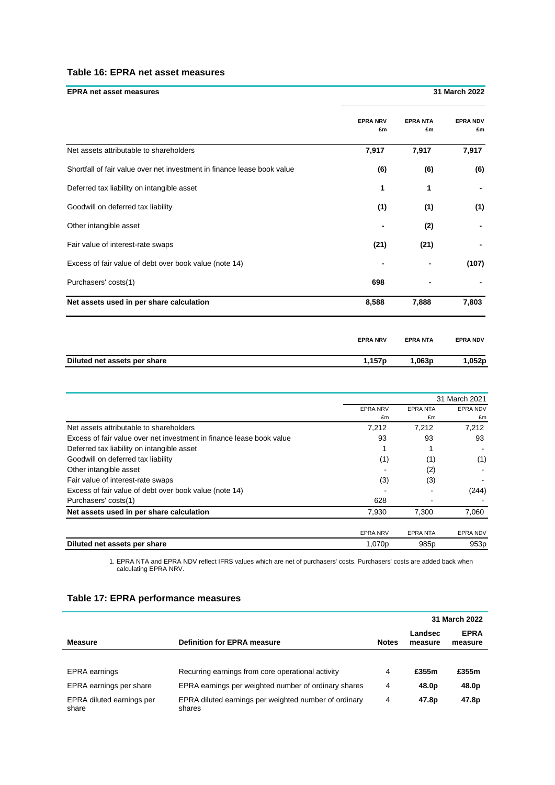### **Table 16: EPRA net asset measures**

| <b>EPRA net asset measures</b>                                          |                       |                      | 31 March 2022         |  |
|-------------------------------------------------------------------------|-----------------------|----------------------|-----------------------|--|
|                                                                         | <b>EPRA NRV</b><br>£m | <b>EPRANTA</b><br>£m | <b>EPRA NDV</b><br>£m |  |
| Net assets attributable to shareholders                                 | 7,917                 | 7,917                | 7,917                 |  |
| Shortfall of fair value over net investment in finance lease book value | (6)                   | (6)                  | (6)                   |  |
| Deferred tax liability on intangible asset                              | 1                     | 1                    |                       |  |
| Goodwill on deferred tax liability                                      | (1)                   | (1)                  | (1)                   |  |
| Other intangible asset                                                  |                       | (2)                  |                       |  |
| Fair value of interest-rate swaps                                       | (21)                  | (21)                 |                       |  |
| Excess of fair value of debt over book value (note 14)                  |                       |                      | (107)                 |  |
| Purchasers' costs(1)                                                    | 698                   |                      |                       |  |
| Net assets used in per share calculation                                | 8,588                 | 7,888                | 7,803                 |  |
|                                                                         | <b>EPRA NRV</b>       | <b>EPRANTA</b>       | <b>EPRA NDV</b>       |  |
| Diluted net assets per share                                            | 1,157p                | 1,063p               | 1,052p                |  |

|                                                                      | 31 March 2021   |                  |                  |
|----------------------------------------------------------------------|-----------------|------------------|------------------|
|                                                                      | <b>EPRA NRV</b> | <b>EPRANTA</b>   | <b>EPRA NDV</b>  |
|                                                                      | £m              | £m               | £m               |
| Net assets attributable to shareholders                              | 7,212           | 7,212            | 7,212            |
| Excess of fair value over net investment in finance lease book value | 93              | 93               | 93               |
| Deferred tax liability on intangible asset                           |                 |                  |                  |
| Goodwill on deferred tax liability                                   | (1)             | (1)              | (1)              |
| Other intangible asset                                               |                 | (2)              |                  |
| Fair value of interest-rate swaps                                    | (3)             | (3)              |                  |
| Excess of fair value of debt over book value (note 14)               |                 |                  | (244)            |
| Purchasers' costs(1)                                                 | 628             |                  |                  |
| Net assets used in per share calculation                             | 7,930           | 7.300            | 7,060            |
|                                                                      |                 |                  |                  |
|                                                                      | <b>EPRA NRV</b> | <b>EPRANTA</b>   | EPRA NDV         |
| Diluted net assets per share                                         | 1,070p          | 985 <sub>p</sub> | 953 <sub>p</sub> |

1. EPRA NTA and EPRA NDV reflect IFRS values which are net of purchasers' costs. Purchasers' costs are added back when calculating EPRA NRV.

|                                    |                                                                 |              |                    | 31 March 2022          |
|------------------------------------|-----------------------------------------------------------------|--------------|--------------------|------------------------|
| <b>Measure</b>                     | <b>Definition for EPRA measure</b>                              | <b>Notes</b> | Landsec<br>measure | <b>EPRA</b><br>measure |
|                                    |                                                                 |              |                    |                        |
| EPRA earnings                      | Recurring earnings from core operational activity               | 4            | £355m              | £355m                  |
| EPRA earnings per share            | EPRA earnings per weighted number of ordinary shares            | 4            | 48.0 <sub>p</sub>  | 48.0p                  |
| EPRA diluted earnings per<br>share | EPRA diluted earnings per weighted number of ordinary<br>shares | 4            | 47.8 <sub>p</sub>  | 47.8p                  |

### **Table 17: EPRA performance measures**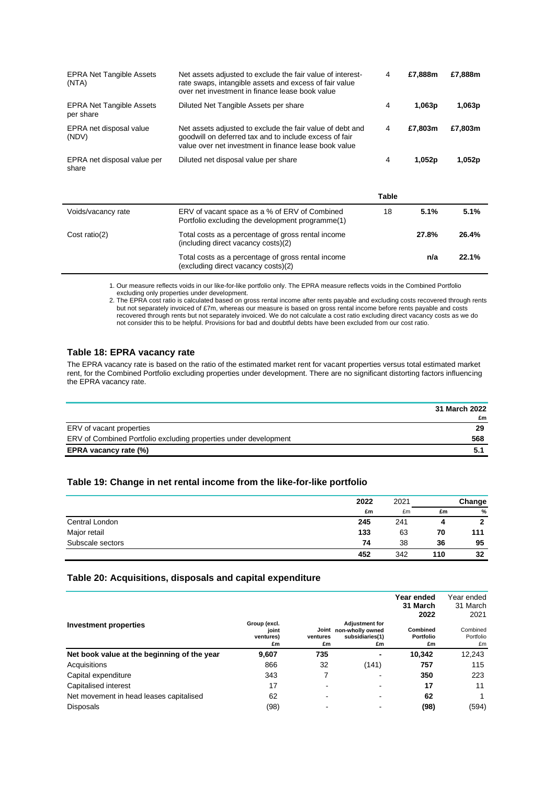| <b>EPRA Net Tangible Assets</b><br>(NTA)     | Net assets adjusted to exclude the fair value of interest-<br>rate swaps, intangible assets and excess of fair value<br>over net investment in finance lease book value      | 4            | £7,888m | £7,888m |
|----------------------------------------------|------------------------------------------------------------------------------------------------------------------------------------------------------------------------------|--------------|---------|---------|
| <b>EPRA Net Tangible Assets</b><br>per share | Diluted Net Tangible Assets per share                                                                                                                                        | 4            | 1,063p  | 1,063p  |
| EPRA net disposal value<br>(NDV)             | Net assets adjusted to exclude the fair value of debt and<br>goodwill on deferred tax and to include excess of fair<br>value over net investment in finance lease book value | 4            | £7,803m | £7,803m |
| EPRA net disposal value per<br>share         | Diluted net disposal value per share                                                                                                                                         | 4            | 1,052p  | 1,052p  |
|                                              |                                                                                                                                                                              | <b>Table</b> |         |         |
| Voids/vacancy rate                           | ERV of vacant space as a % of ERV of Combined<br>Portfolio excluding the development programme(1)                                                                            | 18           | 5.1%    | 5.1%    |
| Cost ratio(2)                                | Total costs as a percentage of gross rental income<br>(including direct vacancy costs)(2)                                                                                    |              | 27.8%   | 26.4%   |
|                                              | Total costs as a percentage of gross rental income<br>(excluding direct vacancy costs)(2)                                                                                    |              | n/a     | 22.1%   |

1. Our measure reflects voids in our like-for-like portfolio only. The EPRA measure reflects voids in the Combined Portfolio excluding only properties under development.

2. The EPRA cost ratio is calculated based on gross rental income after rents payable and excluding costs recovered through rents but not separately invoiced of £7m, whereas our measure is based on gross rental income before rents payable and costs recovered through rents but not separately invoiced. We do not calculate a cost ratio excluding direct vacancy costs as we do not consider this to be helpful. Provisions for bad and doubtful debts have been excluded from our cost ratio.

### **Table 18: EPRA vacancy rate**

The EPRA vacancy rate is based on the ratio of the estimated market rent for vacant properties versus total estimated market rent, for the Combined Portfolio excluding properties under development. There are no significant distorting factors influencing the EPRA vacancy rate.

|                                                                  | 31 March 2022 |
|------------------------------------------------------------------|---------------|
|                                                                  | £m            |
| ERV of vacant properties                                         | 29            |
| ERV of Combined Portfolio excluding properties under development | 568           |
| EPRA vacancy rate (%)                                            | 5.1           |

### **Table 19: Change in net rental income from the like-for-like portfolio**

|                  | 2022 | 2021 |     | Change |  |  |
|------------------|------|------|-----|--------|--|--|
|                  | £m   | £m   | £m  | %      |  |  |
| Central London   | 245  | 241  |     | 2      |  |  |
| Major retail     | 133  | 63   | 70  | 111    |  |  |
| Subscale sectors | 74   | 38   | 36  | 95     |  |  |
|                  | 452  | 342  | 110 | 32     |  |  |

### **Table 20: Acquisitions, disposals and capital expenditure**

|                                             |                                          |                         |                                                                    | Year ended<br>31 March<br>2022 | Year ended<br>31 March<br>2021 |
|---------------------------------------------|------------------------------------------|-------------------------|--------------------------------------------------------------------|--------------------------------|--------------------------------|
| <b>Investment properties</b>                | Group (excl.<br>joint<br>ventures)<br>£m | Joint<br>ventures<br>£m | <b>Adjustment for</b><br>non-wholly owned<br>subsidiaries(1)<br>£m | Combined<br>Portfolio<br>£m    | Combined<br>Portfolio<br>£m    |
| Net book value at the beginning of the year | 9,607                                    | 735                     |                                                                    | 10.342                         | 12,243                         |
| Acquisitions                                | 866                                      | 32                      | (141)                                                              | 757                            | 115                            |
| Capital expenditure                         | 343                                      | 7                       |                                                                    | 350                            | 223                            |
| Capitalised interest                        | 17                                       | -                       |                                                                    | 17                             | 11                             |
| Net movement in head leases capitalised     | 62                                       | ۰                       |                                                                    | 62                             |                                |
| <b>Disposals</b>                            | (98)                                     |                         |                                                                    | (98)                           | (594)                          |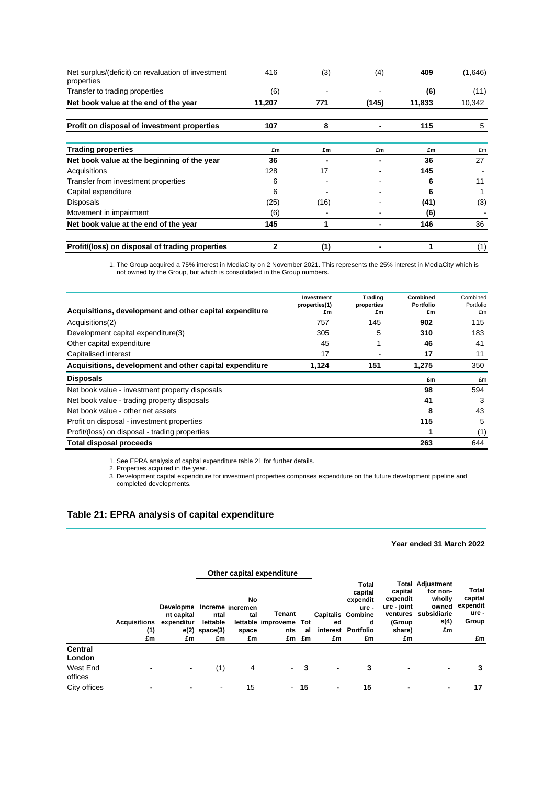| Net surplus/(deficit) on revaluation of investment<br>properties | 416         | (3)  | (4)   | 409    | (1,646) |
|------------------------------------------------------------------|-------------|------|-------|--------|---------|
| Transfer to trading properties                                   | (6)         |      |       | (6)    | (11)    |
| Net book value at the end of the year                            | 11,207      | 771  | (145) | 11,833 | 10,342  |
| Profit on disposal of investment properties                      | 107         | 8    |       | 115    | 5       |
| <b>Trading properties</b>                                        | £m          | £m   | £m    | £m     | £m      |
| Net book value at the beginning of the year                      | 36          |      |       | 36     | 27      |
| Acquisitions                                                     | 128         | 17   |       | 145    |         |
| Transfer from investment properties                              | 6           |      |       | 6      | 11      |
| Capital expenditure                                              | 6           |      |       | 6      |         |
| <b>Disposals</b>                                                 | (25)        | (16) |       | (41)   | (3)     |
| Movement in impairment                                           | (6)         |      |       | (6)    |         |
| Net book value at the end of the year                            | 145         | 1    |       | 146    | 36      |
| Profit/(loss) on disposal of trading properties                  | $\mathbf 2$ | (1)  |       |        | (1)     |

1. The Group acquired a 75% interest in MediaCity on 2 November 2021. This represents the 25% interest in MediaCity which is not owned by the Group, but which is consolidated in the Group numbers.

| Acquisitions, development and other capital expenditure | Investment<br>properties(1)<br>£m | Trading<br>properties<br>£m | Combined<br>Portfolio<br>£m | Combined<br>Portfolio<br>£m |
|---------------------------------------------------------|-----------------------------------|-----------------------------|-----------------------------|-----------------------------|
| Acquisitions(2)                                         | 757                               | 145                         | 902                         | 115                         |
| Development capital expenditure(3)                      | 305                               | 5                           | 310                         | 183                         |
| Other capital expenditure                               | 45                                |                             | 46                          | 41                          |
| Capitalised interest                                    | 17                                |                             | 17                          | 11                          |
| Acquisitions, development and other capital expenditure | 1,124                             | 151                         | 1,275                       | 350                         |
| <b>Disposals</b>                                        |                                   |                             | £m                          | £m                          |
| Net book value - investment property disposals          |                                   |                             | 98                          | 594                         |
| Net book value - trading property disposals             |                                   |                             | 41                          | 3                           |
| Net book value - other net assets                       |                                   |                             | 8                           | 43                          |
| Profit on disposal - investment properties              |                                   |                             | 115                         | 5                           |
| Profit/(loss) on disposal - trading properties          |                                   |                             |                             | (1)                         |
| <b>Total disposal proceeds</b>                          |                                   |                             | 263                         | 644                         |

1. See EPRA analysis of capital expenditure table 21 for further details.

2. Properties acquired in the year.

3. Development capital expenditure for investment properties comprises expenditure on the future development pipeline and completed developments.

### **Table 21: EPRA analysis of capital expenditure**

### **Year ended 31 March 2022**

|                          |                                  |                                                              |                                              |                          | Other capital expenditure           |                    |          |                                                                                                    |                                                              |                                                                                              |                                                      |
|--------------------------|----------------------------------|--------------------------------------------------------------|----------------------------------------------|--------------------------|-------------------------------------|--------------------|----------|----------------------------------------------------------------------------------------------------|--------------------------------------------------------------|----------------------------------------------------------------------------------------------|------------------------------------------------------|
|                          | <b>Acquisitions</b><br>(1)<br>£m | Developme Increme incremen<br>nt capital<br>expenditur<br>£m | ntal<br>lettable<br>$e(2)$ space $(3)$<br>£m | No<br>tal<br>space<br>£m | Tenant<br>lettable improveme<br>nts | Tot<br>al<br>£m £m | ed<br>£m | Total<br>capital<br>expendit<br>ure -<br><b>Capitalis Combine</b><br>d<br>interest Portfolio<br>£m | capital<br>expendit<br>ure - joint<br>(Group<br>share)<br>£m | <b>Total Adjustment</b><br>for non-<br>wholly<br>owned<br>ventures subsidiarie<br>s(4)<br>£m | Total<br>capital<br>expendit<br>ure -<br>Group<br>£m |
| <b>Central</b><br>London |                                  |                                                              |                                              |                          |                                     |                    |          |                                                                                                    |                                                              |                                                                                              |                                                      |
| West End<br>offices      | $\blacksquare$                   | ٠                                                            | (1)                                          | 4                        |                                     | $-3$               | ٠        | 3                                                                                                  | $\blacksquare$                                               | ۰                                                                                            | 3                                                    |
| City offices             | $\blacksquare$                   | -                                                            |                                              | 15                       |                                     | $-15$              | ٠        | 15                                                                                                 |                                                              |                                                                                              | 17                                                   |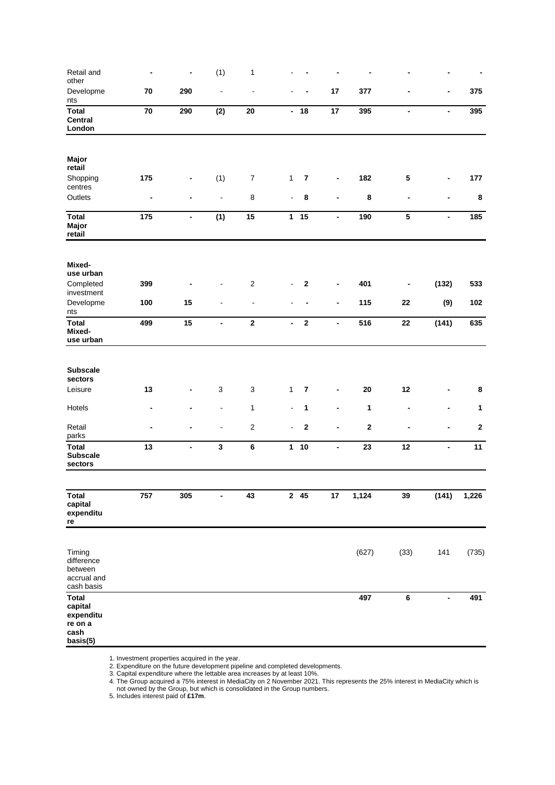| Retail and<br>other                                                 | ٠              | $\blacksquare$               | (1)                      | $\mathbf{1}$              |                          |                         |                              |          |                              |                          |              |
|---------------------------------------------------------------------|----------------|------------------------------|--------------------------|---------------------------|--------------------------|-------------------------|------------------------------|----------|------------------------------|--------------------------|--------------|
| Developme<br>nts                                                    | 70             | 290                          | $\blacksquare$           | $\overline{a}$            |                          |                         | 17                           | 377      |                              | -                        | 375          |
| <b>Total</b><br><b>Central</b><br>London                            | 70             | 290                          | (2)                      | 20                        |                          | $-18$                   | 17                           | 395      | $\overline{\phantom{a}}$     | $\blacksquare$           | 395          |
| Major<br>retail                                                     |                |                              |                          |                           |                          |                         |                              |          |                              |                          |              |
| Shopping<br>centres                                                 | 175            | -                            | (1)                      | $\boldsymbol{7}$          | $\mathbf{1}$             | $\overline{\mathbf{7}}$ | $\qquad \qquad \blacksquare$ | 182      | 5                            | -                        | 177          |
| Outlets                                                             | $\blacksquare$ |                              | $\blacksquare$           | $\bf 8$                   | $\blacksquare$           | 8                       | $\blacksquare$               | 8        | $\blacksquare$               |                          | 8            |
| <b>Total</b><br>Major<br>retail                                     | 175            | $\overline{\phantom{a}}$     | (1)                      | 15                        |                          | $1 15$                  | $\blacksquare$               | 190      | ${\bf 5}$                    | $\blacksquare$           | 185          |
| Mixed-<br>use urban                                                 |                |                              |                          |                           |                          |                         |                              |          |                              |                          |              |
| Completed<br>investment                                             | 399            |                              |                          | $\mathbf 2$               | $\blacksquare$           | $\bf 2$                 | -                            | 401      | $\qquad \qquad \blacksquare$ | (132)                    | 533          |
| Developme<br>nts                                                    | 100            | 15                           |                          | $\blacksquare$            |                          |                         | $\qquad \qquad \blacksquare$ | 115      | 22                           | (9)                      | 102          |
| <b>Total</b><br>Mixed-<br>use urban                                 | 499            | 15                           | $\overline{\phantom{a}}$ | $\mathbf 2$               | $\overline{\phantom{a}}$ | $\mathbf 2$             | $\overline{\phantom{a}}$     | 516      | 22                           | (141)                    | 635          |
| <b>Subscale</b><br>sectors                                          |                |                              |                          |                           |                          |                         |                              |          |                              |                          |              |
| Leisure                                                             | 13             | -                            | 3                        | $\ensuremath{\mathsf{3}}$ | $\mathbf{1}$             | $\overline{\mathbf{r}}$ | $\overline{\phantom{a}}$     | 20       | 12                           |                          | 8            |
| Hotels                                                              | ٠              |                              | $\blacksquare$           | $\mathbf{1}$              | $\blacksquare$           | 1                       | ٠                            | 1        |                              |                          | 1            |
| Retail<br>parks                                                     |                |                              |                          | $\overline{2}$            | $\overline{a}$           | $\mathbf 2$             | $\overline{a}$               | $\bf{2}$ |                              |                          | $\mathbf{2}$ |
| <b>Total</b><br><b>Subscale</b><br>sectors                          | 13             | $\qquad \qquad \blacksquare$ | $\mathbf{3}$             | 6                         | $\mathbf{1}$             | $10$                    | $\overline{\phantom{a}}$     | 23       | 12                           | $\overline{\phantom{0}}$ | 11           |
| <b>Total</b><br>capital<br>expenditu<br>re                          | 757            | 305                          | $\blacksquare$           | 43                        |                          | $2 \quad 45$            | 17                           | 1,124    | 39                           | (141)                    | 1,226        |
| Timing<br>difference<br>between<br>accrual and<br>cash basis        |                |                              |                          |                           |                          |                         |                              | (627)    | (33)                         | 141                      | (735)        |
| <b>Total</b><br>capital<br>expenditu<br>re on a<br>cash<br>basis(5) |                |                              |                          |                           |                          |                         |                              | 497      | 6                            | $\overline{\phantom{a}}$ | 491          |

1. Investment properties acquired in the year.

2. Expenditure on the future development pipeline and completed developments.

3. Capital expenditure where the lettable area increases by at least 10%.

4. The Group acquired a 75% interest in MediaCity on 2 November 2021. This represents the 25% interest in MediaCity which is

not owned by the Group, but which is consolidated in the Group numbers.

5. Includes interest paid of **£17m**.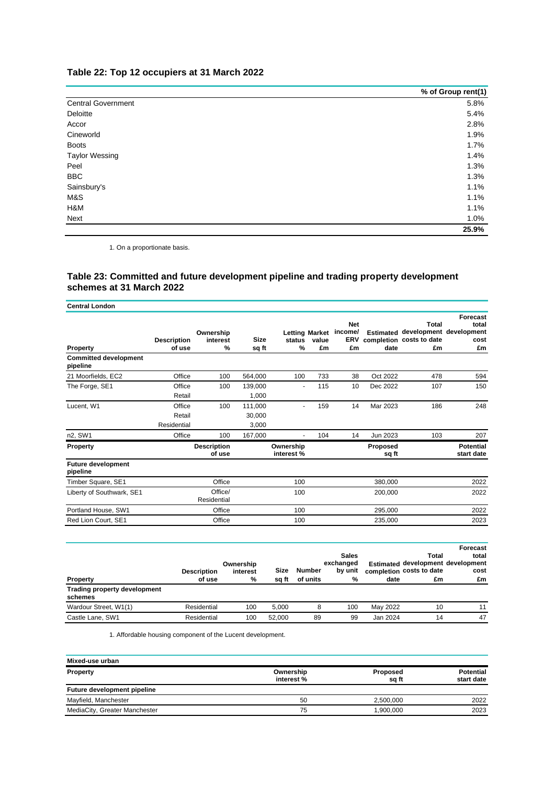## **Table 22: Top 12 occupiers at 31 March 2022**

|                           | % of Group rent(1) |
|---------------------------|--------------------|
| <b>Central Government</b> | 5.8%               |
| Deloitte                  | 5.4%               |
| Accor                     | 2.8%               |
| Cineworld                 | 1.9%               |
| <b>Boots</b>              | 1.7%               |
| <b>Taylor Wessing</b>     | 1.4%               |
| Peel                      | 1.3%               |
| <b>BBC</b>                | 1.3%               |
| Sainsbury's               | 1.1%               |
| M&S                       | 1.1%               |
| H&M                       | 1.1%               |
| Next                      | 1.0%               |
|                           | 25.9%              |

1. On a proportionate basis.

### **Table 23: Committed and future development pipeline and trading property development schemes at 31 March 2022**

| <b>Central London</b>                    |                                 |                               |                            |                        |                                      |                                    |                   |                                                                              |                                 |
|------------------------------------------|---------------------------------|-------------------------------|----------------------------|------------------------|--------------------------------------|------------------------------------|-------------------|------------------------------------------------------------------------------|---------------------------------|
| <b>Property</b>                          | <b>Description</b><br>of use    | Ownership<br>interest<br>$\%$ | Size<br>sq ft              | status<br>%            | <b>Letting Market</b><br>value<br>£m | <b>Net</b><br>income/<br>ERV<br>£m | date              | Total<br>Estimated development development<br>completion costs to date<br>£m | Forecast<br>total<br>cost<br>£m |
| <b>Committed development</b><br>pipeline |                                 |                               |                            |                        |                                      |                                    |                   |                                                                              |                                 |
| 21 Moorfields, EC2                       | Office                          | 100                           | 564,000                    | 100                    | 733                                  | 38                                 | Oct 2022          | 478                                                                          | 594                             |
| The Forge, SE1                           | Office<br>Retail                | 100                           | 139,000<br>1,000           | ٠                      | 115                                  | 10                                 | Dec 2022          | 107                                                                          | 150                             |
| Lucent, W1                               | Office<br>Retail<br>Residential | 100                           | 111,000<br>30.000<br>3.000 | $\blacksquare$         | 159                                  | 14                                 | Mar 2023          | 186                                                                          | 248                             |
| n2, SW1                                  | Office                          | 100                           | 167,000                    | $\overline{a}$         | 104                                  | 14                                 | Jun 2023          | 103                                                                          | 207                             |
| Property                                 |                                 | <b>Description</b><br>of use  |                            | Ownership<br>interest% |                                      |                                    | Proposed<br>sq ft |                                                                              | <b>Potential</b><br>start date  |
| <b>Future development</b><br>pipeline    |                                 |                               |                            |                        |                                      |                                    |                   |                                                                              |                                 |
| Timber Square, SE1                       |                                 | Office                        |                            | 100                    |                                      |                                    | 380,000           |                                                                              | 2022                            |
| Liberty of Southwark, SE1                |                                 | Office/<br>Residential        |                            | 100                    |                                      |                                    | 200,000           |                                                                              | 2022                            |
| Portland House, SW1                      |                                 | Office                        |                            | 100                    |                                      |                                    | 295,000           |                                                                              | 2022                            |
| Red Lion Court, SE1                      |                                 | Office                        |                            | 100                    |                                      |                                    | 235,000           |                                                                              | 2023                            |

| <b>Property</b>                         | <b>Description</b><br>of use | Ownership<br>interest<br>% | Size<br>sa ft | Number<br>of units | <b>Sales</b><br>exchanged<br>by unit<br>% | date     | Total<br>Estimated development development<br>completion costs to date<br>£m | Forecast<br>total<br>cost<br>£m |
|-----------------------------------------|------------------------------|----------------------------|---------------|--------------------|-------------------------------------------|----------|------------------------------------------------------------------------------|---------------------------------|
| Trading property development<br>schemes |                              |                            |               |                    |                                           |          |                                                                              |                                 |
| Wardour Street, W1(1)                   | Residential                  | 100                        | 5.000         | 8                  | 100                                       | May 2022 | 10                                                                           | 11                              |
| Castle Lane, SW1                        | Residential                  | 100                        | 52.000        | 89                 | 99                                        | Jan 2024 | 14                                                                           | 47                              |

1. Affordable housing component of the Lucent development.

| Mixed-use urban               |                         |                   |                                |
|-------------------------------|-------------------------|-------------------|--------------------------------|
| Property                      | Ownership<br>interest % | Proposed<br>sa ft | <b>Potential</b><br>start date |
| Future development pipeline   |                         |                   |                                |
| Mayfield, Manchester          | 50                      | 2.500.000         | 2022                           |
| MediaCity, Greater Manchester | 75                      | 1,900,000         | 2023                           |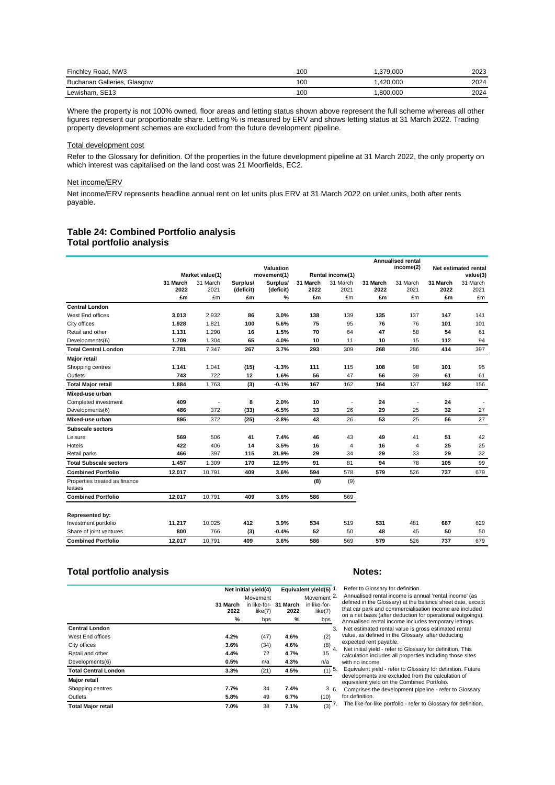| Finchley Road, NW3          | 100 | .379.000 | 2023 |
|-----------------------------|-----|----------|------|
| Buchanan Galleries, Glasgow | 100 | .420.000 | 2024 |
| Lewisham, SE13              | 100 | .800.000 | 2024 |

Where the property is not 100% owned, floor areas and letting status shown above represent the full scheme whereas all other figures represent our proportionate share. Letting % is measured by ERV and shows letting status at 31 March 2022. Trading property development schemes are excluded from the future development pipeline.

#### Total development cost

Refer to the Glossary for definition. Of the properties in the future development pipeline at 31 March 2022, the only property on which interest was capitalised on the land cost was 21 Moorfields, EC2.

### Net income/ERV

Net income/ERV represents headline annual rent on let units plus ERV at 31 March 2022 on unlet units, both after rents payable.

### **Table 24: Combined Portfolio analysis Total portfolio analysis**

|                                         |                  |                  |                       | Valuation             |                  |                  |                  | <b>Annualised rental</b><br>income(2) |                  | Net estimated rental |
|-----------------------------------------|------------------|------------------|-----------------------|-----------------------|------------------|------------------|------------------|---------------------------------------|------------------|----------------------|
|                                         |                  | Market value(1)  |                       | movement(1)           |                  | Rental income(1) |                  |                                       |                  | value(3)             |
|                                         | 31 March<br>2022 | 31 March<br>2021 | Surplus/<br>(deficit) | Surplus/<br>(deficit) | 31 March<br>2022 | 31 March<br>2021 | 31 March<br>2022 | 31 March<br>2021                      | 31 March<br>2022 | 31 March<br>2021     |
|                                         | £m               | £m               | £m                    | $\%$                  | £m               | £m               | £m               | £m                                    | £m               | £m                   |
| <b>Central London</b>                   |                  |                  |                       |                       |                  |                  |                  |                                       |                  |                      |
| West End offices                        | 3,013            | 2,932            | 86                    | 3.0%                  | 138              | 139              | 135              | 137                                   | 147              | 141                  |
| City offices                            | 1,928            | 1,821            | 100                   | 5.6%                  | 75               | 95               | 76               | 76                                    | 101              | 101                  |
| Retail and other                        | 1,131            | 1,290            | 16                    | 1.5%                  | 70               | 64               | 47               | 58                                    | 54               | 61                   |
| Developments(6)                         | 1,709            | 1,304            | 65                    | 4.0%                  | 10               | 11               | 10               | 15                                    | 112              | 94                   |
| <b>Total Central London</b>             | 7.781            | 7.347            | 267                   | 3.7%                  | 293              | 309              | 268              | 286                                   | 414              | 397                  |
| Major retail                            |                  |                  |                       |                       |                  |                  |                  |                                       |                  |                      |
| Shopping centres                        | 1,141            | 1,041            | (15)                  | $-1.3%$               | 111              | 115              | 108              | 98                                    | 101              | 95                   |
| Outlets                                 | 743              | 722              | 12                    | 1.6%                  | 56               | 47               | 56               | 39                                    | 61               | 61                   |
| <b>Total Major retail</b>               | 1.884            | 1,763            | (3)                   | $-0.1%$               | 167              | 162              | 164              | 137                                   | 162              | 156                  |
| Mixed-use urban                         |                  |                  |                       |                       |                  |                  |                  |                                       |                  |                      |
| Completed investment                    | 409              |                  | 8                     | 2.0%                  | 10               | ÷,               | 24               |                                       | 24               |                      |
| Developments(6)                         | 486              | 372              | (33)                  | $-6.5%$               | 33               | 26               | 29               | 25                                    | 32               | 27                   |
| Mixed-use urban                         | 895              | 372              | (25)                  | $-2.8%$               | 43               | 26               | 53               | 25                                    | 56               | 27                   |
| Subscale sectors                        |                  |                  |                       |                       |                  |                  |                  |                                       |                  |                      |
| Leisure                                 | 569              | 506              | 41                    | 7.4%                  | 46               | 43               | 49               | 41                                    | 51               | 42                   |
| Hotels                                  | 422              | 406              | 14                    | 3.5%                  | 16               | 4                | 16               | 4                                     | 25               | 25                   |
| Retail parks                            | 466              | 397              | 115                   | 31.9%                 | 29               | 34               | 29               | 33                                    | 29               | 32                   |
| <b>Total Subscale sectors</b>           | 1,457            | 1,309            | 170                   | 12.9%                 | 91               | 81               | 94               | 78                                    | 105              | 99                   |
| <b>Combined Portfolio</b>               | 12,017           | 10,791           | 409                   | 3.6%                  | 594              | 578              | 579              | 526                                   | 737              | 679                  |
| Properties treated as finance<br>leases |                  |                  |                       |                       | (8)              | (9)              |                  |                                       |                  |                      |
| <b>Combined Portfolio</b>               | 12.017           | 10.791           | 409                   | 3.6%                  | 586              | 569              |                  |                                       |                  |                      |
| Represented by:                         |                  |                  |                       |                       |                  |                  |                  |                                       |                  |                      |
| Investment portfolio                    | 11,217           | 10,025           | 412                   | 3.9%                  | 534              | 519              | 531              | 481                                   | 687              | 629                  |
| Share of joint ventures                 | 800              | 766              | (3)                   | $-0.4%$               | 52               | 50               | 48               | 45                                    | 50               | 50                   |
| <b>Combined Portfolio</b>               | 12,017           | 10,791           | 409                   | 3.6%                  | 586              | 569              | 579              | 526                                   | 737              | 679                  |

### **Total portfolio analysis Notes:**

|                             | Net initial yield(4) |                         |                  | Equivalent yield(5) 1   |
|-----------------------------|----------------------|-------------------------|------------------|-------------------------|
|                             |                      | Movement                |                  | Movement <sup>2</sup>   |
|                             | 31 March<br>2022     | in like-for-<br>like(7) | 31 March<br>2022 | in like-for-<br>like(7) |
|                             | %                    | bps                     | %                | bps                     |
| <b>Central London</b>       |                      |                         |                  | 3                       |
| West End offices            | 4.2%                 | (47)                    | 4.6%             | (2)                     |
| City offices                | 3.6%                 | (34)                    | 4.6%             | $(8)$ 4                 |
| Retail and other            | 4.4%                 | 72                      | 4.7%             | 15                      |
| Developments(6)             | 0.5%                 | n/a                     | 4.3%             | n/a                     |
| <b>Total Central London</b> | 3.3%                 | (21)                    | 4.5%             | $(1)$ <sup>5</sup>      |
| <b>Major retail</b>         |                      |                         |                  |                         |
| Shopping centres            | 7.7%                 | 34                      | 7.4%             | 36                      |
| Outlets                     | 5.8%                 | 49                      | 6.7%             | (10)                    |
| <b>Total Major retail</b>   | 7.0%                 | 38                      | 7.1%             | $\sqrt{(3)}$ 7          |

Refer to Glossary for definition.

2. Annualised rental income is annual 'rental income' (as defined in the Glossary) at the balance sheet date, except that car park and commercialisation income are included on a net basis (after deduction for operational outgoings). Annualised rental income includes temporary lettings.

3. Net estimated rental value is gross estimated rental value, as defined in the Glossary, after deducting expected rent payable.

Net initial yield - refer to Glossary for definition. This calculation includes all properties including those sites with no income.

5. Equivalent yield - refer to Glossary for definition. Future developments are excluded from the calculation of equivalent yield on the Combined Portfolio.

6. Comprises the development pipeline - refer to Glossary for definition.

The like-for-like portfolio - refer to Glossary for definition.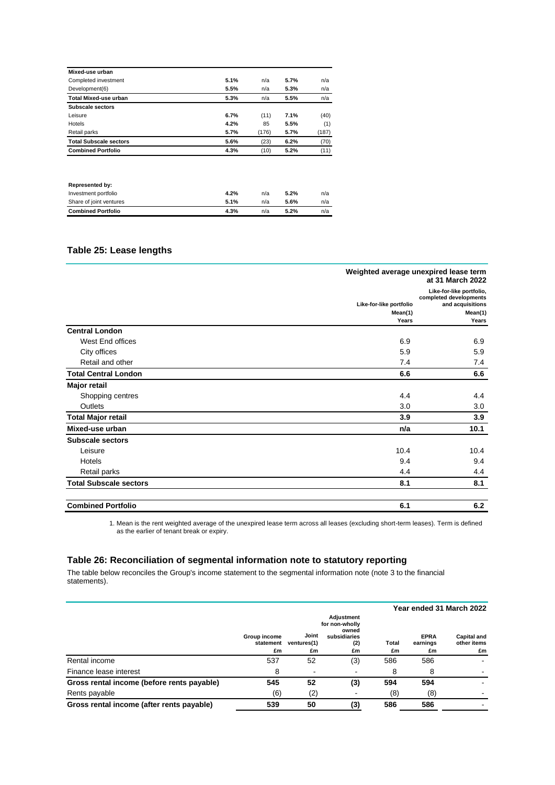| Mixed-use urban               |      |       |      |       |
|-------------------------------|------|-------|------|-------|
| Completed investment          | 5.1% | n/a   | 5.7% | n/a   |
| Development(6)                | 5.5% | n/a   | 5.3% | n/a   |
| <b>Total Mixed-use urban</b>  | 5.3% | n/a   | 5.5% | n/a   |
| Subscale sectors              |      |       |      |       |
| Leisure                       | 6.7% | (11)  | 7.1% | (40)  |
| Hotels                        | 4.2% | 85    | 5.5% | (1)   |
| Retail parks                  | 5.7% | (176) | 5.7% | (187) |
| <b>Total Subscale sectors</b> | 5.6% | (23)  | 6.2% | (70)  |
| <b>Combined Portfolio</b>     | 4.3% | (10)  | 5.2% | (11)  |
|                               |      |       |      |       |

| Share of joint ventures<br><b>Combined Portfolio</b> | 5.1%<br>4.3% | n/a<br>n/a | 5.6%<br>5.2% | n/a<br>n/a |
|------------------------------------------------------|--------------|------------|--------------|------------|
| Investment portfolio                                 | 4.2%         | n/a        | 5.2%         | n/a        |
| <b>Represented by:</b>                               |              |            |              |            |

## **Table 25: Lease lengths**

|                               |                         | Weighted average unexpired lease term<br>at 31 March 2022              |
|-------------------------------|-------------------------|------------------------------------------------------------------------|
|                               | Like-for-like portfolio | Like-for-like portfolio,<br>completed developments<br>and acquisitions |
|                               | Mean(1)                 | Mean(1)                                                                |
|                               | Years                   | Years                                                                  |
| <b>Central London</b>         |                         |                                                                        |
| West End offices              | 6.9                     | 6.9                                                                    |
| City offices                  | 5.9                     | 5.9                                                                    |
| Retail and other              | 7.4                     | 7.4                                                                    |
| <b>Total Central London</b>   | 6.6                     | 6.6                                                                    |
| <b>Major retail</b>           |                         |                                                                        |
| Shopping centres              | 4.4                     | 4.4                                                                    |
| Outlets                       | 3.0                     | 3.0                                                                    |
| <b>Total Major retail</b>     | 3.9                     | 3.9                                                                    |
| Mixed-use urban               | n/a                     | 10.1                                                                   |
| <b>Subscale sectors</b>       |                         |                                                                        |
| Leisure                       | 10.4                    | 10.4                                                                   |
| Hotels                        | 9.4                     | 9.4                                                                    |
| Retail parks                  | 4.4                     | 4.4                                                                    |
| <b>Total Subscale sectors</b> | 8.1                     | 8.1                                                                    |
| <b>Combined Portfolio</b>     | 6.1                     | 6.2                                                                    |

1. Mean is the rent weighted average of the unexpired lease term across all leases (excluding short-term leases). Term is defined as the earlier of tenant break or expiry.

### **Table 26: Reconciliation of segmental information note to statutory reporting**

The table below reconciles the Group's income statement to the segmental information note (note 3 to the financial statements).

|                                            |                                 |                            |                                                                    |             |                               | Year ended 31 March 2022                |
|--------------------------------------------|---------------------------------|----------------------------|--------------------------------------------------------------------|-------------|-------------------------------|-----------------------------------------|
|                                            | Group income<br>statement<br>£m | Joint<br>ventures(1)<br>£m | Adjustment<br>for non-wholly<br>owned<br>subsidiaries<br>(2)<br>£m | Total<br>£m | <b>EPRA</b><br>earnings<br>£m | <b>Capital and</b><br>other items<br>£m |
| Rental income                              | 537                             | 52                         | (3)                                                                | 586         | 586                           |                                         |
| Finance lease interest                     | 8                               | -                          |                                                                    | 8           | 8                             |                                         |
| Gross rental income (before rents payable) | 545                             | 52                         | (3)                                                                | 594         | 594                           |                                         |
| Rents payable                              | (6)                             | (2)                        |                                                                    | (8)         | (8)                           |                                         |
| Gross rental income (after rents payable)  | 539                             | 50                         | (3)                                                                | 586         | 586                           |                                         |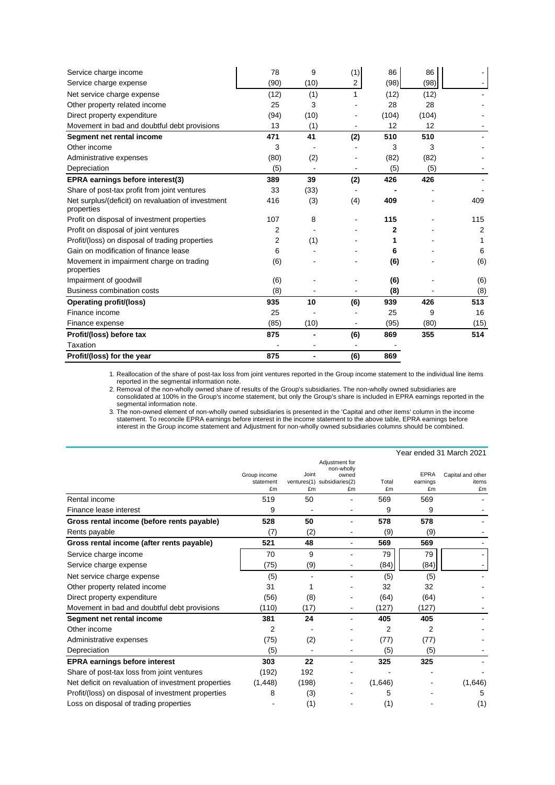| Service charge income                                            | 78   | 9    | (1) | 86    | 86    |      |
|------------------------------------------------------------------|------|------|-----|-------|-------|------|
| Service charge expense                                           | (90) | (10) | 2   | (98)  | (98)  |      |
| Net service charge expense                                       | (12) | (1)  |     | (12)  | (12)  |      |
| Other property related income                                    | 25   | 3    |     | 28    | 28    |      |
| Direct property expenditure                                      | (94) | (10) |     | (104) | (104) |      |
| Movement in bad and doubtful debt provisions                     | 13   | (1)  |     | 12    | 12    |      |
| Segment net rental income                                        | 471  | 41   | (2) | 510   | 510   |      |
| Other income                                                     | 3    |      |     | 3     | 3     |      |
| Administrative expenses                                          | (80) | (2)  |     | (82)  | (82)  |      |
| Depreciation                                                     | (5)  |      |     | (5)   | (5)   |      |
| EPRA earnings before interest(3)                                 | 389  | 39   | (2) | 426   | 426   |      |
| Share of post-tax profit from joint ventures                     | 33   | (33) |     |       |       |      |
| Net surplus/(deficit) on revaluation of investment<br>properties | 416  | (3)  | (4) | 409   |       | 409  |
| Profit on disposal of investment properties                      | 107  | 8    |     | 115   |       | 115  |
| Profit on disposal of joint ventures                             | 2    |      |     | 2     |       | 2    |
| Profit/(loss) on disposal of trading properties                  | 2    | (1)  |     | 1     |       |      |
| Gain on modification of finance lease                            | 6    |      |     | 6     |       | 6    |
| Movement in impairment charge on trading                         | (6)  |      |     | (6)   |       | (6)  |
| properties                                                       |      |      |     |       |       |      |
| Impairment of goodwill                                           | (6)  |      |     | (6)   |       | (6)  |
| <b>Business combination costs</b>                                | (8)  |      |     | (8)   |       | (8)  |
| Operating profit/(loss)                                          | 935  | 10   | (6) | 939   | 426   | 513  |
| Finance income                                                   | 25   |      |     | 25    | 9     | 16   |
| Finance expense                                                  | (85) | (10) |     | (95)  | (80)  | (15) |
| Profit/(loss) before tax                                         | 875  |      | (6) | 869   | 355   | 514  |
| <b>Taxation</b>                                                  |      |      |     |       |       |      |
| Profit/(loss) for the year                                       | 875  |      | (6) | 869   |       |      |

1. Reallocation of the share of post-tax loss from joint ventures reported in the Group income statement to the individual line items reported in the segmental information note.

2. Removal of the non-wholly owned share of results of the Group's subsidiaries. The non-wholly owned subsidiaries are consolidated at 100% in the Group's income statement, but only the Group's share is included in EPRA earnings reported in the segmental information note.

3. The non-owned element of non-wholly owned subsidiaries is presented in the 'Capital and other items' column in the income statement. To reconcile EPRA earnings before interest in the income statement to the above table, EPRA earnings before interest in the Group income statement and Adjustment for non-wholly owned subsidiaries columns should be combined.

|                                                     |                                 |             |                                                                            |             |                               | Year ended 31 March 2021         |
|-----------------------------------------------------|---------------------------------|-------------|----------------------------------------------------------------------------|-------------|-------------------------------|----------------------------------|
|                                                     | Group income<br>statement<br>£m | Joint<br>£m | Adjustment for<br>non-wholly<br>owned<br>ventures(1) subsidiaries(2)<br>£m | Total<br>£m | <b>EPRA</b><br>earnings<br>£m | Capital and other<br>items<br>£m |
| Rental income                                       | 519                             | 50          |                                                                            | 569         | 569                           |                                  |
| Finance lease interest                              | 9                               |             |                                                                            | 9           | 9                             |                                  |
| Gross rental income (before rents payable)          | 528                             | 50          | $\blacksquare$                                                             | 578         | 578                           |                                  |
| Rents payable                                       | (7)                             | (2)         |                                                                            | (9)         | (9)                           |                                  |
| Gross rental income (after rents payable)           | 521                             | 48          | $\overline{a}$                                                             | 569         | 569                           |                                  |
| Service charge income                               | 70                              | 9           |                                                                            | 79          | 79                            |                                  |
| Service charge expense                              | (75)                            | (9)         |                                                                            | (84)        | (84)                          |                                  |
| Net service charge expense                          | (5)                             |             |                                                                            | (5)         | (5)                           |                                  |
| Other property related income                       | 31                              |             |                                                                            | 32          | 32                            |                                  |
| Direct property expenditure                         | (56)                            | (8)         |                                                                            | (64)        | (64)                          |                                  |
| Movement in bad and doubtful debt provisions        | (110)                           | (17)        |                                                                            | (127)       | (127)                         |                                  |
| Segment net rental income                           | 381                             | 24          |                                                                            | 405         | 405                           |                                  |
| Other income                                        | 2                               |             |                                                                            | 2           | 2                             |                                  |
| Administrative expenses                             | (75)                            | (2)         |                                                                            | (77)        | (77)                          |                                  |
| Depreciation                                        | (5)                             |             |                                                                            | (5)         | (5)                           |                                  |
| <b>EPRA earnings before interest</b>                | 303                             | 22          |                                                                            | 325         | 325                           |                                  |
| Share of post-tax loss from joint ventures          | (192)                           | 192         |                                                                            |             |                               |                                  |
| Net deficit on revaluation of investment properties | (1, 448)                        | (198)       |                                                                            | (1,646)     |                               | (1,646)                          |
| Profit/(loss) on disposal of investment properties  | 8                               | (3)         |                                                                            | 5           |                               | 5                                |
| Loss on disposal of trading properties              |                                 | (1)         |                                                                            | (1)         |                               | (1)                              |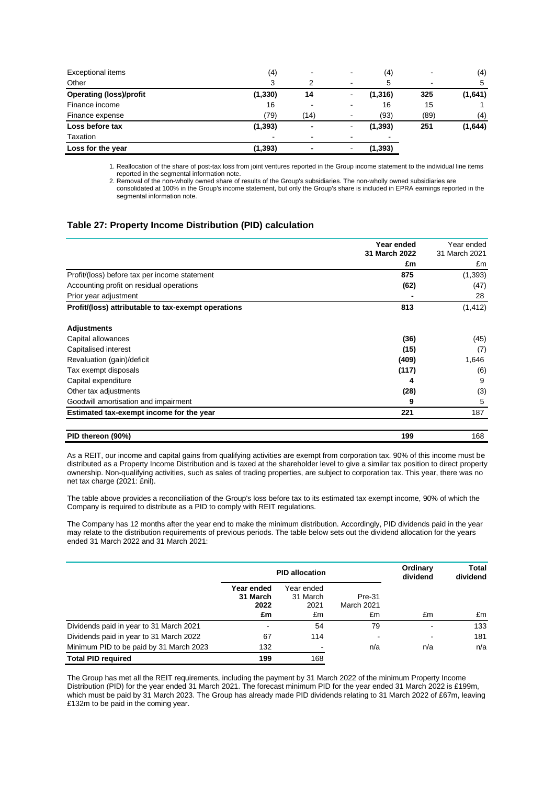| Exceptional items              | (4)            | $\blacksquare$ | $\,$                     | (4)            |      | (4)     |
|--------------------------------|----------------|----------------|--------------------------|----------------|------|---------|
| Other                          | 3              | っ              | $\overline{\phantom{a}}$ | 5              |      | 5       |
| <b>Operating (loss)/profit</b> | (1, 330)       | 14             |                          | (1, 316)       | 325  | (1,641) |
| Finance income                 | 16             |                | $\,$                     | 16             | 15   |         |
| Finance expense                | (79)           | (14)           | $\sim$                   | (93)           | (89) | (4)     |
| Loss before tax                | (1, 393)       |                |                          | (1, 393)       | 251  | (1,644) |
| Taxation                       | $\blacksquare$ | ۰              | $\overline{\phantom{0}}$ | $\blacksquare$ |      |         |
| Loss for the year              | (1,393)        |                |                          | (1, 393)       |      |         |

1. Reallocation of the share of post-tax loss from joint ventures reported in the Group income statement to the individual line items reported in the segmental information note.

2. Removal of the non-wholly owned share of results of the Group's subsidiaries. The non-wholly owned subsidiaries are consolidated at 100% in the Group's income statement, but only the Group's share is included in EPRA earnings reported in the segmental information note.

### **Table 27: Property Income Distribution (PID) calculation**

|                                                     | Year ended<br>31 March 2022 | Year ended<br>31 March 2021 |
|-----------------------------------------------------|-----------------------------|-----------------------------|
|                                                     | £m                          | £m                          |
| Profit/(loss) before tax per income statement       | 875                         | (1, 393)                    |
| Accounting profit on residual operations            | (62)                        | (47)                        |
| Prior year adjustment                               |                             | 28                          |
| Profit/(loss) attributable to tax-exempt operations | 813                         | (1, 412)                    |
| <b>Adjustments</b>                                  |                             |                             |
| Capital allowances                                  | (36)                        | (45)                        |
| Capitalised interest                                | (15)                        | (7)                         |
| Revaluation (gain)/deficit                          | (409)                       | 1,646                       |
| Tax exempt disposals                                | (117)                       | (6)                         |
| Capital expenditure                                 | 4                           | 9                           |
| Other tax adjustments                               | (28)                        | (3)                         |
| Goodwill amortisation and impairment                | 9                           | 5                           |
| Estimated tax-exempt income for the year            | 221                         | 187                         |
| PID thereon (90%)                                   | 199                         | 168                         |

As a REIT, our income and capital gains from qualifying activities are exempt from corporation tax. 90% of this income must be distributed as a Property Income Distribution and is taxed at the shareholder level to give a similar tax position to direct property ownership. Non-qualifying activities, such as sales of trading properties, are subject to corporation tax. This year, there was no net tax charge (2021: £nil).

The table above provides a reconciliation of the Group's loss before tax to its estimated tax exempt income, 90% of which the Company is required to distribute as a PID to comply with REIT regulations.

The Company has 12 months after the year end to make the minimum distribution. Accordingly, PID dividends paid in the year may relate to the distribution requirements of previous periods. The table below sets out the dividend allocation for the years ended 31 March 2022 and 31 March 2021:

|                                         | <b>PID allocation</b>                |                                      |                                   | Ordinary<br>dividend | Total<br>dividend |
|-----------------------------------------|--------------------------------------|--------------------------------------|-----------------------------------|----------------------|-------------------|
|                                         | Year ended<br>31 March<br>2022<br>£m | Year ended<br>31 March<br>2021<br>£m | Pre-31<br><b>March 2021</b><br>£m | £m                   | £m                |
| Dividends paid in year to 31 March 2021 |                                      | 54                                   | 79                                | -                    | 133               |
| Dividends paid in year to 31 March 2022 | 67                                   | 114                                  |                                   |                      | 181               |
| Minimum PID to be paid by 31 March 2023 | 132                                  |                                      | n/a                               | n/a                  | n/a               |
| <b>Total PID required</b>               | 199                                  | 168                                  |                                   |                      |                   |

The Group has met all the REIT requirements, including the payment by 31 March 2022 of the minimum Property Income Distribution (PID) for the year ended 31 March 2021. The forecast minimum PID for the year ended 31 March 2022 is £199m, which must be paid by 31 March 2023. The Group has already made PID dividends relating to 31 March 2022 of £67m, leaving £132m to be paid in the coming year.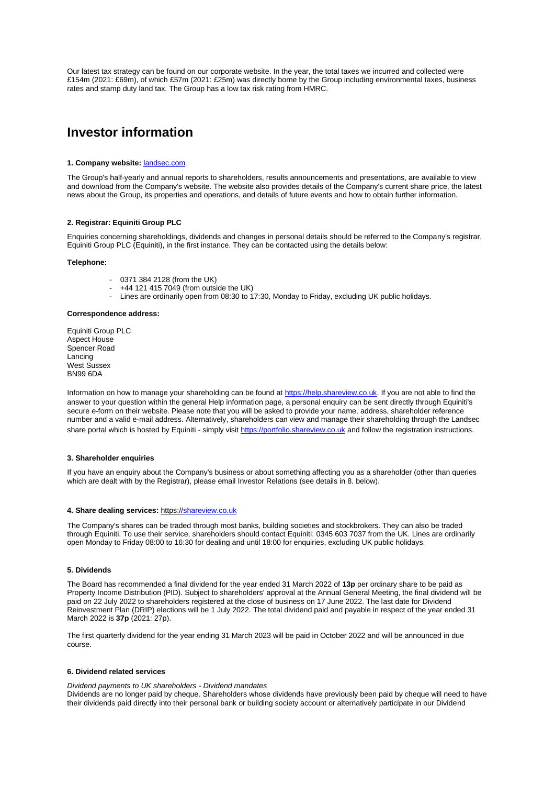Our latest tax strategy can be found on our corporate website. In the year, the total taxes we incurred and collected were £154m (2021: £69m), of which £57m (2021: £25m) was directly borne by the Group including environmental taxes, business rates and stamp duty land tax. The Group has a low tax risk rating from HMRC.

## **Investor information**

#### **1. Company website:** [landsec.com](http://www.landsec.com/)

The Group's half-yearly and annual reports to shareholders, results announcements and presentations, are available to view and download from the Company's website. The website also provides details of the Company's current share price, the latest news about the Group, its properties and operations, and details of future events and how to obtain further information.

### **2. Registrar: Equiniti Group PLC**

Enquiries concerning shareholdings, dividends and changes in personal details should be referred to the Company's registrar, Equiniti Group PLC (Equiniti), in the first instance. They can be contacted using the details below:

### **Telephone:**

- 0371 384 2128 (from the UK)
- +44 121 415 7049 (from outside the UK)
- Lines are ordinarily open from 08:30 to 17:30, Monday to Friday, excluding UK public holidays.

#### **Correspondence address:**

Equiniti Group PLC Aspect House Spencer Road Lancing West Sussex BN99 6DA

Information on how to manage your shareholding can be found at [https://help.shareview.co.uk.](https://help.shareview.co.uk/) If you are not able to find the answer to your question within the general Help information page, a personal enquiry can be sent directly through Equiniti's secure e-form on their website. Please note that you will be asked to provide your name, address, shareholder reference number and a valid e-mail address. Alternatively, shareholders can view and manage their shareholding through the Landsec share portal which is hosted by Equiniti - simply visit [https://portfolio.shareview.co.uk](https://portfolio.shareview.co.uk/) and follow the registration instructions.

#### **3. Shareholder enquiries**

If you have an enquiry about the Company's business or about something affecting you as a shareholder (other than queries which are dealt with by the Registrar), please email Investor Relations (see details in 8. below).

#### **4. Share dealing services:** https:[//shareview.co.uk](http://www.shareview.co.uk/)

The Company's shares can be traded through most banks, building societies and stockbrokers. They can also be traded through Equiniti. To use their service, shareholders should contact Equiniti: 0345 603 7037 from the UK. Lines are ordinarily open Monday to Friday 08:00 to 16:30 for dealing and until 18:00 for enquiries, excluding UK public holidays.

#### **5. Dividends**

The Board has recommended a final dividend for the year ended 31 March 2022 of **13p** per ordinary share to be paid as Property Income Distribution (PID). Subject to shareholders' approval at the Annual General Meeting, the final dividend will be paid on 22 July 2022 to shareholders registered at the close of business on 17 June 2022. The last date for Dividend Reinvestment Plan (DRIP) elections will be 1 July 2022. The total dividend paid and payable in respect of the year ended 31 March 2022 is **37p** (2021: 27p).

The first quarterly dividend for the year ending 31 March 2023 will be paid in October 2022 and will be announced in due course.

#### **6. Dividend related services**

*Dividend payments to UK shareholders - Dividend mandates*

Dividends are no longer paid by cheque. Shareholders whose dividends have previously been paid by cheque will need to have their dividends paid directly into their personal bank or building society account or alternatively participate in our Dividend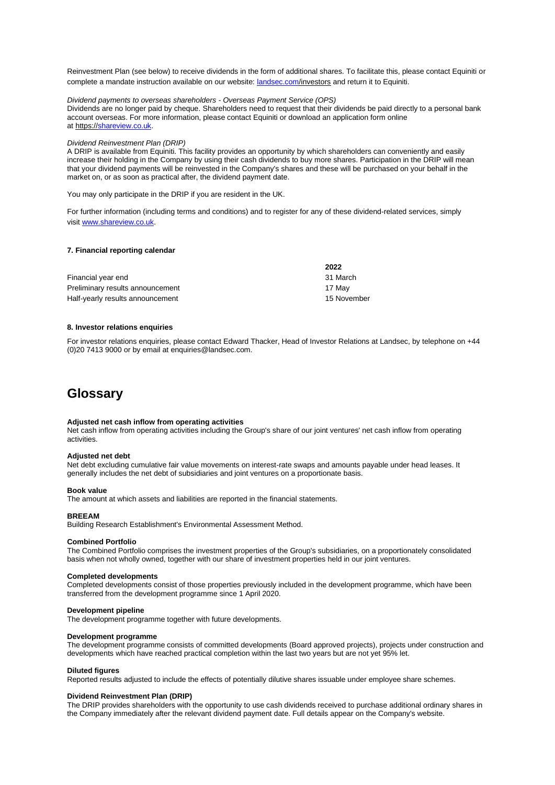Reinvestment Plan (see below) to receive dividends in the form of additional shares. To facilitate this, please contact Equiniti or complete a mandate instruction available on our website: [landsec.com/i](http://www.landsec.com/)nvestors and return it to Equiniti.

*Dividend payments to overseas shareholders - Overseas Payment Service (OPS)* Dividends are no longer paid by cheque. Shareholders need to request that their dividends be paid directly to a personal bank account overseas. For more information, please contact Equiniti or download an application form online at https:/[/shareview.co.uk.](http://www.shareview.co.uk/)

#### *Dividend Reinvestment Plan (DRIP)*

A DRIP is available from Equiniti. This facility provides an opportunity by which shareholders can conveniently and easily increase their holding in the Company by using their cash dividends to buy more shares. Participation in the DRIP will mean that your dividend payments will be reinvested in the Company's shares and these will be purchased on your behalf in the market on, or as soon as practical after, the dividend payment date.

You may only participate in the DRIP if you are resident in the UK.

For further information (including terms and conditions) and to register for any of these dividend-related services, simply visit [www.shareview.co.uk.](http://www.shareview.co.uk/)

#### **7. Financial reporting calendar**

|                                  | 2022        |
|----------------------------------|-------------|
| Financial year end               | 31 March    |
| Preliminary results announcement | 17 Mav      |
| Half-yearly results announcement | 15 November |

#### **8. Investor relations enquiries**

For investor relations enquiries, please contact Edward Thacker, Head of Investor Relations at Landsec, by telephone on +44 (0)20 7413 9000 or by email at enquiries@landsec.com.

## **Glossary**

### **Adjusted net cash inflow from operating activities**

Net cash inflow from operating activities including the Group's share of our joint ventures' net cash inflow from operating activities.

#### **Adjusted net debt**

Net debt excluding cumulative fair value movements on interest-rate swaps and amounts payable under head leases. It generally includes the net debt of subsidiaries and joint ventures on a proportionate basis.

### **Book value**

The amount at which assets and liabilities are reported in the financial statements.

#### **BREEAM**

Building Research Establishment's Environmental Assessment Method.

#### **Combined Portfolio**

The Combined Portfolio comprises the investment properties of the Group's subsidiaries, on a proportionately consolidated basis when not wholly owned, together with our share of investment properties held in our joint ventures.

#### **Completed developments**

Completed developments consist of those properties previously included in the development programme, which have been transferred from the development programme since 1 April 2020.

#### **Development pipeline**

The development programme together with future developments.

#### **Development programme**

The development programme consists of committed developments (Board approved projects), projects under construction and developments which have reached practical completion within the last two years but are not yet 95% let.

### **Diluted figures**

Reported results adjusted to include the effects of potentially dilutive shares issuable under employee share schemes.

#### **Dividend Reinvestment Plan (DRIP)**

The DRIP provides shareholders with the opportunity to use cash dividends received to purchase additional ordinary shares in the Company immediately after the relevant dividend payment date. Full details appear on the Company's website.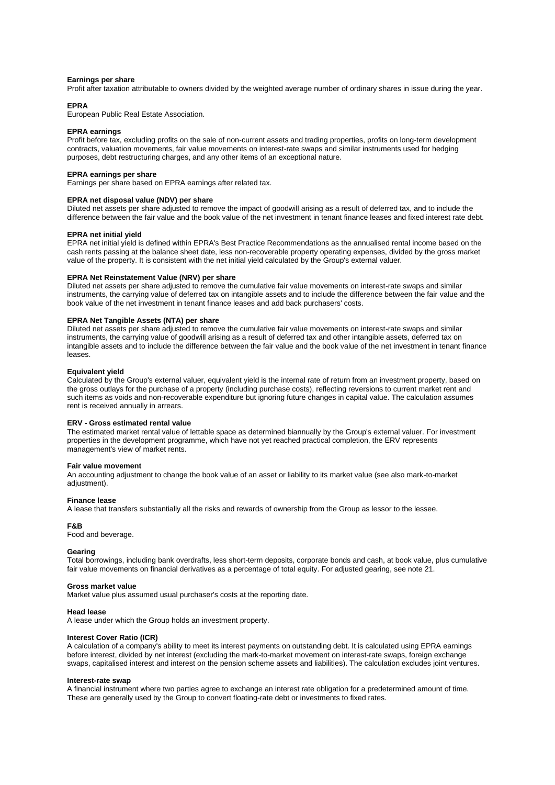#### **Earnings per share**

Profit after taxation attributable to owners divided by the weighted average number of ordinary shares in issue during the year.

#### **EPRA**

European Public Real Estate Association.

#### **EPRA earnings**

Profit before tax, excluding profits on the sale of non-current assets and trading properties, profits on long-term development contracts, valuation movements, fair value movements on interest-rate swaps and similar instruments used for hedging purposes, debt restructuring charges, and any other items of an exceptional nature.

#### **EPRA earnings per share**

Earnings per share based on EPRA earnings after related tax.

### **EPRA net disposal value (NDV) per share**

Diluted net assets per share adjusted to remove the impact of goodwill arising as a result of deferred tax, and to include the difference between the fair value and the book value of the net investment in tenant finance leases and fixed interest rate debt.

### **EPRA net initial yield**

EPRA net initial yield is defined within EPRA's Best Practice Recommendations as the annualised rental income based on the cash rents passing at the balance sheet date, less non-recoverable property operating expenses, divided by the gross market value of the property. It is consistent with the net initial yield calculated by the Group's external valuer.

#### **EPRA Net Reinstatement Value (NRV) per share**

Diluted net assets per share adjusted to remove the cumulative fair value movements on interest-rate swaps and similar instruments, the carrying value of deferred tax on intangible assets and to include the difference between the fair value and the book value of the net investment in tenant finance leases and add back purchasers' costs.

#### **EPRA Net Tangible Assets (NTA) per share**

Diluted net assets per share adjusted to remove the cumulative fair value movements on interest-rate swaps and similar instruments, the carrying value of goodwill arising as a result of deferred tax and other intangible assets, deferred tax on intangible assets and to include the difference between the fair value and the book value of the net investment in tenant finance leases.

### **Equivalent yield**

Calculated by the Group's external valuer, equivalent yield is the internal rate of return from an investment property, based on the gross outlays for the purchase of a property (including purchase costs), reflecting reversions to current market rent and such items as voids and non-recoverable expenditure but ignoring future changes in capital value. The calculation assumes rent is received annually in arrears.

#### **ERV - Gross estimated rental value**

The estimated market rental value of lettable space as determined biannually by the Group's external valuer. For investment properties in the development programme, which have not yet reached practical completion, the ERV represents management's view of market rents.

### **Fair value movement**

An accounting adjustment to change the book value of an asset or liability to its market value (see also mark-to-market adjustment).

#### **Finance lease**

A lease that transfers substantially all the risks and rewards of ownership from the Group as lessor to the lessee.

### **F&B**

Food and beverage.

### **Gearing**

Total borrowings, including bank overdrafts, less short-term deposits, corporate bonds and cash, at book value, plus cumulative fair value movements on financial derivatives as a percentage of total equity. For adjusted gearing, see note 21.

#### **Gross market value**

Market value plus assumed usual purchaser's costs at the reporting date.

### **Head lease**

A lease under which the Group holds an investment property.

#### **Interest Cover Ratio (ICR)**

A calculation of a company's ability to meet its interest payments on outstanding debt. It is calculated using EPRA earnings before interest, divided by net interest (excluding the mark-to-market movement on interest-rate swaps, foreign exchange swaps, capitalised interest and interest on the pension scheme assets and liabilities). The calculation excludes joint ventures.

#### **Interest-rate swap**

A financial instrument where two parties agree to exchange an interest rate obligation for a predetermined amount of time. These are generally used by the Group to convert floating-rate debt or investments to fixed rates.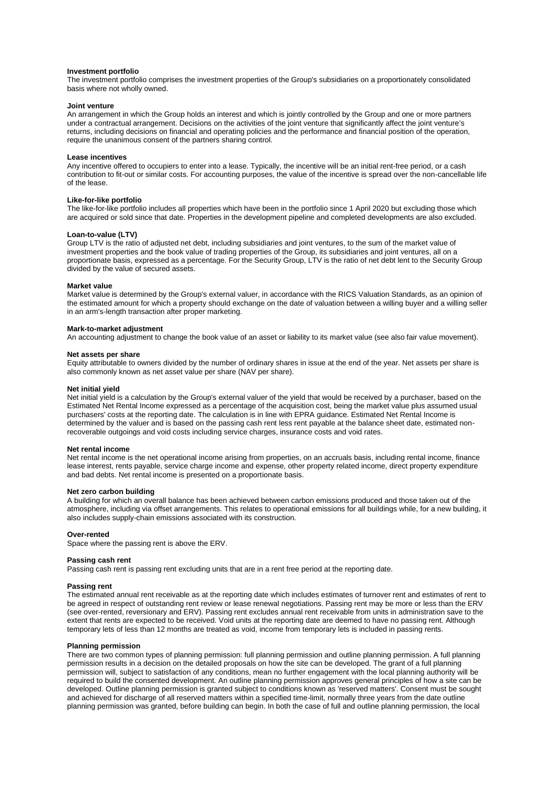#### **Investment portfolio**

The investment portfolio comprises the investment properties of the Group's subsidiaries on a proportionately consolidated basis where not wholly owned.

#### **Joint venture**

An arrangement in which the Group holds an interest and which is jointly controlled by the Group and one or more partners under a contractual arrangement. Decisions on the activities of the joint venture that significantly affect the joint venture's returns, including decisions on financial and operating policies and the performance and financial position of the operation, require the unanimous consent of the partners sharing control.

### **Lease incentives**

Any incentive offered to occupiers to enter into a lease. Typically, the incentive will be an initial rent-free period, or a cash contribution to fit-out or similar costs. For accounting purposes, the value of the incentive is spread over the non-cancellable life of the lease.

### **Like-for-like portfolio**

The like-for-like portfolio includes all properties which have been in the portfolio since 1 April 2020 but excluding those which are acquired or sold since that date. Properties in the development pipeline and completed developments are also excluded.

#### **Loan-to-value (LTV)**

Group LTV is the ratio of adjusted net debt, including subsidiaries and joint ventures, to the sum of the market value of investment properties and the book value of trading properties of the Group, its subsidiaries and joint ventures, all on a proportionate basis, expressed as a percentage. For the Security Group, LTV is the ratio of net debt lent to the Security Group divided by the value of secured assets.

#### **Market value**

Market value is determined by the Group's external valuer, in accordance with the RICS Valuation Standards, as an opinion of the estimated amount for which a property should exchange on the date of valuation between a willing buyer and a willing seller in an arm's-length transaction after proper marketing.

#### **Mark-to-market adjustment**

An accounting adjustment to change the book value of an asset or liability to its market value (see also fair value movement).

#### **Net assets per share**

Equity attributable to owners divided by the number of ordinary shares in issue at the end of the year. Net assets per share is also commonly known as net asset value per share (NAV per share).

#### **Net initial yield**

Net initial yield is a calculation by the Group's external valuer of the yield that would be received by a purchaser, based on the Estimated Net Rental Income expressed as a percentage of the acquisition cost, being the market value plus assumed usual purchasers' costs at the reporting date. The calculation is in line with EPRA guidance. Estimated Net Rental Income is determined by the valuer and is based on the passing cash rent less rent payable at the balance sheet date, estimated nonrecoverable outgoings and void costs including service charges, insurance costs and void rates.

#### **Net rental income**

Net rental income is the net operational income arising from properties, on an accruals basis, including rental income, finance lease interest, rents payable, service charge income and expense, other property related income, direct property expenditure and bad debts. Net rental income is presented on a proportionate basis.

### **Net zero carbon building**

A building for which an overall balance has been achieved between carbon emissions produced and those taken out of the atmosphere, including via offset arrangements. This relates to operational emissions for all buildings while, for a new building, it also includes supply-chain emissions associated with its construction.

#### **Over-rented**

Space where the passing rent is above the ERV.

#### **Passing cash rent**

Passing cash rent is passing rent excluding units that are in a rent free period at the reporting date.

#### **Passing rent**

The estimated annual rent receivable as at the reporting date which includes estimates of turnover rent and estimates of rent to be agreed in respect of outstanding rent review or lease renewal negotiations. Passing rent may be more or less than the ERV (see over-rented, reversionary and ERV). Passing rent excludes annual rent receivable from units in administration save to the extent that rents are expected to be received. Void units at the reporting date are deemed to have no passing rent. Although temporary lets of less than 12 months are treated as void, income from temporary lets is included in passing rents.

#### **Planning permission**

There are two common types of planning permission: full planning permission and outline planning permission. A full planning permission results in a decision on the detailed proposals on how the site can be developed. The grant of a full planning permission will, subject to satisfaction of any conditions, mean no further engagement with the local planning authority will be required to build the consented development. An outline planning permission approves general principles of how a site can be developed. Outline planning permission is granted subject to conditions known as 'reserved matters'. Consent must be sought and achieved for discharge of all reserved matters within a specified time-limit, normally three years from the date outline planning permission was granted, before building can begin. In both the case of full and outline planning permission, the local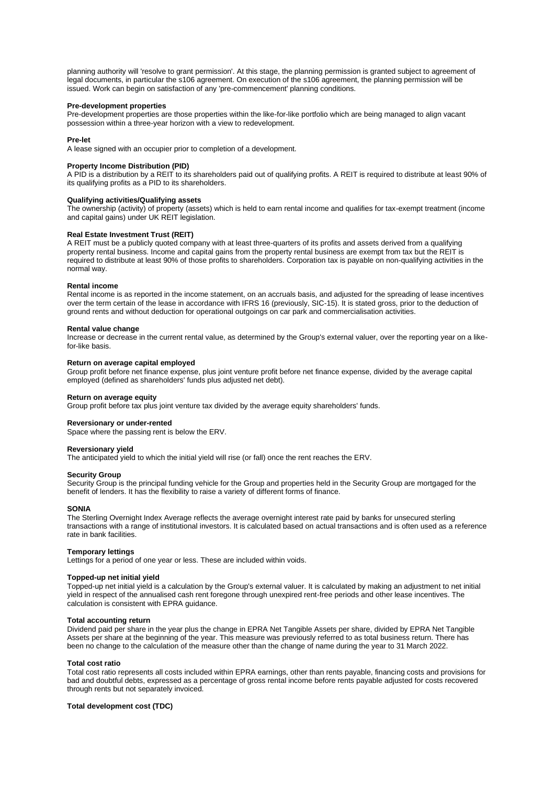planning authority will 'resolve to grant permission'. At this stage, the planning permission is granted subject to agreement of legal documents, in particular the s106 agreement. On execution of the s106 agreement, the planning permission will be issued. Work can begin on satisfaction of any 'pre-commencement' planning conditions.

#### **Pre-development properties**

Pre-development properties are those properties within the like-for-like portfolio which are being managed to align vacant possession within a three-year horizon with a view to redevelopment.

### **Pre-let**

A lease signed with an occupier prior to completion of a development.

### **Property Income Distribution (PID)**

A PID is a distribution by a REIT to its shareholders paid out of qualifying profits. A REIT is required to distribute at least 90% of its qualifying profits as a PID to its shareholders.

### **Qualifying activities/Qualifying assets**

The ownership (activity) of property (assets) which is held to earn rental income and qualifies for tax-exempt treatment (income and capital gains) under UK REIT legislation.

### **Real Estate Investment Trust (REIT)**

A REIT must be a publicly quoted company with at least three-quarters of its profits and assets derived from a qualifying property rental business. Income and capital gains from the property rental business are exempt from tax but the REIT is required to distribute at least 90% of those profits to shareholders. Corporation tax is payable on non-qualifying activities in the normal way.

### **Rental income**

Rental income is as reported in the income statement, on an accruals basis, and adjusted for the spreading of lease incentives over the term certain of the lease in accordance with IFRS 16 (previously, SIC-15). It is stated gross, prior to the deduction of ground rents and without deduction for operational outgoings on car park and commercialisation activities.

#### **Rental value change**

Increase or decrease in the current rental value, as determined by the Group's external valuer, over the reporting year on a likefor-like basis.

### **Return on average capital employed**

Group profit before net finance expense, plus joint venture profit before net finance expense, divided by the average capital employed (defined as shareholders' funds plus adjusted net debt).

#### **Return on average equity**

Group profit before tax plus joint venture tax divided by the average equity shareholders' funds.

### **Reversionary or under-rented**

Space where the passing rent is below the ERV.

#### **Reversionary yield**

The anticipated yield to which the initial yield will rise (or fall) once the rent reaches the ERV.

#### **Security Group**

Security Group is the principal funding vehicle for the Group and properties held in the Security Group are mortgaged for the benefit of lenders. It has the flexibility to raise a variety of different forms of finance.

### **SONIA**

The Sterling Overnight Index Average reflects the average overnight interest rate paid by banks for unsecured sterling transactions with a range of institutional investors. It is calculated based on actual transactions and is often used as a reference rate in bank facilities.

#### **Temporary lettings**

Lettings for a period of one year or less. These are included within voids.

#### **Topped-up net initial yield**

Topped-up net initial yield is a calculation by the Group's external valuer. It is calculated by making an adjustment to net initial yield in respect of the annualised cash rent foregone through unexpired rent-free periods and other lease incentives. The calculation is consistent with EPRA guidance.

#### **Total accounting return**

Dividend paid per share in the year plus the change in EPRA Net Tangible Assets per share, divided by EPRA Net Tangible Assets per share at the beginning of the year. This measure was previously referred to as total business return. There has been no change to the calculation of the measure other than the change of name during the year to 31 March 2022.

#### **Total cost ratio**

Total cost ratio represents all costs included within EPRA earnings, other than rents payable, financing costs and provisions for bad and doubtful debts, expressed as a percentage of gross rental income before rents payable adjusted for costs recovered through rents but not separately invoiced.

#### **Total development cost (TDC)**